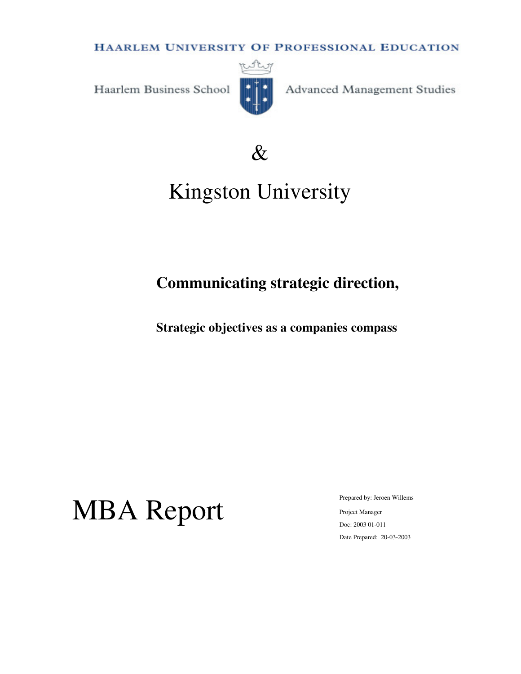**HAARLEM UNIVERSITY OF PROFESSIONAL EDUCATION** 

Haarlem Business School



Advanced Management Studies



# Kingston University

# **Communicating strategic direction,**

**Strategic objectives as a companies compass** 

# MBA Report

Prepared by: Jeroen Willems Project Manager Doc: 2003 01-011 Date Prepared: 20-03-2003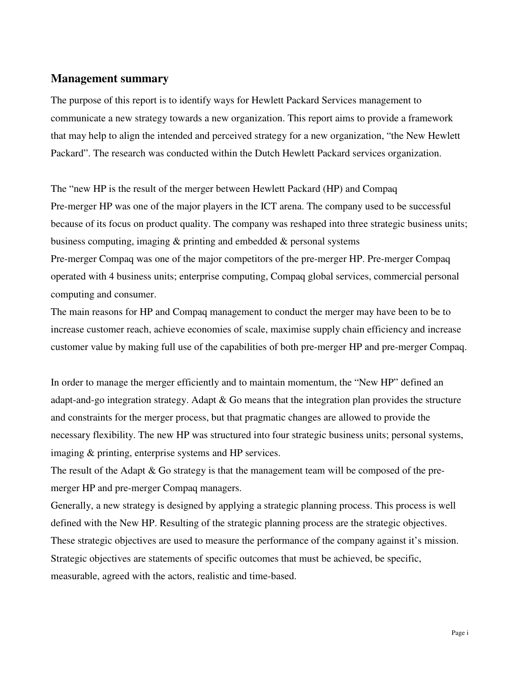## **Management summary**

The purpose of this report is to identify ways for Hewlett Packard Services management to communicate a new strategy towards a new organization. This report aims to provide a framework that may help to align the intended and perceived strategy for a new organization, "the New Hewlett Packard". The research was conducted within the Dutch Hewlett Packard services organization.

The "new HP is the result of the merger between Hewlett Packard (HP) and Compaq Pre-merger HP was one of the major players in the ICT arena. The company used to be successful because of its focus on product quality. The company was reshaped into three strategic business units; business computing, imaging & printing and embedded & personal systems

Pre-merger Compaq was one of the major competitors of the pre-merger HP. Pre-merger Compaq operated with 4 business units; enterprise computing, Compaq global services, commercial personal computing and consumer.

The main reasons for HP and Compaq management to conduct the merger may have been to be to increase customer reach, achieve economies of scale, maximise supply chain efficiency and increase customer value by making full use of the capabilities of both pre-merger HP and pre-merger Compaq.

In order to manage the merger efficiently and to maintain momentum, the "New HP" defined an adapt-and-go integration strategy. Adapt & Go means that the integration plan provides the structure and constraints for the merger process, but that pragmatic changes are allowed to provide the necessary flexibility. The new HP was structured into four strategic business units; personal systems, imaging & printing, enterprise systems and HP services.

The result of the Adapt & Go strategy is that the management team will be composed of the premerger HP and pre-merger Compaq managers.

Generally, a new strategy is designed by applying a strategic planning process. This process is well defined with the New HP. Resulting of the strategic planning process are the strategic objectives. These strategic objectives are used to measure the performance of the company against it's mission. Strategic objectives are statements of specific outcomes that must be achieved, be specific, measurable, agreed with the actors, realistic and time-based.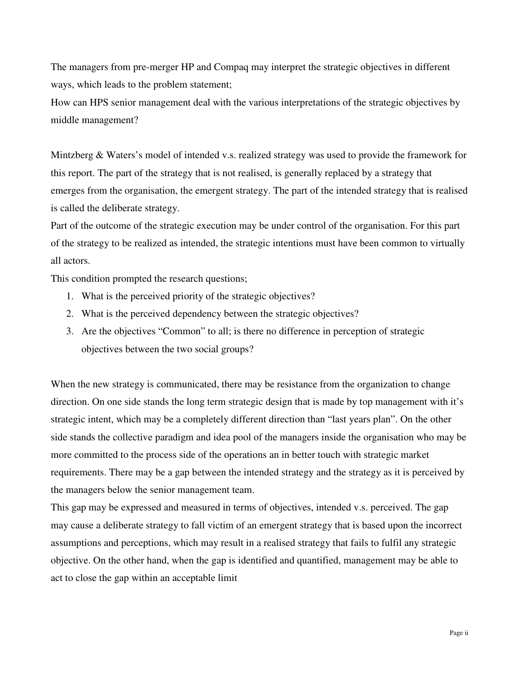The managers from pre-merger HP and Compaq may interpret the strategic objectives in different ways, which leads to the problem statement;

How can HPS senior management deal with the various interpretations of the strategic objectives by middle management?

Mintzberg & Waters's model of intended v.s. realized strategy was used to provide the framework for this report. The part of the strategy that is not realised, is generally replaced by a strategy that emerges from the organisation, the emergent strategy. The part of the intended strategy that is realised is called the deliberate strategy.

Part of the outcome of the strategic execution may be under control of the organisation. For this part of the strategy to be realized as intended, the strategic intentions must have been common to virtually all actors.

This condition prompted the research questions;

- 1. What is the perceived priority of the strategic objectives?
- 2. What is the perceived dependency between the strategic objectives?
- 3. Are the objectives "Common" to all; is there no difference in perception of strategic objectives between the two social groups?

When the new strategy is communicated, there may be resistance from the organization to change direction. On one side stands the long term strategic design that is made by top management with it's strategic intent, which may be a completely different direction than "last years plan". On the other side stands the collective paradigm and idea pool of the managers inside the organisation who may be more committed to the process side of the operations an in better touch with strategic market requirements. There may be a gap between the intended strategy and the strategy as it is perceived by the managers below the senior management team.

This gap may be expressed and measured in terms of objectives, intended v.s. perceived. The gap may cause a deliberate strategy to fall victim of an emergent strategy that is based upon the incorrect assumptions and perceptions, which may result in a realised strategy that fails to fulfil any strategic objective. On the other hand, when the gap is identified and quantified, management may be able to act to close the gap within an acceptable limit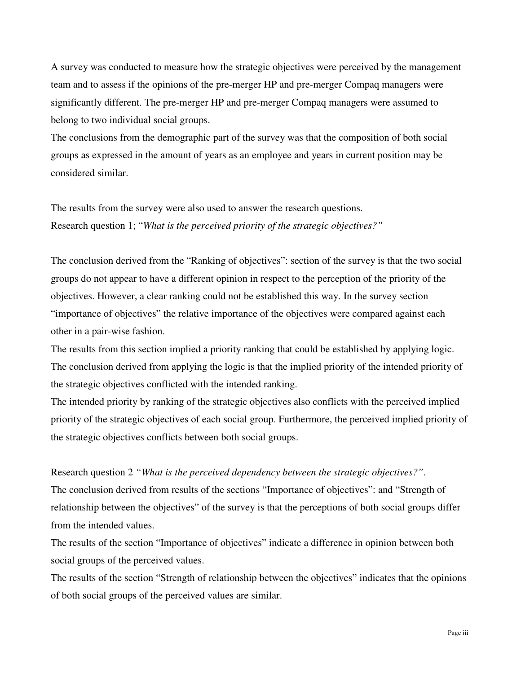A survey was conducted to measure how the strategic objectives were perceived by the management team and to assess if the opinions of the pre-merger HP and pre-merger Compaq managers were significantly different. The pre-merger HP and pre-merger Compaq managers were assumed to belong to two individual social groups.

The conclusions from the demographic part of the survey was that the composition of both social groups as expressed in the amount of years as an employee and years in current position may be considered similar.

The results from the survey were also used to answer the research questions. Research question 1; "*What is the perceived priority of the strategic objectives?"*

The conclusion derived from the "Ranking of objectives": section of the survey is that the two social groups do not appear to have a different opinion in respect to the perception of the priority of the objectives. However, a clear ranking could not be established this way. In the survey section "importance of objectives" the relative importance of the objectives were compared against each other in a pair-wise fashion.

The results from this section implied a priority ranking that could be established by applying logic. The conclusion derived from applying the logic is that the implied priority of the intended priority of the strategic objectives conflicted with the intended ranking.

The intended priority by ranking of the strategic objectives also conflicts with the perceived implied priority of the strategic objectives of each social group. Furthermore, the perceived implied priority of the strategic objectives conflicts between both social groups.

Research question 2 *"What is the perceived dependency between the strategic objectives?"*. The conclusion derived from results of the sections "Importance of objectives": and "Strength of relationship between the objectives" of the survey is that the perceptions of both social groups differ from the intended values.

The results of the section "Importance of objectives" indicate a difference in opinion between both social groups of the perceived values.

The results of the section "Strength of relationship between the objectives" indicates that the opinions of both social groups of the perceived values are similar.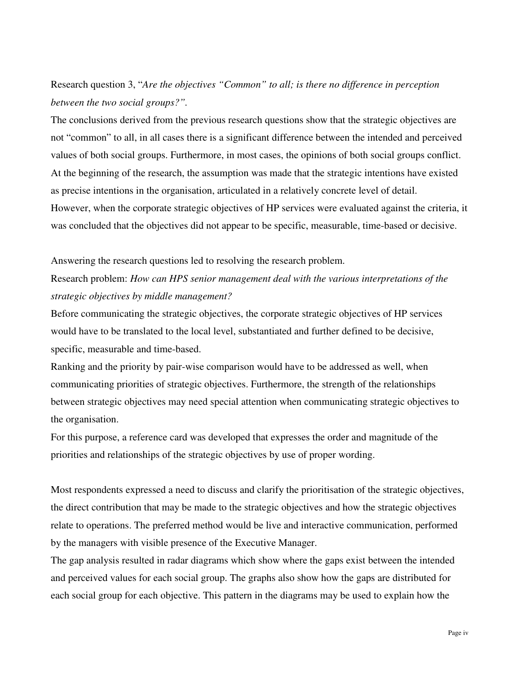Research question 3, "*Are the objectives "Common" to all; is there no difference in perception between the two social groups?".*

The conclusions derived from the previous research questions show that the strategic objectives are not "common" to all, in all cases there is a significant difference between the intended and perceived values of both social groups. Furthermore, in most cases, the opinions of both social groups conflict. At the beginning of the research, the assumption was made that the strategic intentions have existed as precise intentions in the organisation, articulated in a relatively concrete level of detail. However, when the corporate strategic objectives of HP services were evaluated against the criteria, it was concluded that the objectives did not appear to be specific, measurable, time-based or decisive.

Answering the research questions led to resolving the research problem.

# Research problem: *How can HPS senior management deal with the various interpretations of the strategic objectives by middle management?*

Before communicating the strategic objectives, the corporate strategic objectives of HP services would have to be translated to the local level, substantiated and further defined to be decisive, specific, measurable and time-based.

Ranking and the priority by pair-wise comparison would have to be addressed as well, when communicating priorities of strategic objectives. Furthermore, the strength of the relationships between strategic objectives may need special attention when communicating strategic objectives to the organisation.

For this purpose, a reference card was developed that expresses the order and magnitude of the priorities and relationships of the strategic objectives by use of proper wording.

Most respondents expressed a need to discuss and clarify the prioritisation of the strategic objectives, the direct contribution that may be made to the strategic objectives and how the strategic objectives relate to operations. The preferred method would be live and interactive communication, performed by the managers with visible presence of the Executive Manager.

The gap analysis resulted in radar diagrams which show where the gaps exist between the intended and perceived values for each social group. The graphs also show how the gaps are distributed for each social group for each objective. This pattern in the diagrams may be used to explain how the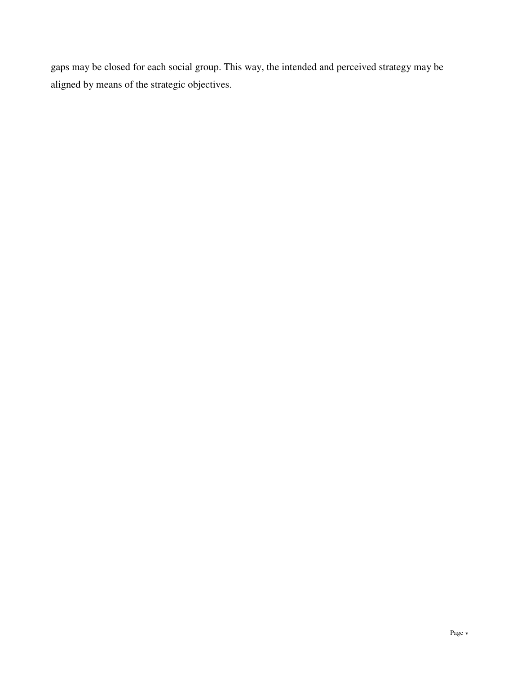gaps may be closed for each social group. This way, the intended and perceived strategy may be aligned by means of the strategic objectives.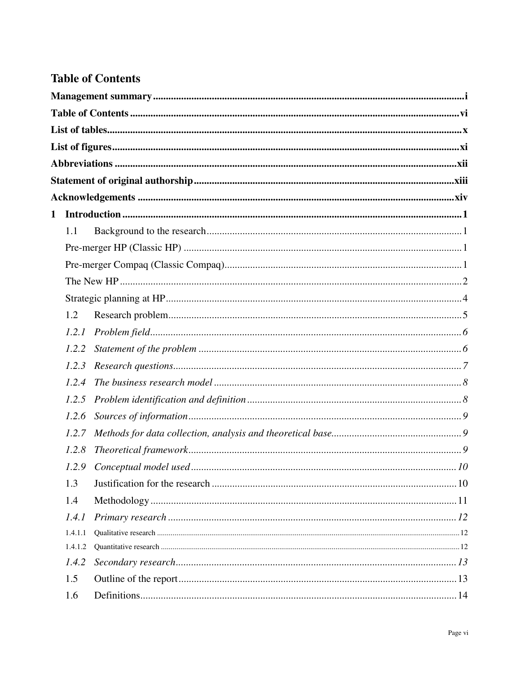# **Table of Contents**

| 1.1     |  |
|---------|--|
|         |  |
|         |  |
|         |  |
|         |  |
| 1.2     |  |
| 1.2.1   |  |
| 1.2.2   |  |
| 1.2.3   |  |
| 1.2.4   |  |
| 1.2.5   |  |
| 1.2.6   |  |
| 1.2.7   |  |
| 1.2.8   |  |
|         |  |
| 1.3     |  |
| 1.4     |  |
| 1.4.1   |  |
| 1.4.1.1 |  |
| 1.4.1.2 |  |
| 1.4.2   |  |
| 1.5     |  |
| 1.6     |  |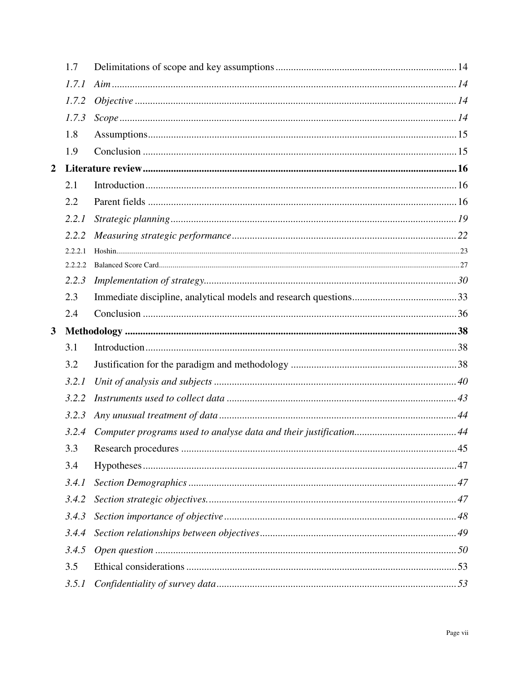|                  | 1.7     |                    |  |
|------------------|---------|--------------------|--|
|                  | 1.7.1   |                    |  |
|                  | 1.7.2   |                    |  |
|                  | 1.7.3   | $Scope  \dots  14$ |  |
|                  | 1.8     |                    |  |
|                  | 1.9     |                    |  |
| $\boldsymbol{2}$ |         |                    |  |
|                  | 2.1     |                    |  |
|                  | 2.2     |                    |  |
|                  | 2.2.1   |                    |  |
|                  | 2.2.2   |                    |  |
|                  | 2.2.2.1 |                    |  |
|                  | 2.2.2.2 |                    |  |
|                  | 2.2.3   |                    |  |
|                  | 2.3     |                    |  |
|                  | 2.4     |                    |  |
|                  |         |                    |  |
| $\mathbf{3}$     |         |                    |  |
|                  | 3.1     |                    |  |
|                  | 3.2     |                    |  |
|                  | 3.2.1   |                    |  |
|                  | 3.2.2   |                    |  |
|                  | 3.2.3   |                    |  |
|                  |         |                    |  |
|                  | 3.3     |                    |  |
|                  | 3.4     |                    |  |
|                  | 3.4.1   |                    |  |
|                  | 3.4.2   |                    |  |
|                  | 3.4.3   |                    |  |
|                  | 3.4.4   |                    |  |
|                  | 3.4.5   |                    |  |
|                  | 3.5     |                    |  |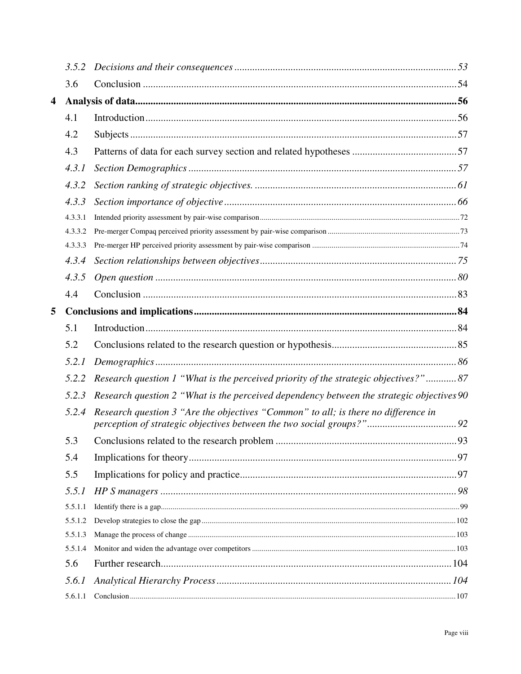|   | 3.5.2   |                                                                                           |  |
|---|---------|-------------------------------------------------------------------------------------------|--|
|   | 3.6     |                                                                                           |  |
| 4 |         |                                                                                           |  |
|   | 4.1     |                                                                                           |  |
|   | 4.2     |                                                                                           |  |
|   | 4.3     |                                                                                           |  |
|   | 4.3.1   |                                                                                           |  |
|   | 4.3.2   |                                                                                           |  |
|   | 4.3.3   |                                                                                           |  |
|   | 4.3.3.1 |                                                                                           |  |
|   | 4.3.3.2 |                                                                                           |  |
|   | 4.3.3.3 |                                                                                           |  |
|   | 4.3.4   |                                                                                           |  |
|   | 4.3.5   |                                                                                           |  |
|   | 4.4     |                                                                                           |  |
| 5 |         |                                                                                           |  |
|   | 5.1     |                                                                                           |  |
|   | 5.2     |                                                                                           |  |
|   | 5.2.1   |                                                                                           |  |
|   | 5.2.2   | Research question 1 "What is the perceived priority of the strategic objectives?" 87      |  |
|   | 5.2.3   | Research question 2 "What is the perceived dependency between the strategic objectives 90 |  |
|   | 5.2.4   | Research question 3 "Are the objectives "Common" to all; is there no difference in        |  |
|   | 5.3     |                                                                                           |  |
|   | 5.4     |                                                                                           |  |
|   | 5.5     |                                                                                           |  |
|   | 5.5.1   |                                                                                           |  |
|   | 5.5.1.1 |                                                                                           |  |
|   | 5.5.1.2 |                                                                                           |  |
|   | 5.5.1.3 |                                                                                           |  |
|   | 5.5.1.4 |                                                                                           |  |
|   | 5.6     |                                                                                           |  |
|   | 5.6.1   |                                                                                           |  |
|   | 5.6.1.1 |                                                                                           |  |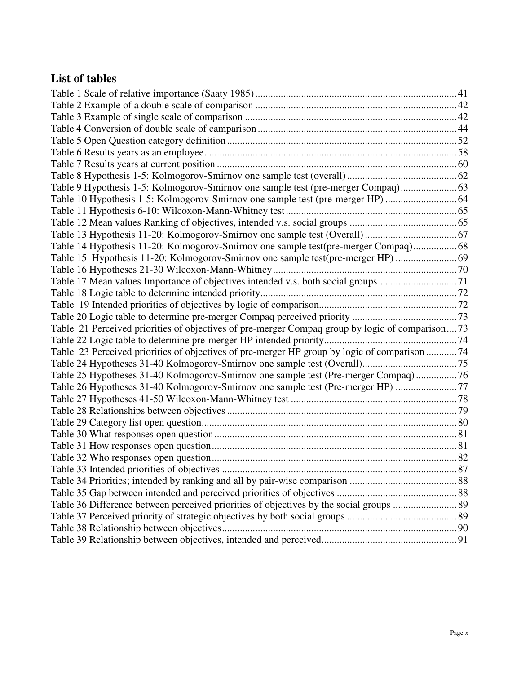# **List of tables**

| Table 9 Hypothesis 1-5: Kolmogorov-Smirnov one sample test (pre-merger Compaq)                  |  |
|-------------------------------------------------------------------------------------------------|--|
| Table 10 Hypothesis 1-5: Kolmogorov-Smirnov one sample test (pre-merger HP)  64                 |  |
|                                                                                                 |  |
|                                                                                                 |  |
|                                                                                                 |  |
| Table 14 Hypothesis 11-20: Kolmogorov-Smirnov one sample test(pre-merger Compaq) 68             |  |
|                                                                                                 |  |
|                                                                                                 |  |
| Table 17 Mean values Importance of objectives intended v.s. both social groups71                |  |
|                                                                                                 |  |
|                                                                                                 |  |
|                                                                                                 |  |
| Table 21 Perceived priorities of objectives of pre-merger Compaq group by logic of comparison73 |  |
|                                                                                                 |  |
| Table 23 Perceived priorities of objectives of pre-merger HP group by logic of comparison 74    |  |
|                                                                                                 |  |
| Table 25 Hypotheses 31-40 Kolmogorov-Smirnov one sample test (Pre-merger Compaq)76              |  |
| Table 26 Hypotheses 31-40 Kolmogorov-Smirnov one sample test (Pre-merger HP) 77                 |  |
|                                                                                                 |  |
|                                                                                                 |  |
|                                                                                                 |  |
|                                                                                                 |  |
|                                                                                                 |  |
|                                                                                                 |  |
|                                                                                                 |  |
|                                                                                                 |  |
|                                                                                                 |  |
|                                                                                                 |  |
|                                                                                                 |  |
|                                                                                                 |  |
|                                                                                                 |  |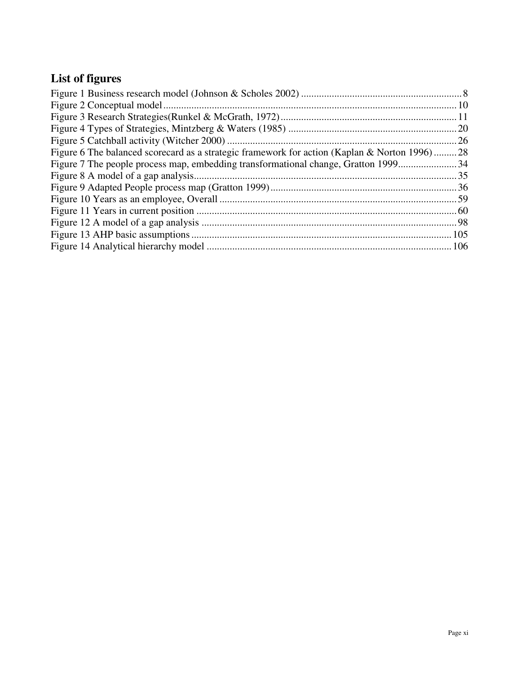# **List of figures**

| Figure 6 The balanced scorecard as a strategic framework for action (Kaplan & Norton 1996)28 |  |
|----------------------------------------------------------------------------------------------|--|
|                                                                                              |  |
|                                                                                              |  |
|                                                                                              |  |
|                                                                                              |  |
|                                                                                              |  |
|                                                                                              |  |
|                                                                                              |  |
|                                                                                              |  |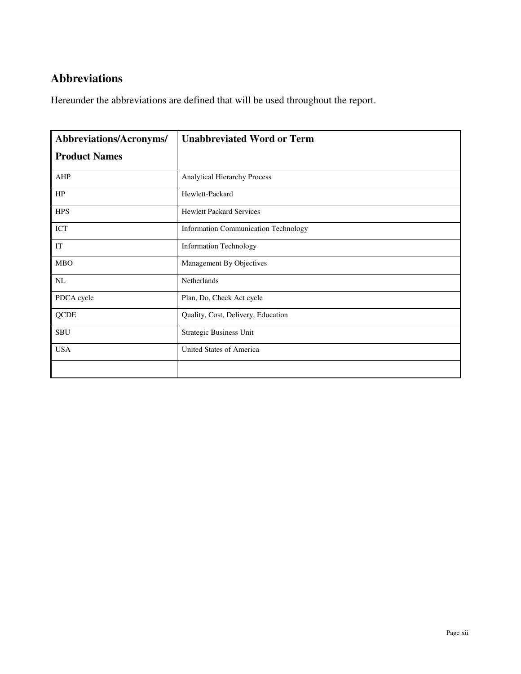# **Abbreviations**

Hereunder the abbreviations are defined that will be used throughout the report.

| Abbreviations/Acronyms/ | <b>Unabbreviated Word or Term</b>           |
|-------------------------|---------------------------------------------|
| <b>Product Names</b>    |                                             |
| <b>AHP</b>              | Analytical Hierarchy Process                |
| HP                      | Hewlett-Packard                             |
| <b>HPS</b>              | <b>Hewlett Packard Services</b>             |
| ICT                     | <b>Information Communication Technology</b> |
| IT                      | <b>Information Technology</b>               |
| <b>MBO</b>              | Management By Objectives                    |
| NL                      | Netherlands                                 |
| PDCA cycle              | Plan, Do, Check Act cycle                   |
| <b>QCDE</b>             | Quality, Cost, Delivery, Education          |
| <b>SBU</b>              | <b>Strategic Business Unit</b>              |
| <b>USA</b>              | United States of America                    |
|                         |                                             |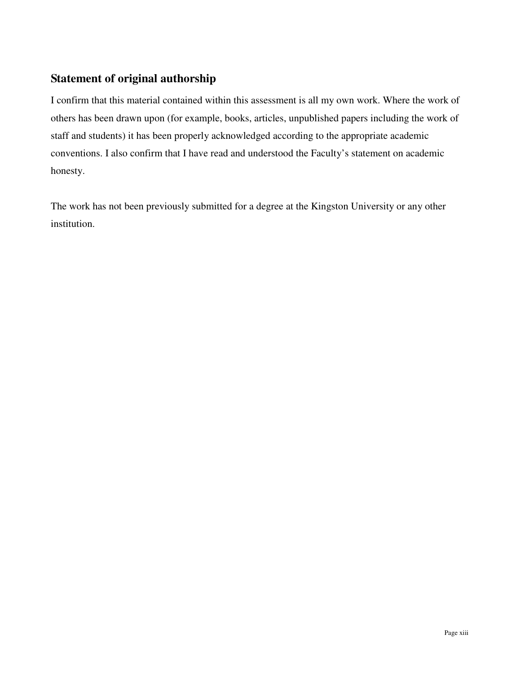# **Statement of original authorship**

I confirm that this material contained within this assessment is all my own work. Where the work of others has been drawn upon (for example, books, articles, unpublished papers including the work of staff and students) it has been properly acknowledged according to the appropriate academic conventions. I also confirm that I have read and understood the Faculty's statement on academic honesty.

The work has not been previously submitted for a degree at the Kingston University or any other institution.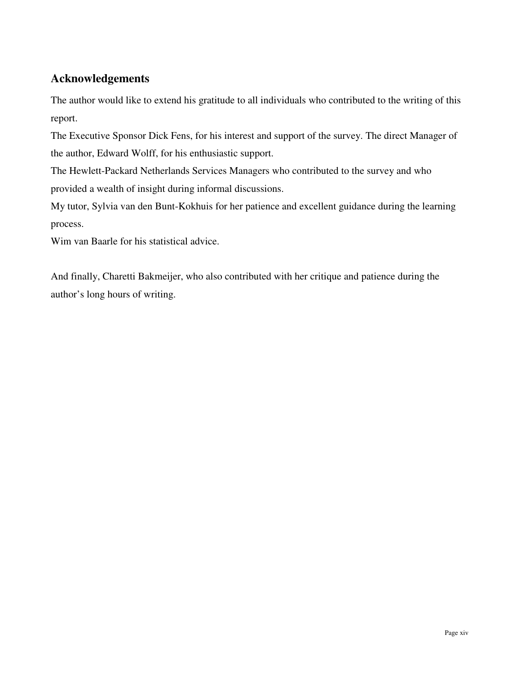# **Acknowledgements**

The author would like to extend his gratitude to all individuals who contributed to the writing of this report.

The Executive Sponsor Dick Fens, for his interest and support of the survey. The direct Manager of the author, Edward Wolff, for his enthusiastic support.

The Hewlett-Packard Netherlands Services Managers who contributed to the survey and who provided a wealth of insight during informal discussions.

My tutor, Sylvia van den Bunt-Kokhuis for her patience and excellent guidance during the learning process.

Wim van Baarle for his statistical advice.

And finally, Charetti Bakmeijer, who also contributed with her critique and patience during the author's long hours of writing.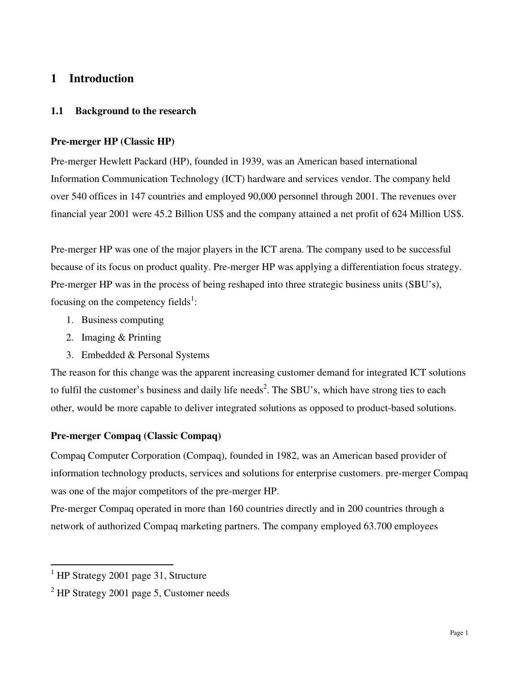# **1 Introduction**

#### **1.1 Background to the research**

#### **Pre-merger HP (Classic HP)**

Pre-merger Hewlett Packard (HP), founded in 1939, was an American based international Information Communication Technology (ICT) hardware and services vendor. The company held over 540 offices in 147 countries and employed 90,000 personnel through 2001. The revenues over financial year 2001 were 45.2 Billion US\$ and the company attained a net profit of 624 Million US\$.

Pre-merger HP was one of the major players in the ICT arena. The company used to be successful because of its focus on product quality. Pre-merger HP was applying a differentiation focus strategy. Pre-merger HP was in the process of being reshaped into three strategic business units (SBU's), focusing on the competency fields<sup>1</sup>:

- 1. Business computing
- 2. Imaging & Printing
- 3. Embedded & Personal Systems

The reason for this change was the apparent increasing customer demand for integrated ICT solutions to fulfil the customer's business and daily life needs<sup>2</sup>. The SBU's, which have strong ties to each other, would be more capable to deliver integrated solutions as opposed to product-based solutions.

## **Pre-merger Compaq (Classic Compaq)**

Compaq Computer Corporation (Compaq), founded in 1982, was an American based provider of information technology products, services and solutions for enterprise customers. pre-merger Compaq was one of the major competitors of the pre-merger HP.

Pre-merger Compaq operated in more than 160 countries directly and in 200 countries through a network of authorized Compaq marketing partners. The company employed 63.700 employees

 $\overline{a}$ 

<sup>&</sup>lt;sup>1</sup> HP Strategy 2001 page 31, Structure

 $2$  HP Strategy 2001 page 5, Customer needs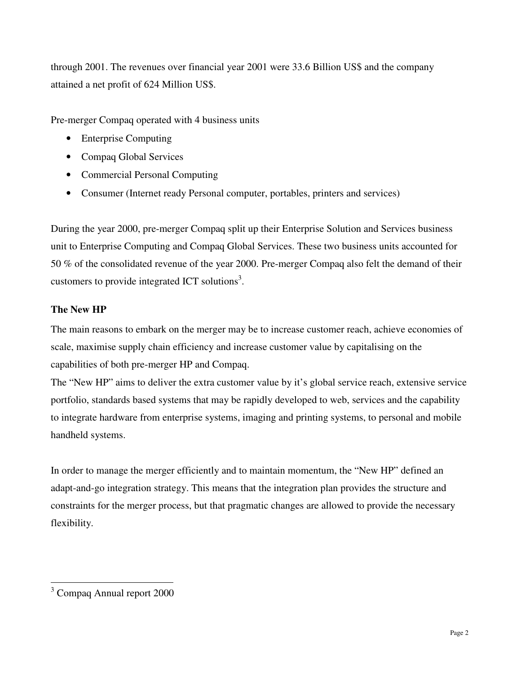through 2001. The revenues over financial year 2001 were 33.6 Billion US\$ and the company attained a net profit of 624 Million US\$.

Pre-merger Compaq operated with 4 business units

- Enterprise Computing
- Compaq Global Services
- Commercial Personal Computing
- Consumer (Internet ready Personal computer, portables, printers and services)

During the year 2000, pre-merger Compaq split up their Enterprise Solution and Services business unit to Enterprise Computing and Compaq Global Services. These two business units accounted for 50 % of the consolidated revenue of the year 2000. Pre-merger Compaq also felt the demand of their customers to provide integrated ICT solutions<sup>3</sup>.

# **The New HP**

The main reasons to embark on the merger may be to increase customer reach, achieve economies of scale, maximise supply chain efficiency and increase customer value by capitalising on the capabilities of both pre-merger HP and Compaq.

The "New HP" aims to deliver the extra customer value by it's global service reach, extensive service portfolio, standards based systems that may be rapidly developed to web, services and the capability to integrate hardware from enterprise systems, imaging and printing systems, to personal and mobile handheld systems.

In order to manage the merger efficiently and to maintain momentum, the "New HP" defined an adapt-and-go integration strategy. This means that the integration plan provides the structure and constraints for the merger process, but that pragmatic changes are allowed to provide the necessary flexibility.

 $\overline{a}$ <sup>3</sup> Compaq Annual report 2000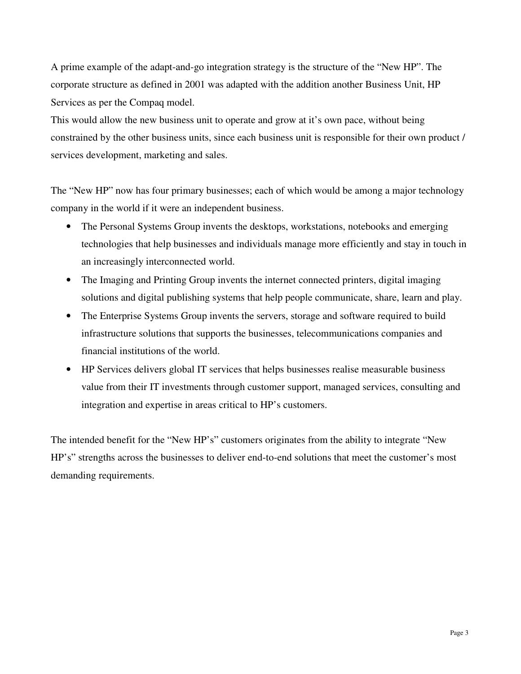A prime example of the adapt-and-go integration strategy is the structure of the "New HP". The corporate structure as defined in 2001 was adapted with the addition another Business Unit, HP Services as per the Compaq model.

This would allow the new business unit to operate and grow at it's own pace, without being constrained by the other business units, since each business unit is responsible for their own product / services development, marketing and sales.

The "New HP" now has four primary businesses; each of which would be among a major technology company in the world if it were an independent business.

- The Personal Systems Group invents the desktops, workstations, notebooks and emerging technologies that help businesses and individuals manage more efficiently and stay in touch in an increasingly interconnected world.
- The Imaging and Printing Group invents the internet connected printers, digital imaging solutions and digital publishing systems that help people communicate, share, learn and play.
- The Enterprise Systems Group invents the servers, storage and software required to build infrastructure solutions that supports the businesses, telecommunications companies and financial institutions of the world.
- HP Services delivers global IT services that helps businesses realise measurable business value from their IT investments through customer support, managed services, consulting and integration and expertise in areas critical to HP's customers.

The intended benefit for the "New HP's" customers originates from the ability to integrate "New HP's" strengths across the businesses to deliver end-to-end solutions that meet the customer's most demanding requirements.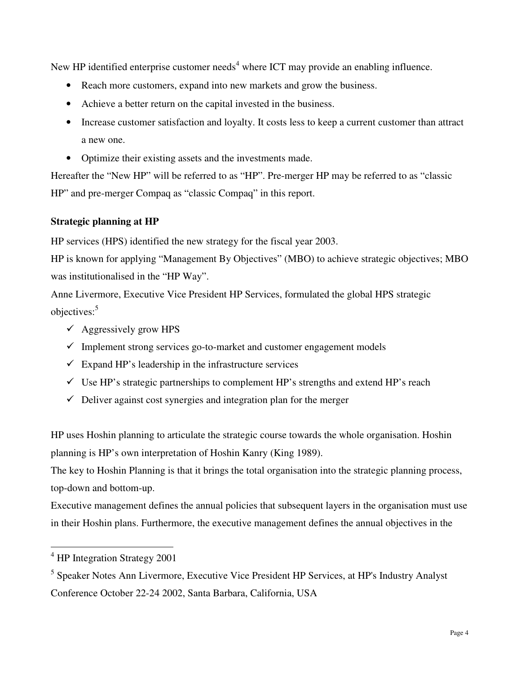New HP identified enterprise customer needs<sup>4</sup> where ICT may provide an enabling influence.

- Reach more customers, expand into new markets and grow the business.
- Achieve a better return on the capital invested in the business.
- Increase customer satisfaction and loyalty. It costs less to keep a current customer than attract a new one.
- Optimize their existing assets and the investments made.

Hereafter the "New HP" will be referred to as "HP". Pre-merger HP may be referred to as "classic HP" and pre-merger Compaq as "classic Compaq" in this report.

# **Strategic planning at HP**

HP services (HPS) identified the new strategy for the fiscal year 2003.

HP is known for applying "Management By Objectives" (MBO) to achieve strategic objectives; MBO was institutionalised in the "HP Way".

Anne Livermore, Executive Vice President HP Services, formulated the global HPS strategic objectives:<sup>5</sup>

- $\checkmark$  Aggressively grow HPS
- $\checkmark$  Implement strong services go-to-market and customer engagement models
- $\checkmark$  Expand HP's leadership in the infrastructure services
- $\checkmark$  Use HP's strategic partnerships to complement HP's strengths and extend HP's reach
- $\checkmark$  Deliver against cost synergies and integration plan for the merger

HP uses Hoshin planning to articulate the strategic course towards the whole organisation. Hoshin planning is HP's own interpretation of Hoshin Kanry (King 1989).

The key to Hoshin Planning is that it brings the total organisation into the strategic planning process, top-down and bottom-up.

Executive management defines the annual policies that subsequent layers in the organisation must use in their Hoshin plans. Furthermore, the executive management defines the annual objectives in the

 $\overline{a}$ 

<sup>&</sup>lt;sup>4</sup> HP Integration Strategy 2001

<sup>&</sup>lt;sup>5</sup> Speaker Notes Ann Livermore, Executive Vice President HP Services, at HP's Industry Analyst Conference October 22-24 2002, Santa Barbara, California, USA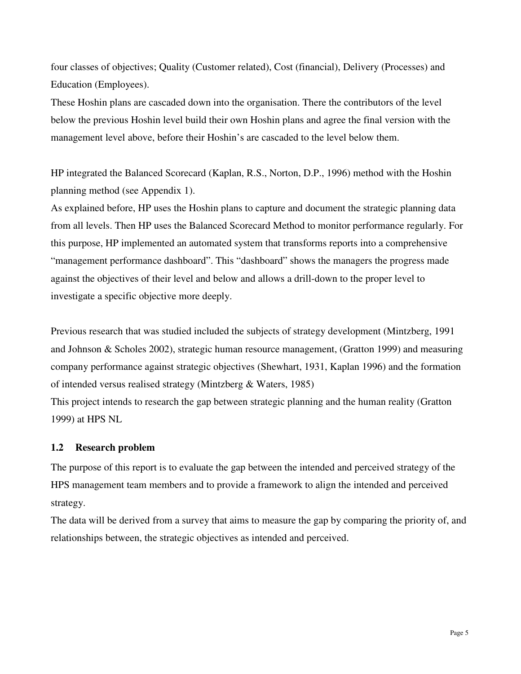four classes of objectives; Quality (Customer related), Cost (financial), Delivery (Processes) and Education (Employees).

These Hoshin plans are cascaded down into the organisation. There the contributors of the level below the previous Hoshin level build their own Hoshin plans and agree the final version with the management level above, before their Hoshin's are cascaded to the level below them.

HP integrated the Balanced Scorecard (Kaplan, R.S., Norton, D.P., 1996) method with the Hoshin planning method (see Appendix 1).

As explained before, HP uses the Hoshin plans to capture and document the strategic planning data from all levels. Then HP uses the Balanced Scorecard Method to monitor performance regularly. For this purpose, HP implemented an automated system that transforms reports into a comprehensive "management performance dashboard". This "dashboard" shows the managers the progress made against the objectives of their level and below and allows a drill-down to the proper level to investigate a specific objective more deeply.

Previous research that was studied included the subjects of strategy development (Mintzberg, 1991 and Johnson & Scholes 2002), strategic human resource management, (Gratton 1999) and measuring company performance against strategic objectives (Shewhart, 1931, Kaplan 1996) and the formation of intended versus realised strategy (Mintzberg & Waters, 1985)

This project intends to research the gap between strategic planning and the human reality (Gratton 1999) at HPS NL

#### **1.2 Research problem**

The purpose of this report is to evaluate the gap between the intended and perceived strategy of the HPS management team members and to provide a framework to align the intended and perceived strategy.

The data will be derived from a survey that aims to measure the gap by comparing the priority of, and relationships between, the strategic objectives as intended and perceived.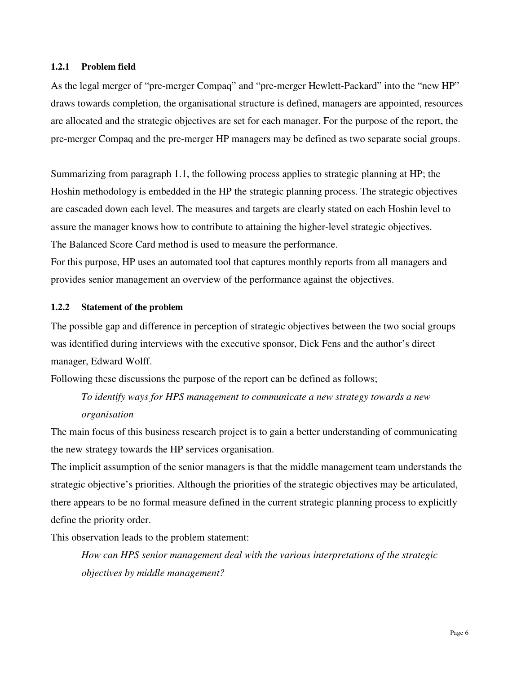#### **1.2.1 Problem field**

As the legal merger of "pre-merger Compaq" and "pre-merger Hewlett-Packard" into the "new HP" draws towards completion, the organisational structure is defined, managers are appointed, resources are allocated and the strategic objectives are set for each manager. For the purpose of the report, the pre-merger Compaq and the pre-merger HP managers may be defined as two separate social groups.

Summarizing from paragraph 1.1, the following process applies to strategic planning at HP; the Hoshin methodology is embedded in the HP the strategic planning process. The strategic objectives are cascaded down each level. The measures and targets are clearly stated on each Hoshin level to assure the manager knows how to contribute to attaining the higher-level strategic objectives. The Balanced Score Card method is used to measure the performance.

For this purpose, HP uses an automated tool that captures monthly reports from all managers and provides senior management an overview of the performance against the objectives.

#### **1.2.2 Statement of the problem**

The possible gap and difference in perception of strategic objectives between the two social groups was identified during interviews with the executive sponsor, Dick Fens and the author's direct manager, Edward Wolff.

Following these discussions the purpose of the report can be defined as follows;

*To identify ways for HPS management to communicate a new strategy towards a new organisation* 

The main focus of this business research project is to gain a better understanding of communicating the new strategy towards the HP services organisation.

The implicit assumption of the senior managers is that the middle management team understands the strategic objective's priorities. Although the priorities of the strategic objectives may be articulated, there appears to be no formal measure defined in the current strategic planning process to explicitly define the priority order.

This observation leads to the problem statement:

*How can HPS senior management deal with the various interpretations of the strategic objectives by middle management?*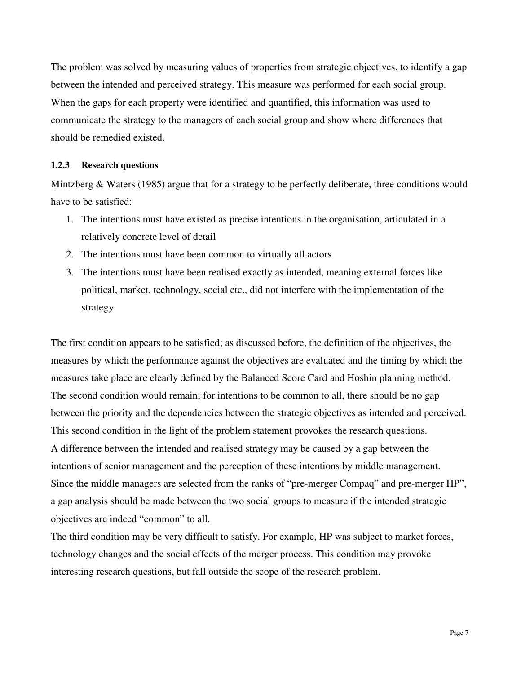The problem was solved by measuring values of properties from strategic objectives, to identify a gap between the intended and perceived strategy. This measure was performed for each social group. When the gaps for each property were identified and quantified, this information was used to communicate the strategy to the managers of each social group and show where differences that should be remedied existed.

#### **1.2.3 Research questions**

Mintzberg & Waters (1985) argue that for a strategy to be perfectly deliberate, three conditions would have to be satisfied:

- 1. The intentions must have existed as precise intentions in the organisation, articulated in a relatively concrete level of detail
- 2. The intentions must have been common to virtually all actors
- 3. The intentions must have been realised exactly as intended, meaning external forces like political, market, technology, social etc., did not interfere with the implementation of the strategy

The first condition appears to be satisfied; as discussed before, the definition of the objectives, the measures by which the performance against the objectives are evaluated and the timing by which the measures take place are clearly defined by the Balanced Score Card and Hoshin planning method. The second condition would remain; for intentions to be common to all, there should be no gap between the priority and the dependencies between the strategic objectives as intended and perceived. This second condition in the light of the problem statement provokes the research questions. A difference between the intended and realised strategy may be caused by a gap between the intentions of senior management and the perception of these intentions by middle management. Since the middle managers are selected from the ranks of "pre-merger Compaq" and pre-merger HP", a gap analysis should be made between the two social groups to measure if the intended strategic objectives are indeed "common" to all.

The third condition may be very difficult to satisfy. For example, HP was subject to market forces, technology changes and the social effects of the merger process. This condition may provoke interesting research questions, but fall outside the scope of the research problem.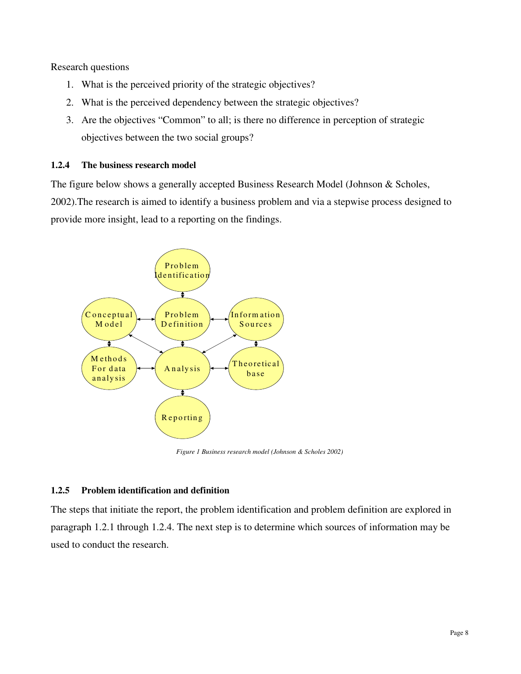Research questions

- 1. What is the perceived priority of the strategic objectives?
- 2. What is the perceived dependency between the strategic objectives?
- 3. Are the objectives "Common" to all; is there no difference in perception of strategic objectives between the two social groups?

#### **1.2.4 The business research model**

The figure below shows a generally accepted Business Research Model (Johnson & Scholes, 2002).The research is aimed to identify a business problem and via a stepwise process designed to provide more insight, lead to a reporting on the findings.



*Figure 1 Business research model (Johnson & Scholes 2002)* 

#### **1.2.5 Problem identification and definition**

The steps that initiate the report, the problem identification and problem definition are explored in paragraph 1.2.1 through 1.2.4. The next step is to determine which sources of information may be used to conduct the research.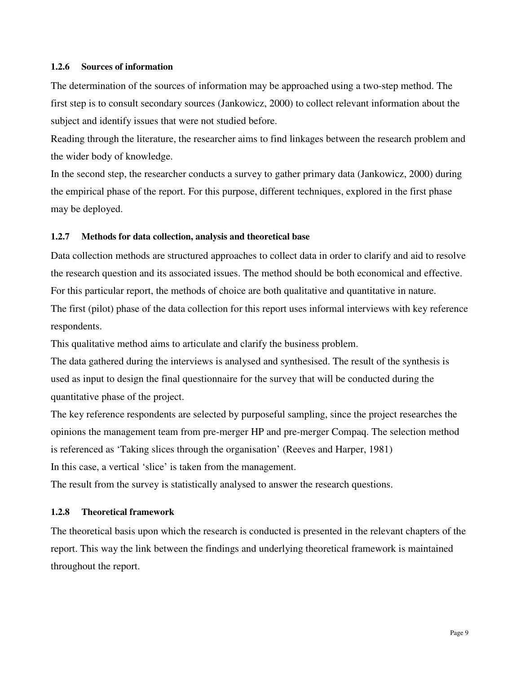#### **1.2.6 Sources of information**

The determination of the sources of information may be approached using a two-step method. The first step is to consult secondary sources (Jankowicz, 2000) to collect relevant information about the subject and identify issues that were not studied before.

Reading through the literature, the researcher aims to find linkages between the research problem and the wider body of knowledge.

In the second step, the researcher conducts a survey to gather primary data (Jankowicz, 2000) during the empirical phase of the report. For this purpose, different techniques, explored in the first phase may be deployed.

#### **1.2.7 Methods for data collection, analysis and theoretical base**

Data collection methods are structured approaches to collect data in order to clarify and aid to resolve the research question and its associated issues. The method should be both economical and effective. For this particular report, the methods of choice are both qualitative and quantitative in nature. The first (pilot) phase of the data collection for this report uses informal interviews with key reference respondents.

This qualitative method aims to articulate and clarify the business problem.

The data gathered during the interviews is analysed and synthesised. The result of the synthesis is used as input to design the final questionnaire for the survey that will be conducted during the quantitative phase of the project.

The key reference respondents are selected by purposeful sampling, since the project researches the opinions the management team from pre-merger HP and pre-merger Compaq. The selection method is referenced as 'Taking slices through the organisation' (Reeves and Harper, 1981) In this case, a vertical 'slice' is taken from the management.

The result from the survey is statistically analysed to answer the research questions.

#### **1.2.8 Theoretical framework**

The theoretical basis upon which the research is conducted is presented in the relevant chapters of the report. This way the link between the findings and underlying theoretical framework is maintained throughout the report.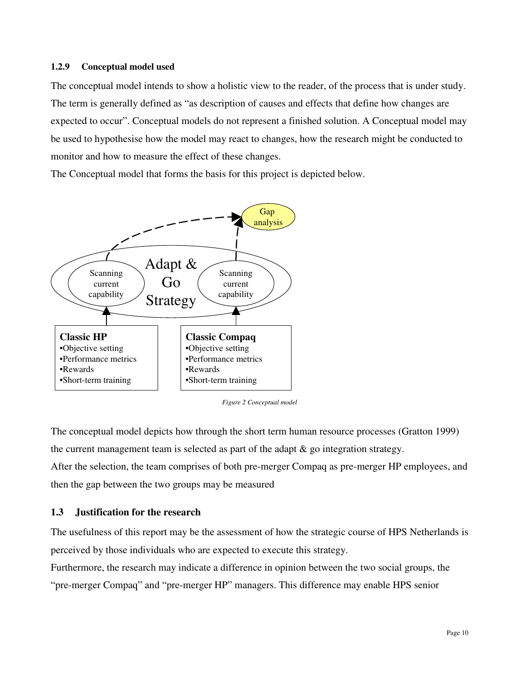#### **1.2.9 Conceptual model used**

The conceptual model intends to show a holistic view to the reader, of the process that is under study. The term is generally defined as "as description of causes and effects that define how changes are expected to occur". Conceptual models do not represent a finished solution. A Conceptual model may be used to hypothesise how the model may react to changes, how the research might be conducted to monitor and how to measure the effect of these changes.

The Conceptual model that forms the basis for this project is depicted below.



*Figure 2 Conceptual model*

The conceptual model depicts how through the short term human resource processes (Gratton 1999) the current management team is selected as part of the adapt & go integration strategy. After the selection, the team comprises of both pre-merger Compaq as pre-merger HP employees, and then the gap between the two groups may be measured

#### **1.3 Justification for the research**

The usefulness of this report may be the assessment of how the strategic course of HPS Netherlands is perceived by those individuals who are expected to execute this strategy.

Furthermore, the research may indicate a difference in opinion between the two social groups, the "pre-merger Compaq" and "pre-merger HP" managers. This difference may enable HPS senior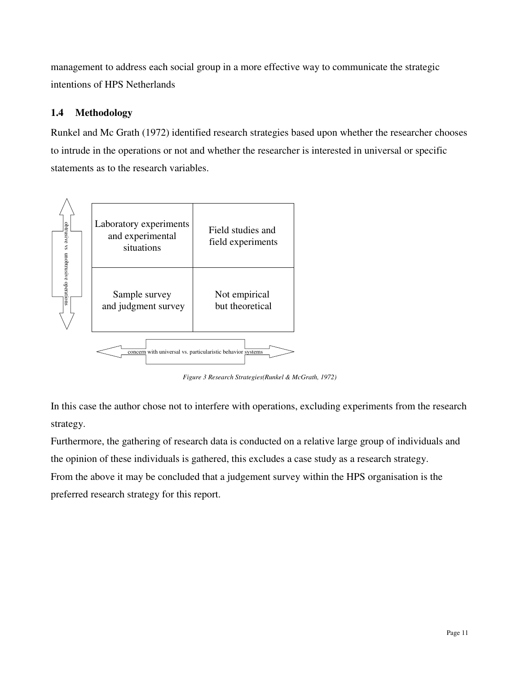management to address each social group in a more effective way to communicate the strategic intentions of HPS Netherlands

# **1.4 Methodology**

Runkel and Mc Grath (1972) identified research strategies based upon whether the researcher chooses to intrude in the operations or not and whether the researcher is interested in universal or specific statements as to the research variables.



*Figure 3 Research Strategies(Runkel & McGrath, 1972)* 

In this case the author chose not to interfere with operations, excluding experiments from the research strategy.

Furthermore, the gathering of research data is conducted on a relative large group of individuals and the opinion of these individuals is gathered, this excludes a case study as a research strategy. From the above it may be concluded that a judgement survey within the HPS organisation is the preferred research strategy for this report.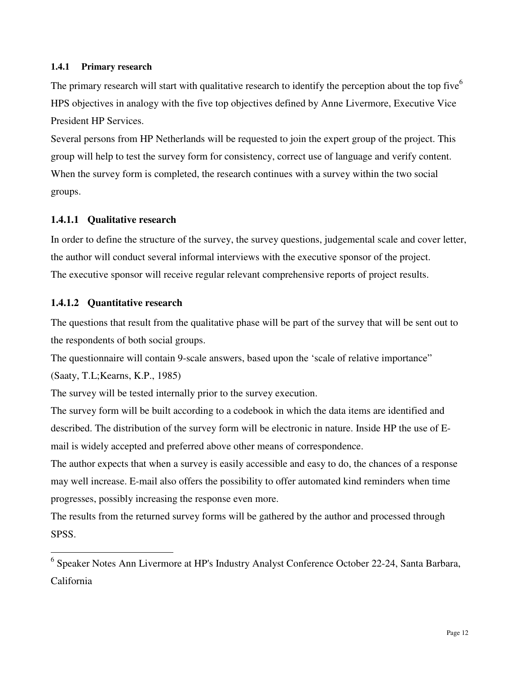#### **1.4.1 Primary research**

The primary research will start with qualitative research to identify the perception about the top five<sup>6</sup> HPS objectives in analogy with the five top objectives defined by Anne Livermore, Executive Vice President HP Services.

Several persons from HP Netherlands will be requested to join the expert group of the project. This group will help to test the survey form for consistency, correct use of language and verify content. When the survey form is completed, the research continues with a survey within the two social groups.

## **1.4.1.1 Qualitative research**

In order to define the structure of the survey, the survey questions, judgemental scale and cover letter, the author will conduct several informal interviews with the executive sponsor of the project. The executive sponsor will receive regular relevant comprehensive reports of project results.

## **1.4.1.2 Quantitative research**

The questions that result from the qualitative phase will be part of the survey that will be sent out to the respondents of both social groups.

The questionnaire will contain 9-scale answers, based upon the 'scale of relative importance"

(Saaty, T.L;Kearns, K.P., 1985)

The survey will be tested internally prior to the survey execution.

The survey form will be built according to a codebook in which the data items are identified and described. The distribution of the survey form will be electronic in nature. Inside HP the use of Email is widely accepted and preferred above other means of correspondence.

The author expects that when a survey is easily accessible and easy to do, the chances of a response may well increase. E-mail also offers the possibility to offer automated kind reminders when time progresses, possibly increasing the response even more.

The results from the returned survey forms will be gathered by the author and processed through SPSS.

 6 Speaker Notes Ann Livermore at HP's Industry Analyst Conference October 22-24, Santa Barbara, California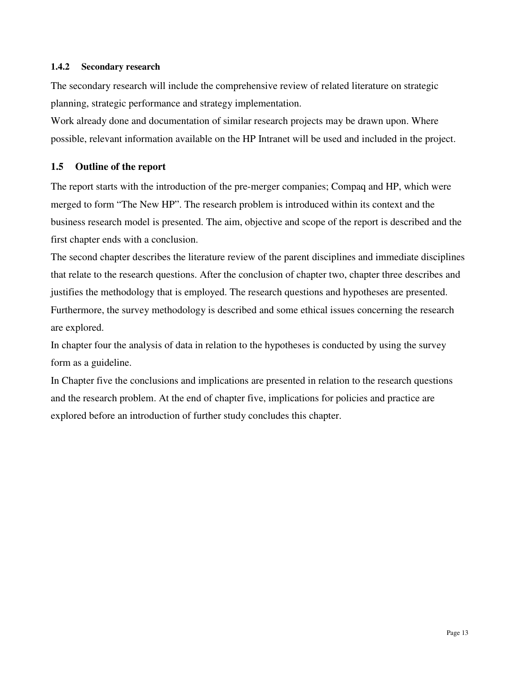#### **1.4.2 Secondary research**

The secondary research will include the comprehensive review of related literature on strategic planning, strategic performance and strategy implementation.

Work already done and documentation of similar research projects may be drawn upon. Where possible, relevant information available on the HP Intranet will be used and included in the project.

## **1.5 Outline of the report**

The report starts with the introduction of the pre-merger companies; Compaq and HP, which were merged to form "The New HP". The research problem is introduced within its context and the business research model is presented. The aim, objective and scope of the report is described and the first chapter ends with a conclusion.

The second chapter describes the literature review of the parent disciplines and immediate disciplines that relate to the research questions. After the conclusion of chapter two, chapter three describes and justifies the methodology that is employed. The research questions and hypotheses are presented. Furthermore, the survey methodology is described and some ethical issues concerning the research are explored.

In chapter four the analysis of data in relation to the hypotheses is conducted by using the survey form as a guideline.

In Chapter five the conclusions and implications are presented in relation to the research questions and the research problem. At the end of chapter five, implications for policies and practice are explored before an introduction of further study concludes this chapter.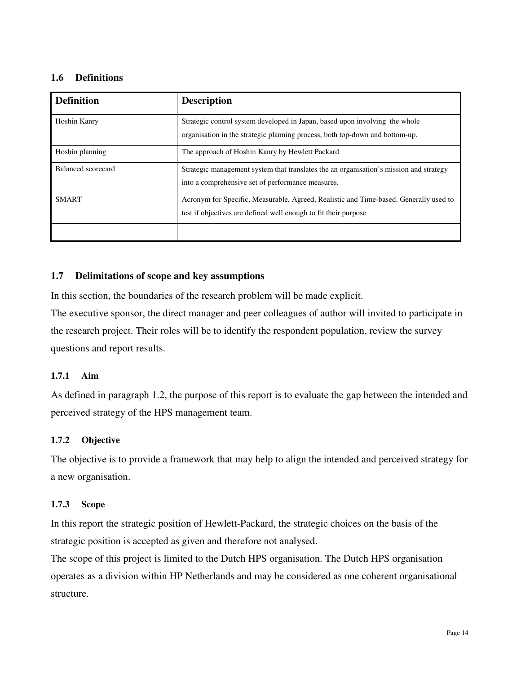## **1.6 Definitions**

| <b>Definition</b>  | <b>Description</b>                                                                                                                                          |
|--------------------|-------------------------------------------------------------------------------------------------------------------------------------------------------------|
| Hoshin Kanry       | Strategic control system developed in Japan, based upon involving the whole<br>organisation in the strategic planning process, both top-down and bottom-up. |
| Hoshin planning    | The approach of Hoshin Kanry by Hewlett Packard                                                                                                             |
| Balanced scorecard | Strategic management system that translates the an organisation's mission and strategy<br>into a comprehensive set of performance measures.                 |
| <b>SMART</b>       | Acronym for Specific, Measurable, Agreed, Realistic and Time-based. Generally used to<br>test if objectives are defined well enough to fit their purpose    |
|                    |                                                                                                                                                             |

#### **1.7 Delimitations of scope and key assumptions**

In this section, the boundaries of the research problem will be made explicit.

The executive sponsor, the direct manager and peer colleagues of author will invited to participate in the research project. Their roles will be to identify the respondent population, review the survey questions and report results.

#### **1.7.1 Aim**

As defined in paragraph 1.2, the purpose of this report is to evaluate the gap between the intended and perceived strategy of the HPS management team.

#### **1.7.2 Objective**

The objective is to provide a framework that may help to align the intended and perceived strategy for a new organisation.

#### **1.7.3 Scope**

In this report the strategic position of Hewlett-Packard, the strategic choices on the basis of the strategic position is accepted as given and therefore not analysed.

The scope of this project is limited to the Dutch HPS organisation. The Dutch HPS organisation operates as a division within HP Netherlands and may be considered as one coherent organisational structure.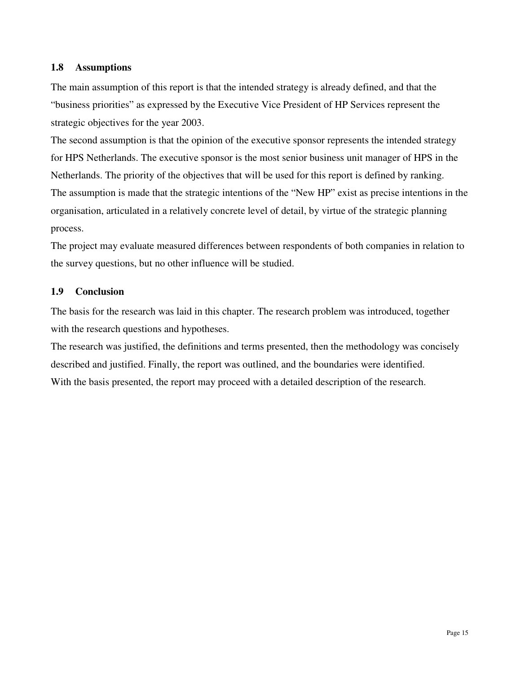#### **1.8 Assumptions**

The main assumption of this report is that the intended strategy is already defined, and that the "business priorities" as expressed by the Executive Vice President of HP Services represent the strategic objectives for the year 2003.

The second assumption is that the opinion of the executive sponsor represents the intended strategy for HPS Netherlands. The executive sponsor is the most senior business unit manager of HPS in the Netherlands. The priority of the objectives that will be used for this report is defined by ranking. The assumption is made that the strategic intentions of the "New HP" exist as precise intentions in the organisation, articulated in a relatively concrete level of detail, by virtue of the strategic planning process.

The project may evaluate measured differences between respondents of both companies in relation to the survey questions, but no other influence will be studied.

#### **1.9 Conclusion**

The basis for the research was laid in this chapter. The research problem was introduced, together with the research questions and hypotheses.

The research was justified, the definitions and terms presented, then the methodology was concisely described and justified. Finally, the report was outlined, and the boundaries were identified. With the basis presented, the report may proceed with a detailed description of the research.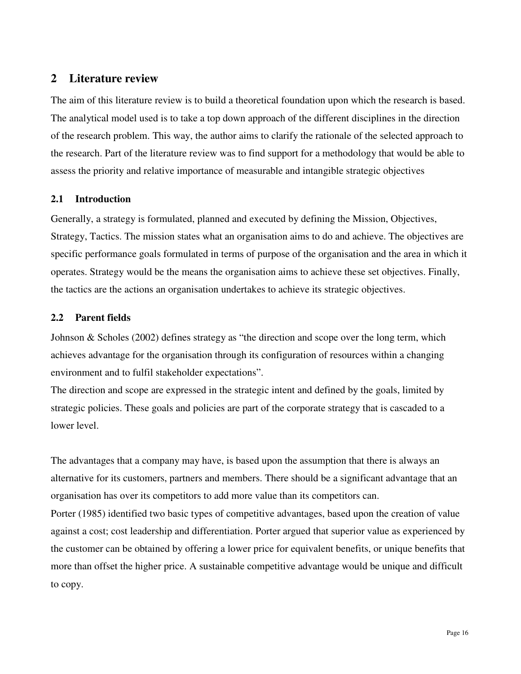# **2 Literature review**

The aim of this literature review is to build a theoretical foundation upon which the research is based. The analytical model used is to take a top down approach of the different disciplines in the direction of the research problem. This way, the author aims to clarify the rationale of the selected approach to the research. Part of the literature review was to find support for a methodology that would be able to assess the priority and relative importance of measurable and intangible strategic objectives

# **2.1 Introduction**

Generally, a strategy is formulated, planned and executed by defining the Mission, Objectives, Strategy, Tactics. The mission states what an organisation aims to do and achieve. The objectives are specific performance goals formulated in terms of purpose of the organisation and the area in which it operates. Strategy would be the means the organisation aims to achieve these set objectives. Finally, the tactics are the actions an organisation undertakes to achieve its strategic objectives.

## **2.2 Parent fields**

Johnson & Scholes (2002) defines strategy as "the direction and scope over the long term, which achieves advantage for the organisation through its configuration of resources within a changing environment and to fulfil stakeholder expectations".

The direction and scope are expressed in the strategic intent and defined by the goals, limited by strategic policies. These goals and policies are part of the corporate strategy that is cascaded to a lower level.

The advantages that a company may have, is based upon the assumption that there is always an alternative for its customers, partners and members. There should be a significant advantage that an organisation has over its competitors to add more value than its competitors can.

Porter (1985) identified two basic types of competitive advantages, based upon the creation of value against a cost; cost leadership and differentiation. Porter argued that superior value as experienced by the customer can be obtained by offering a lower price for equivalent benefits, or unique benefits that more than offset the higher price. A sustainable competitive advantage would be unique and difficult to copy.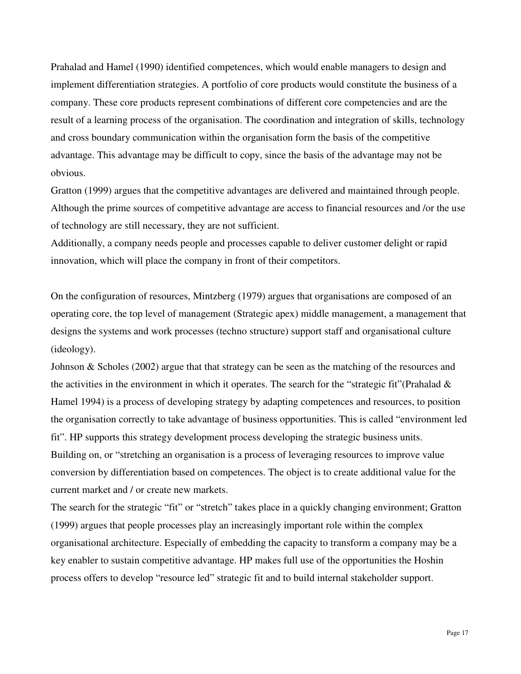Prahalad and Hamel (1990) identified competences, which would enable managers to design and implement differentiation strategies. A portfolio of core products would constitute the business of a company. These core products represent combinations of different core competencies and are the result of a learning process of the organisation. The coordination and integration of skills, technology and cross boundary communication within the organisation form the basis of the competitive advantage. This advantage may be difficult to copy, since the basis of the advantage may not be obvious.

Gratton (1999) argues that the competitive advantages are delivered and maintained through people. Although the prime sources of competitive advantage are access to financial resources and /or the use of technology are still necessary, they are not sufficient.

Additionally, a company needs people and processes capable to deliver customer delight or rapid innovation, which will place the company in front of their competitors.

On the configuration of resources, Mintzberg (1979) argues that organisations are composed of an operating core, the top level of management (Strategic apex) middle management, a management that designs the systems and work processes (techno structure) support staff and organisational culture (ideology).

Johnson & Scholes (2002) argue that that strategy can be seen as the matching of the resources and the activities in the environment in which it operates. The search for the "strategic fit"(Prahalad & Hamel 1994) is a process of developing strategy by adapting competences and resources, to position the organisation correctly to take advantage of business opportunities. This is called "environment led fit". HP supports this strategy development process developing the strategic business units. Building on, or "stretching an organisation is a process of leveraging resources to improve value conversion by differentiation based on competences. The object is to create additional value for the current market and / or create new markets.

The search for the strategic "fit" or "stretch" takes place in a quickly changing environment; Gratton (1999) argues that people processes play an increasingly important role within the complex organisational architecture. Especially of embedding the capacity to transform a company may be a key enabler to sustain competitive advantage. HP makes full use of the opportunities the Hoshin process offers to develop "resource led" strategic fit and to build internal stakeholder support.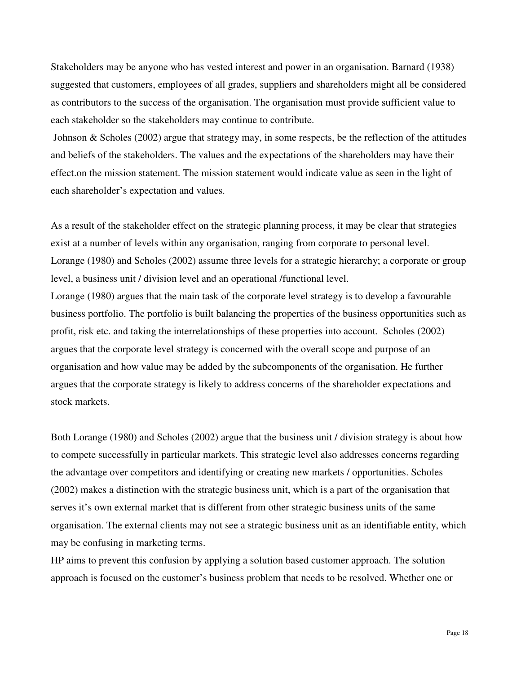Stakeholders may be anyone who has vested interest and power in an organisation. Barnard (1938) suggested that customers, employees of all grades, suppliers and shareholders might all be considered as contributors to the success of the organisation. The organisation must provide sufficient value to each stakeholder so the stakeholders may continue to contribute.

 Johnson & Scholes (2002) argue that strategy may, in some respects, be the reflection of the attitudes and beliefs of the stakeholders. The values and the expectations of the shareholders may have their effect.on the mission statement. The mission statement would indicate value as seen in the light of each shareholder's expectation and values.

As a result of the stakeholder effect on the strategic planning process, it may be clear that strategies exist at a number of levels within any organisation, ranging from corporate to personal level. Lorange (1980) and Scholes (2002) assume three levels for a strategic hierarchy; a corporate or group level, a business unit / division level and an operational /functional level. Lorange (1980) argues that the main task of the corporate level strategy is to develop a favourable business portfolio. The portfolio is built balancing the properties of the business opportunities such as profit, risk etc. and taking the interrelationships of these properties into account. Scholes (2002) argues that the corporate level strategy is concerned with the overall scope and purpose of an organisation and how value may be added by the subcomponents of the organisation. He further argues that the corporate strategy is likely to address concerns of the shareholder expectations and stock markets.

Both Lorange (1980) and Scholes (2002) argue that the business unit / division strategy is about how to compete successfully in particular markets. This strategic level also addresses concerns regarding the advantage over competitors and identifying or creating new markets / opportunities. Scholes (2002) makes a distinction with the strategic business unit, which is a part of the organisation that serves it's own external market that is different from other strategic business units of the same organisation. The external clients may not see a strategic business unit as an identifiable entity, which may be confusing in marketing terms.

HP aims to prevent this confusion by applying a solution based customer approach. The solution approach is focused on the customer's business problem that needs to be resolved. Whether one or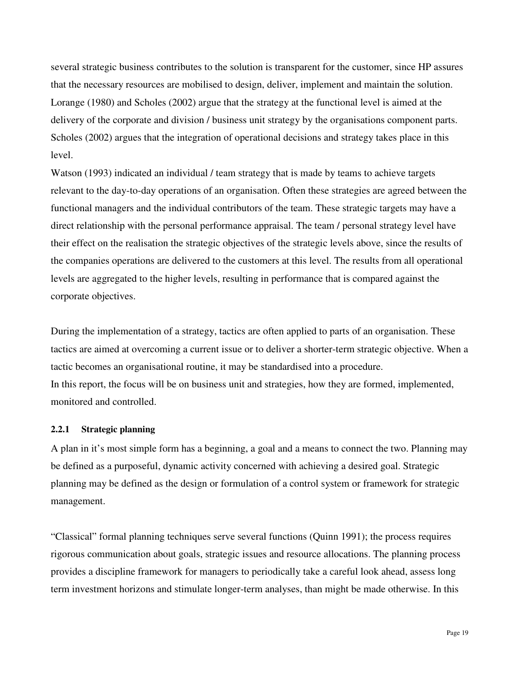several strategic business contributes to the solution is transparent for the customer, since HP assures that the necessary resources are mobilised to design, deliver, implement and maintain the solution. Lorange (1980) and Scholes (2002) argue that the strategy at the functional level is aimed at the delivery of the corporate and division / business unit strategy by the organisations component parts. Scholes (2002) argues that the integration of operational decisions and strategy takes place in this level.

Watson (1993) indicated an individual / team strategy that is made by teams to achieve targets relevant to the day-to-day operations of an organisation. Often these strategies are agreed between the functional managers and the individual contributors of the team. These strategic targets may have a direct relationship with the personal performance appraisal. The team / personal strategy level have their effect on the realisation the strategic objectives of the strategic levels above, since the results of the companies operations are delivered to the customers at this level. The results from all operational levels are aggregated to the higher levels, resulting in performance that is compared against the corporate objectives.

During the implementation of a strategy, tactics are often applied to parts of an organisation. These tactics are aimed at overcoming a current issue or to deliver a shorter-term strategic objective. When a tactic becomes an organisational routine, it may be standardised into a procedure. In this report, the focus will be on business unit and strategies, how they are formed, implemented, monitored and controlled.

#### **2.2.1 Strategic planning**

A plan in it's most simple form has a beginning, a goal and a means to connect the two. Planning may be defined as a purposeful, dynamic activity concerned with achieving a desired goal. Strategic planning may be defined as the design or formulation of a control system or framework for strategic management.

"Classical" formal planning techniques serve several functions (Quinn 1991); the process requires rigorous communication about goals, strategic issues and resource allocations. The planning process provides a discipline framework for managers to periodically take a careful look ahead, assess long term investment horizons and stimulate longer-term analyses, than might be made otherwise. In this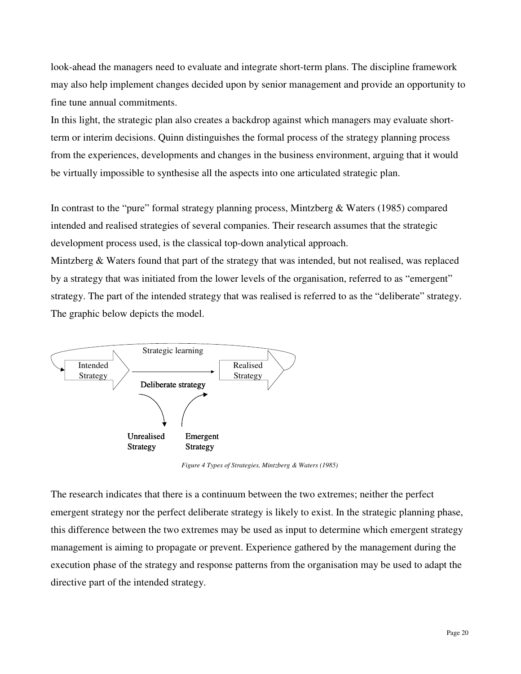look-ahead the managers need to evaluate and integrate short-term plans. The discipline framework may also help implement changes decided upon by senior management and provide an opportunity to fine tune annual commitments.

In this light, the strategic plan also creates a backdrop against which managers may evaluate shortterm or interim decisions. Quinn distinguishes the formal process of the strategy planning process from the experiences, developments and changes in the business environment, arguing that it would be virtually impossible to synthesise all the aspects into one articulated strategic plan.

In contrast to the "pure" formal strategy planning process, Mintzberg & Waters (1985) compared intended and realised strategies of several companies. Their research assumes that the strategic development process used, is the classical top-down analytical approach.

Mintzberg & Waters found that part of the strategy that was intended, but not realised, was replaced by a strategy that was initiated from the lower levels of the organisation, referred to as "emergent" strategy. The part of the intended strategy that was realised is referred to as the "deliberate" strategy. The graphic below depicts the model.



*Figure 4 Types of Strategies, Mintzberg & Waters (1985)* 

The research indicates that there is a continuum between the two extremes; neither the perfect emergent strategy nor the perfect deliberate strategy is likely to exist. In the strategic planning phase, this difference between the two extremes may be used as input to determine which emergent strategy management is aiming to propagate or prevent. Experience gathered by the management during the execution phase of the strategy and response patterns from the organisation may be used to adapt the directive part of the intended strategy.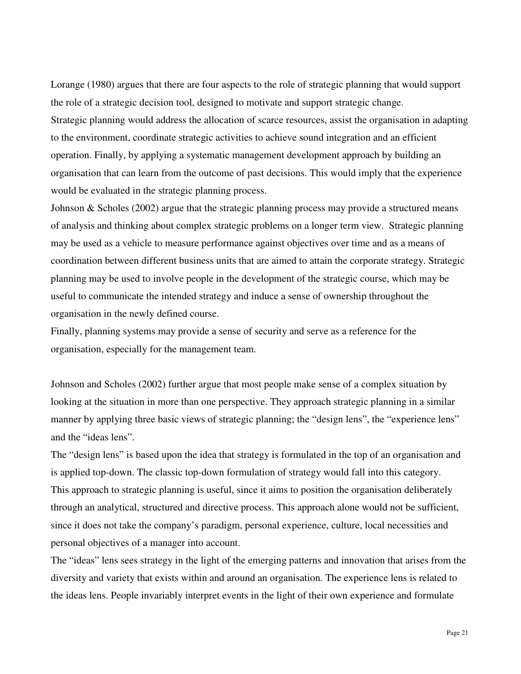Lorange (1980) argues that there are four aspects to the role of strategic planning that would support the role of a strategic decision tool, designed to motivate and support strategic change. Strategic planning would address the allocation of scarce resources, assist the organisation in adapting to the environment, coordinate strategic activities to achieve sound integration and an efficient operation. Finally, by applying a systematic management development approach by building an organisation that can learn from the outcome of past decisions. This would imply that the experience would be evaluated in the strategic planning process.

Johnson & Scholes (2002) argue that the strategic planning process may provide a structured means of analysis and thinking about complex strategic problems on a longer term view. Strategic planning may be used as a vehicle to measure performance against objectives over time and as a means of coordination between different business units that are aimed to attain the corporate strategy. Strategic planning may be used to involve people in the development of the strategic course, which may be useful to communicate the intended strategy and induce a sense of ownership throughout the organisation in the newly defined course.

Finally, planning systems may provide a sense of security and serve as a reference for the organisation, especially for the management team.

Johnson and Scholes (2002) further argue that most people make sense of a complex situation by looking at the situation in more than one perspective. They approach strategic planning in a similar manner by applying three basic views of strategic planning; the "design lens", the "experience lens" and the "ideas lens".

The "design lens" is based upon the idea that strategy is formulated in the top of an organisation and is applied top-down. The classic top-down formulation of strategy would fall into this category. This approach to strategic planning is useful, since it aims to position the organisation deliberately through an analytical, structured and directive process. This approach alone would not be sufficient, since it does not take the company's paradigm, personal experience, culture, local necessities and personal objectives of a manager into account.

The "ideas" lens sees strategy in the light of the emerging patterns and innovation that arises from the diversity and variety that exists within and around an organisation. The experience lens is related to the ideas lens. People invariably interpret events in the light of their own experience and formulate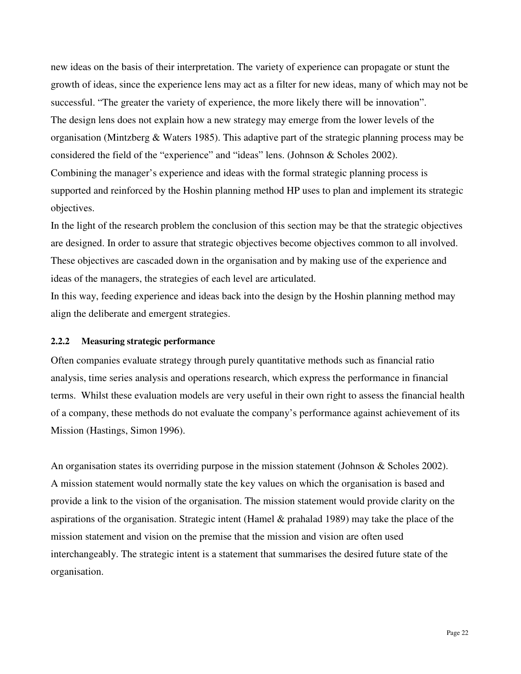new ideas on the basis of their interpretation. The variety of experience can propagate or stunt the growth of ideas, since the experience lens may act as a filter for new ideas, many of which may not be successful. "The greater the variety of experience, the more likely there will be innovation". The design lens does not explain how a new strategy may emerge from the lower levels of the organisation (Mintzberg & Waters 1985). This adaptive part of the strategic planning process may be considered the field of the "experience" and "ideas" lens. (Johnson & Scholes 2002). Combining the manager's experience and ideas with the formal strategic planning process is supported and reinforced by the Hoshin planning method HP uses to plan and implement its strategic objectives.

In the light of the research problem the conclusion of this section may be that the strategic objectives are designed. In order to assure that strategic objectives become objectives common to all involved. These objectives are cascaded down in the organisation and by making use of the experience and ideas of the managers, the strategies of each level are articulated.

In this way, feeding experience and ideas back into the design by the Hoshin planning method may align the deliberate and emergent strategies.

#### **2.2.2 Measuring strategic performance**

Often companies evaluate strategy through purely quantitative methods such as financial ratio analysis, time series analysis and operations research, which express the performance in financial terms. Whilst these evaluation models are very useful in their own right to assess the financial health of a company, these methods do not evaluate the company's performance against achievement of its Mission (Hastings, Simon 1996).

An organisation states its overriding purpose in the mission statement (Johnson & Scholes 2002). A mission statement would normally state the key values on which the organisation is based and provide a link to the vision of the organisation. The mission statement would provide clarity on the aspirations of the organisation. Strategic intent (Hamel & prahalad 1989) may take the place of the mission statement and vision on the premise that the mission and vision are often used interchangeably. The strategic intent is a statement that summarises the desired future state of the organisation.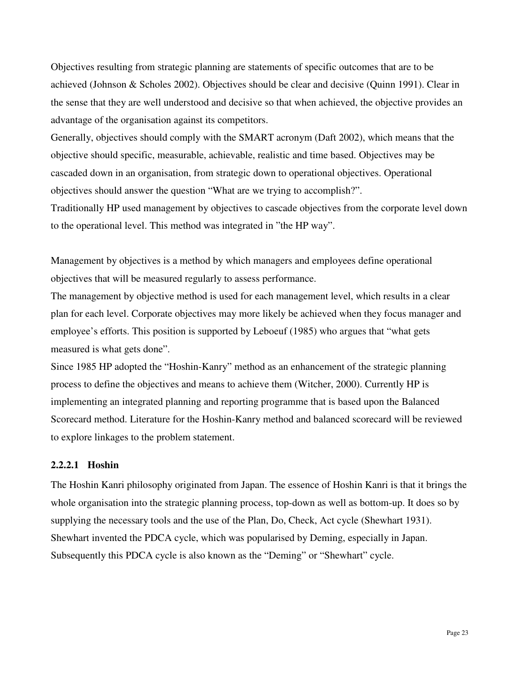Objectives resulting from strategic planning are statements of specific outcomes that are to be achieved (Johnson & Scholes 2002). Objectives should be clear and decisive (Quinn 1991). Clear in the sense that they are well understood and decisive so that when achieved, the objective provides an advantage of the organisation against its competitors.

Generally, objectives should comply with the SMART acronym (Daft 2002), which means that the objective should specific, measurable, achievable, realistic and time based. Objectives may be cascaded down in an organisation, from strategic down to operational objectives. Operational objectives should answer the question "What are we trying to accomplish?". Traditionally HP used management by objectives to cascade objectives from the corporate level down to the operational level. This method was integrated in "the HP way".

Management by objectives is a method by which managers and employees define operational objectives that will be measured regularly to assess performance.

The management by objective method is used for each management level, which results in a clear plan for each level. Corporate objectives may more likely be achieved when they focus manager and employee's efforts. This position is supported by Leboeuf (1985) who argues that "what gets measured is what gets done".

Since 1985 HP adopted the "Hoshin-Kanry" method as an enhancement of the strategic planning process to define the objectives and means to achieve them (Witcher, 2000). Currently HP is implementing an integrated planning and reporting programme that is based upon the Balanced Scorecard method. Literature for the Hoshin-Kanry method and balanced scorecard will be reviewed to explore linkages to the problem statement.

## **2.2.2.1 Hoshin**

The Hoshin Kanri philosophy originated from Japan. The essence of Hoshin Kanri is that it brings the whole organisation into the strategic planning process, top-down as well as bottom-up. It does so by supplying the necessary tools and the use of the Plan, Do, Check, Act cycle (Shewhart 1931). Shewhart invented the PDCA cycle, which was popularised by Deming, especially in Japan. Subsequently this PDCA cycle is also known as the "Deming" or "Shewhart" cycle.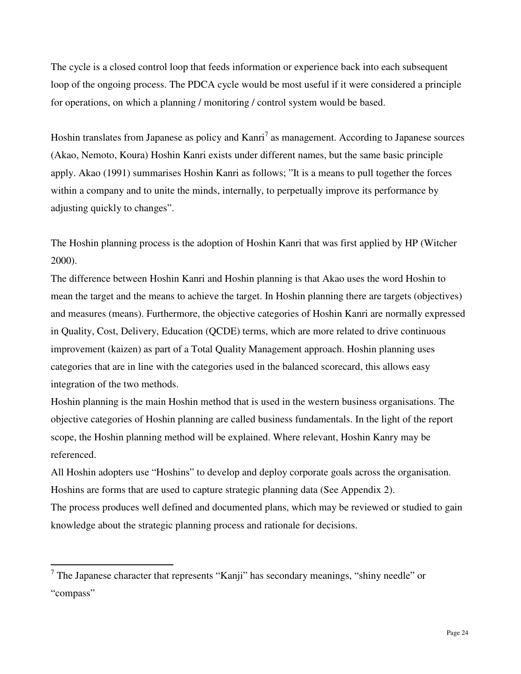The cycle is a closed control loop that feeds information or experience back into each subsequent loop of the ongoing process. The PDCA cycle would be most useful if it were considered a principle for operations, on which a planning / monitoring / control system would be based.

Hoshin translates from Japanese as policy and Kanri<sup>7</sup> as management. According to Japanese sources (Akao, Nemoto, Koura) Hoshin Kanri exists under different names, but the same basic principle apply. Akao (1991) summarises Hoshin Kanri as follows; "It is a means to pull together the forces within a company and to unite the minds, internally, to perpetually improve its performance by adjusting quickly to changes".

The Hoshin planning process is the adoption of Hoshin Kanri that was first applied by HP (Witcher 2000).

The difference between Hoshin Kanri and Hoshin planning is that Akao uses the word Hoshin to mean the target and the means to achieve the target. In Hoshin planning there are targets (objectives) and measures (means). Furthermore, the objective categories of Hoshin Kanri are normally expressed in Quality, Cost, Delivery, Education (QCDE) terms, which are more related to drive continuous improvement (kaizen) as part of a Total Quality Management approach. Hoshin planning uses categories that are in line with the categories used in the balanced scorecard, this allows easy integration of the two methods.

Hoshin planning is the main Hoshin method that is used in the western business organisations. The objective categories of Hoshin planning are called business fundamentals. In the light of the report scope, the Hoshin planning method will be explained. Where relevant, Hoshin Kanry may be referenced.

All Hoshin adopters use "Hoshins" to develop and deploy corporate goals across the organisation. Hoshins are forms that are used to capture strategic planning data (See Appendix 2).

The process produces well defined and documented plans, which may be reviewed or studied to gain knowledge about the strategic planning process and rationale for decisions.

 $\overline{a}$ 

<sup>&</sup>lt;sup>7</sup> The Japanese character that represents "Kanji" has secondary meanings, "shiny needle" or "compass"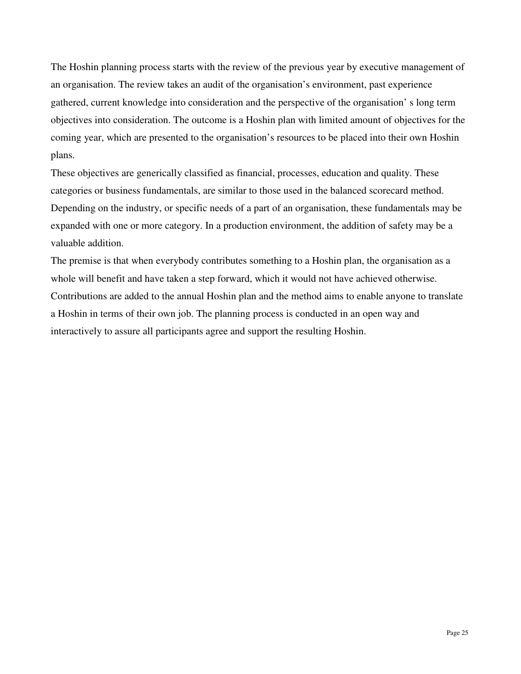The Hoshin planning process starts with the review of the previous year by executive management of an organisation. The review takes an audit of the organisation's environment, past experience gathered, current knowledge into consideration and the perspective of the organisation' s long term objectives into consideration. The outcome is a Hoshin plan with limited amount of objectives for the coming year, which are presented to the organisation's resources to be placed into their own Hoshin plans.

These objectives are generically classified as financial, processes, education and quality. These categories or business fundamentals, are similar to those used in the balanced scorecard method. Depending on the industry, or specific needs of a part of an organisation, these fundamentals may be expanded with one or more category. In a production environment, the addition of safety may be a valuable addition.

The premise is that when everybody contributes something to a Hoshin plan, the organisation as a whole will benefit and have taken a step forward, which it would not have achieved otherwise. Contributions are added to the annual Hoshin plan and the method aims to enable anyone to translate a Hoshin in terms of their own job. The planning process is conducted in an open way and interactively to assure all participants agree and support the resulting Hoshin.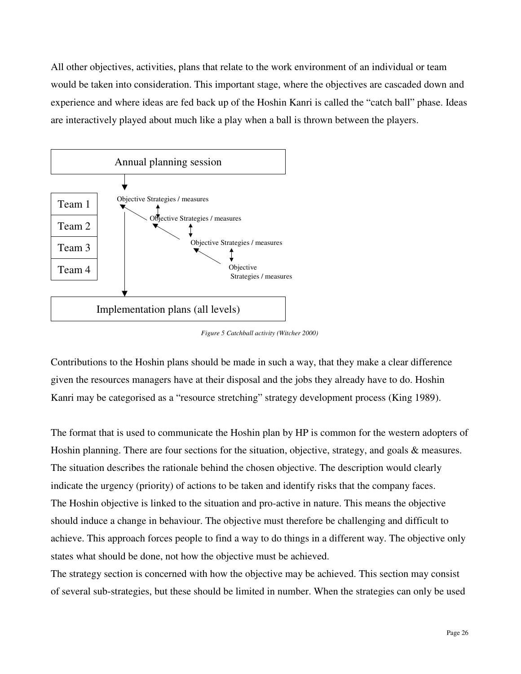All other objectives, activities, plans that relate to the work environment of an individual or team would be taken into consideration. This important stage, where the objectives are cascaded down and experience and where ideas are fed back up of the Hoshin Kanri is called the "catch ball" phase. Ideas are interactively played about much like a play when a ball is thrown between the players.



*Figure 5 Catchball activity (Witcher 2000)* 

Contributions to the Hoshin plans should be made in such a way, that they make a clear difference given the resources managers have at their disposal and the jobs they already have to do. Hoshin Kanri may be categorised as a "resource stretching" strategy development process (King 1989).

The format that is used to communicate the Hoshin plan by HP is common for the western adopters of Hoshin planning. There are four sections for the situation, objective, strategy, and goals & measures. The situation describes the rationale behind the chosen objective. The description would clearly indicate the urgency (priority) of actions to be taken and identify risks that the company faces. The Hoshin objective is linked to the situation and pro-active in nature. This means the objective should induce a change in behaviour. The objective must therefore be challenging and difficult to achieve. This approach forces people to find a way to do things in a different way. The objective only states what should be done, not how the objective must be achieved.

The strategy section is concerned with how the objective may be achieved. This section may consist of several sub-strategies, but these should be limited in number. When the strategies can only be used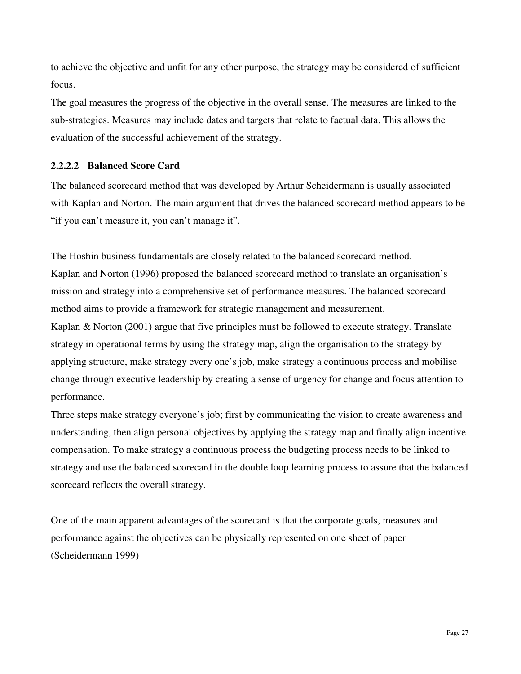to achieve the objective and unfit for any other purpose, the strategy may be considered of sufficient focus.

The goal measures the progress of the objective in the overall sense. The measures are linked to the sub-strategies. Measures may include dates and targets that relate to factual data. This allows the evaluation of the successful achievement of the strategy.

## **2.2.2.2 Balanced Score Card**

The balanced scorecard method that was developed by Arthur Scheidermann is usually associated with Kaplan and Norton. The main argument that drives the balanced scorecard method appears to be "if you can't measure it, you can't manage it".

The Hoshin business fundamentals are closely related to the balanced scorecard method. Kaplan and Norton (1996) proposed the balanced scorecard method to translate an organisation's mission and strategy into a comprehensive set of performance measures. The balanced scorecard method aims to provide a framework for strategic management and measurement.

Kaplan & Norton (2001) argue that five principles must be followed to execute strategy. Translate strategy in operational terms by using the strategy map, align the organisation to the strategy by applying structure, make strategy every one's job, make strategy a continuous process and mobilise change through executive leadership by creating a sense of urgency for change and focus attention to performance.

Three steps make strategy everyone's job; first by communicating the vision to create awareness and understanding, then align personal objectives by applying the strategy map and finally align incentive compensation. To make strategy a continuous process the budgeting process needs to be linked to strategy and use the balanced scorecard in the double loop learning process to assure that the balanced scorecard reflects the overall strategy.

One of the main apparent advantages of the scorecard is that the corporate goals, measures and performance against the objectives can be physically represented on one sheet of paper (Scheidermann 1999)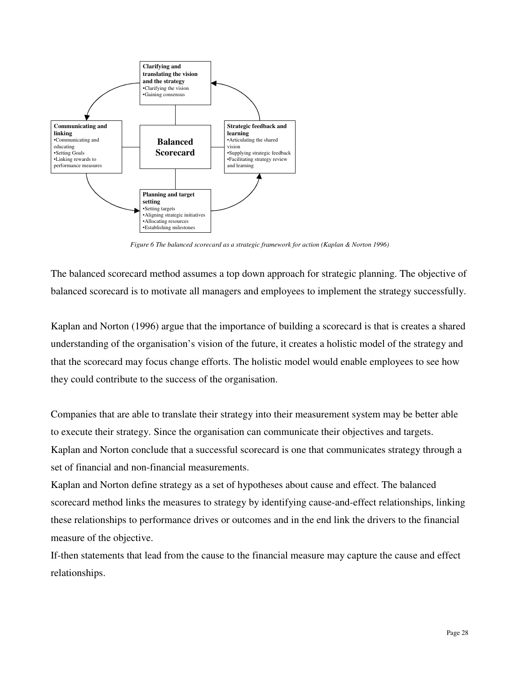

*Figure 6 The balanced scorecard as a strategic framework for action (Kaplan & Norton 1996)* 

The balanced scorecard method assumes a top down approach for strategic planning. The objective of balanced scorecard is to motivate all managers and employees to implement the strategy successfully.

Kaplan and Norton (1996) argue that the importance of building a scorecard is that is creates a shared understanding of the organisation's vision of the future, it creates a holistic model of the strategy and that the scorecard may focus change efforts. The holistic model would enable employees to see how they could contribute to the success of the organisation.

Companies that are able to translate their strategy into their measurement system may be better able to execute their strategy. Since the organisation can communicate their objectives and targets. Kaplan and Norton conclude that a successful scorecard is one that communicates strategy through a set of financial and non-financial measurements.

Kaplan and Norton define strategy as a set of hypotheses about cause and effect. The balanced scorecard method links the measures to strategy by identifying cause-and-effect relationships, linking these relationships to performance drives or outcomes and in the end link the drivers to the financial measure of the objective.

If-then statements that lead from the cause to the financial measure may capture the cause and effect relationships.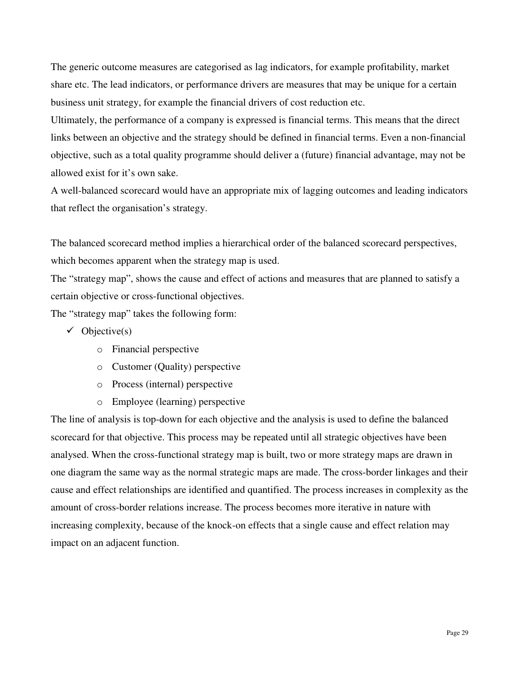The generic outcome measures are categorised as lag indicators, for example profitability, market share etc. The lead indicators, or performance drivers are measures that may be unique for a certain business unit strategy, for example the financial drivers of cost reduction etc.

Ultimately, the performance of a company is expressed is financial terms. This means that the direct links between an objective and the strategy should be defined in financial terms. Even a non-financial objective, such as a total quality programme should deliver a (future) financial advantage, may not be allowed exist for it's own sake.

A well-balanced scorecard would have an appropriate mix of lagging outcomes and leading indicators that reflect the organisation's strategy.

The balanced scorecard method implies a hierarchical order of the balanced scorecard perspectives, which becomes apparent when the strategy map is used.

The "strategy map", shows the cause and effect of actions and measures that are planned to satisfy a certain objective or cross-functional objectives.

The "strategy map" takes the following form:

- $\checkmark$  Objective(s)
	- o Financial perspective
	- o Customer (Quality) perspective
	- o Process (internal) perspective
	- o Employee (learning) perspective

The line of analysis is top-down for each objective and the analysis is used to define the balanced scorecard for that objective. This process may be repeated until all strategic objectives have been analysed. When the cross-functional strategy map is built, two or more strategy maps are drawn in one diagram the same way as the normal strategic maps are made. The cross-border linkages and their cause and effect relationships are identified and quantified. The process increases in complexity as the amount of cross-border relations increase. The process becomes more iterative in nature with increasing complexity, because of the knock-on effects that a single cause and effect relation may impact on an adjacent function.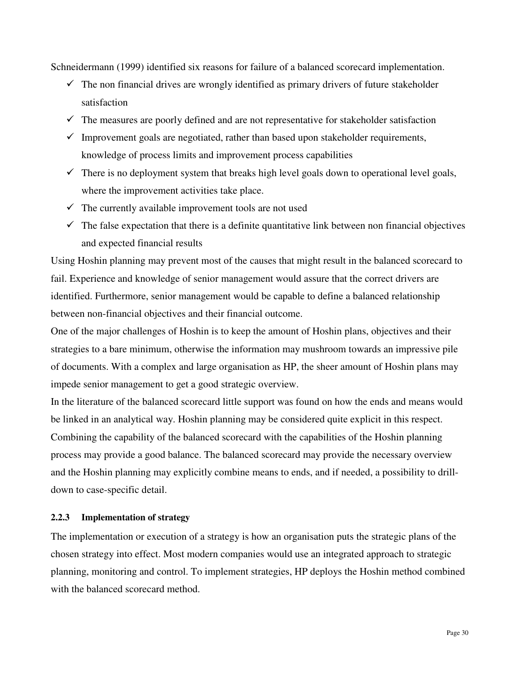Schneidermann (1999) identified six reasons for failure of a balanced scorecard implementation.

- $\checkmark$  The non financial drives are wrongly identified as primary drivers of future stakeholder satisfaction
- $\checkmark$  The measures are poorly defined and are not representative for stakeholder satisfaction
- $\checkmark$  Improvement goals are negotiated, rather than based upon stakeholder requirements, knowledge of process limits and improvement process capabilities
- $\checkmark$  There is no deployment system that breaks high level goals down to operational level goals, where the improvement activities take place.
- $\checkmark$  The currently available improvement tools are not used
- $\checkmark$  The false expectation that there is a definite quantitative link between non financial objectives and expected financial results

Using Hoshin planning may prevent most of the causes that might result in the balanced scorecard to fail. Experience and knowledge of senior management would assure that the correct drivers are identified. Furthermore, senior management would be capable to define a balanced relationship between non-financial objectives and their financial outcome.

One of the major challenges of Hoshin is to keep the amount of Hoshin plans, objectives and their strategies to a bare minimum, otherwise the information may mushroom towards an impressive pile of documents. With a complex and large organisation as HP, the sheer amount of Hoshin plans may impede senior management to get a good strategic overview.

In the literature of the balanced scorecard little support was found on how the ends and means would be linked in an analytical way. Hoshin planning may be considered quite explicit in this respect. Combining the capability of the balanced scorecard with the capabilities of the Hoshin planning process may provide a good balance. The balanced scorecard may provide the necessary overview and the Hoshin planning may explicitly combine means to ends, and if needed, a possibility to drilldown to case-specific detail.

## **2.2.3 Implementation of strategy**

The implementation or execution of a strategy is how an organisation puts the strategic plans of the chosen strategy into effect. Most modern companies would use an integrated approach to strategic planning, monitoring and control. To implement strategies, HP deploys the Hoshin method combined with the balanced scorecard method.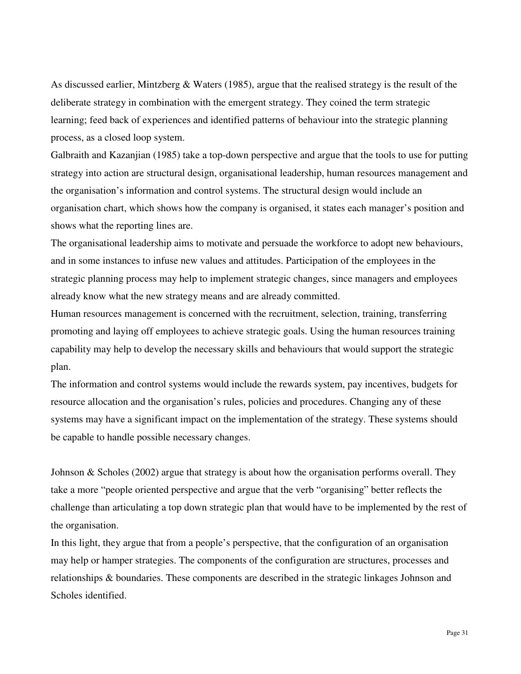As discussed earlier, Mintzberg & Waters (1985), argue that the realised strategy is the result of the deliberate strategy in combination with the emergent strategy. They coined the term strategic learning; feed back of experiences and identified patterns of behaviour into the strategic planning process, as a closed loop system.

Galbraith and Kazanjian (1985) take a top-down perspective and argue that the tools to use for putting strategy into action are structural design, organisational leadership, human resources management and the organisation's information and control systems. The structural design would include an organisation chart, which shows how the company is organised, it states each manager's position and shows what the reporting lines are.

The organisational leadership aims to motivate and persuade the workforce to adopt new behaviours, and in some instances to infuse new values and attitudes. Participation of the employees in the strategic planning process may help to implement strategic changes, since managers and employees already know what the new strategy means and are already committed.

Human resources management is concerned with the recruitment, selection, training, transferring promoting and laying off employees to achieve strategic goals. Using the human resources training capability may help to develop the necessary skills and behaviours that would support the strategic plan.

The information and control systems would include the rewards system, pay incentives, budgets for resource allocation and the organisation's rules, policies and procedures. Changing any of these systems may have a significant impact on the implementation of the strategy. These systems should be capable to handle possible necessary changes.

Johnson & Scholes (2002) argue that strategy is about how the organisation performs overall. They take a more "people oriented perspective and argue that the verb "organising" better reflects the challenge than articulating a top down strategic plan that would have to be implemented by the rest of the organisation.

In this light, they argue that from a people's perspective, that the configuration of an organisation may help or hamper strategies. The components of the configuration are structures, processes and relationships & boundaries. These components are described in the strategic linkages Johnson and Scholes identified.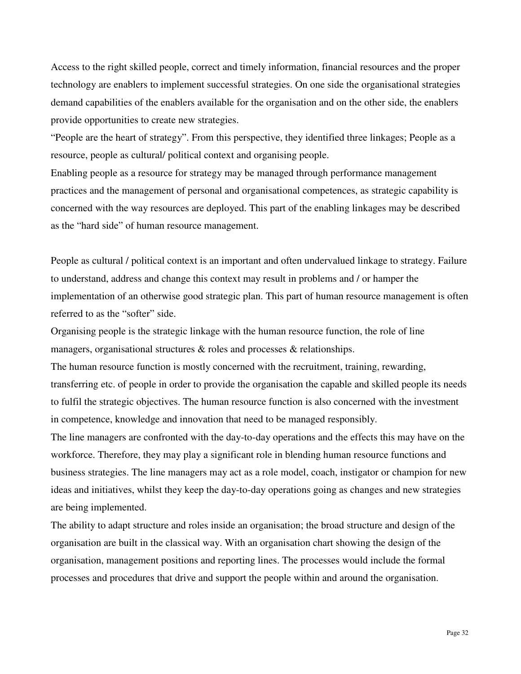Access to the right skilled people, correct and timely information, financial resources and the proper technology are enablers to implement successful strategies. On one side the organisational strategies demand capabilities of the enablers available for the organisation and on the other side, the enablers provide opportunities to create new strategies.

"People are the heart of strategy". From this perspective, they identified three linkages; People as a resource, people as cultural/ political context and organising people.

Enabling people as a resource for strategy may be managed through performance management practices and the management of personal and organisational competences, as strategic capability is concerned with the way resources are deployed. This part of the enabling linkages may be described as the "hard side" of human resource management.

People as cultural / political context is an important and often undervalued linkage to strategy. Failure to understand, address and change this context may result in problems and / or hamper the implementation of an otherwise good strategic plan. This part of human resource management is often referred to as the "softer" side.

Organising people is the strategic linkage with the human resource function, the role of line managers, organisational structures & roles and processes & relationships.

The human resource function is mostly concerned with the recruitment, training, rewarding, transferring etc. of people in order to provide the organisation the capable and skilled people its needs to fulfil the strategic objectives. The human resource function is also concerned with the investment in competence, knowledge and innovation that need to be managed responsibly.

The line managers are confronted with the day-to-day operations and the effects this may have on the workforce. Therefore, they may play a significant role in blending human resource functions and business strategies. The line managers may act as a role model, coach, instigator or champion for new ideas and initiatives, whilst they keep the day-to-day operations going as changes and new strategies are being implemented.

The ability to adapt structure and roles inside an organisation; the broad structure and design of the organisation are built in the classical way. With an organisation chart showing the design of the organisation, management positions and reporting lines. The processes would include the formal processes and procedures that drive and support the people within and around the organisation.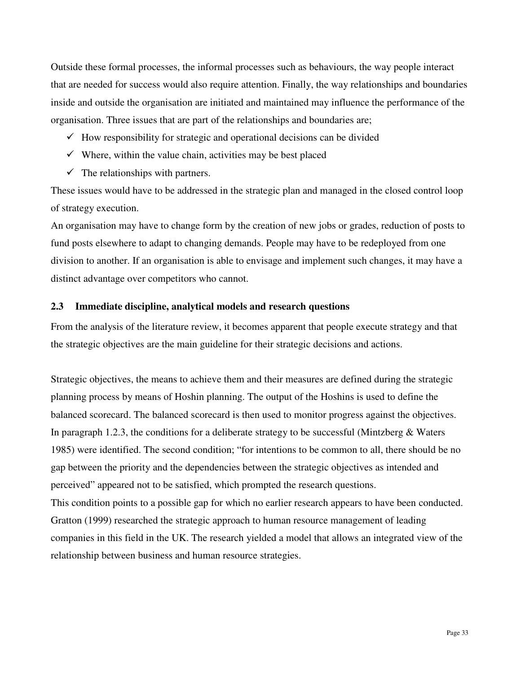Outside these formal processes, the informal processes such as behaviours, the way people interact that are needed for success would also require attention. Finally, the way relationships and boundaries inside and outside the organisation are initiated and maintained may influence the performance of the organisation. Three issues that are part of the relationships and boundaries are;

- $\checkmark$  How responsibility for strategic and operational decisions can be divided
- $\checkmark$  Where, within the value chain, activities may be best placed
- $\checkmark$  The relationships with partners.

These issues would have to be addressed in the strategic plan and managed in the closed control loop of strategy execution.

An organisation may have to change form by the creation of new jobs or grades, reduction of posts to fund posts elsewhere to adapt to changing demands. People may have to be redeployed from one division to another. If an organisation is able to envisage and implement such changes, it may have a distinct advantage over competitors who cannot.

## **2.3 Immediate discipline, analytical models and research questions**

From the analysis of the literature review, it becomes apparent that people execute strategy and that the strategic objectives are the main guideline for their strategic decisions and actions.

Strategic objectives, the means to achieve them and their measures are defined during the strategic planning process by means of Hoshin planning. The output of the Hoshins is used to define the balanced scorecard. The balanced scorecard is then used to monitor progress against the objectives. In paragraph 1.2.3, the conditions for a deliberate strategy to be successful (Mintzberg  $\&$  Waters 1985) were identified. The second condition; "for intentions to be common to all, there should be no gap between the priority and the dependencies between the strategic objectives as intended and perceived" appeared not to be satisfied, which prompted the research questions.

This condition points to a possible gap for which no earlier research appears to have been conducted. Gratton (1999) researched the strategic approach to human resource management of leading companies in this field in the UK. The research yielded a model that allows an integrated view of the relationship between business and human resource strategies.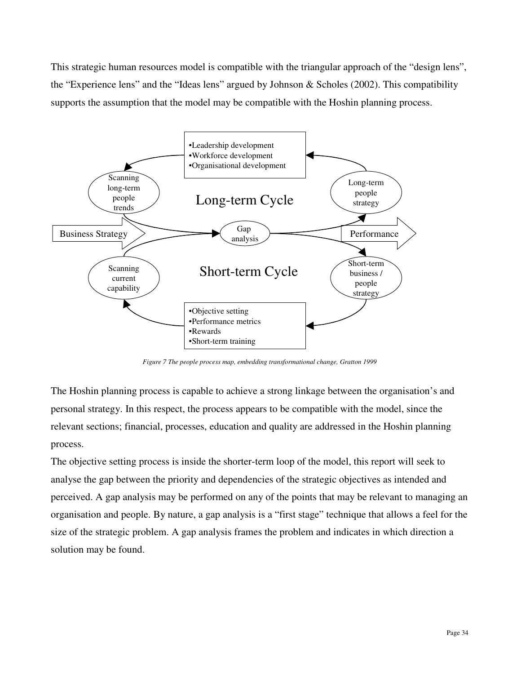This strategic human resources model is compatible with the triangular approach of the "design lens", the "Experience lens" and the "Ideas lens" argued by Johnson & Scholes (2002). This compatibility supports the assumption that the model may be compatible with the Hoshin planning process.



*Figure 7 The people process map, embedding transformational change, Gratton 1999* 

The Hoshin planning process is capable to achieve a strong linkage between the organisation's and personal strategy. In this respect, the process appears to be compatible with the model, since the relevant sections; financial, processes, education and quality are addressed in the Hoshin planning process.

The objective setting process is inside the shorter-term loop of the model, this report will seek to analyse the gap between the priority and dependencies of the strategic objectives as intended and perceived. A gap analysis may be performed on any of the points that may be relevant to managing an organisation and people. By nature, a gap analysis is a "first stage" technique that allows a feel for the size of the strategic problem. A gap analysis frames the problem and indicates in which direction a solution may be found.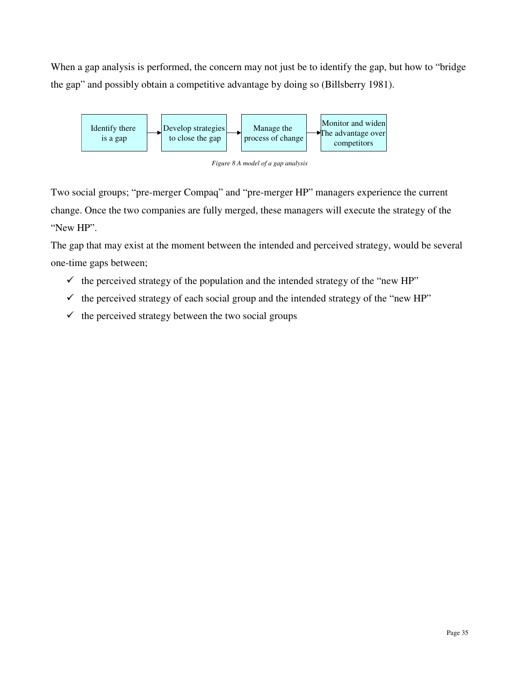When a gap analysis is performed, the concern may not just be to identify the gap, but how to "bridge" the gap" and possibly obtain a competitive advantage by doing so (Billsberry 1981).



*Figure 8 A model of a gap analysis* 

Two social groups; "pre-merger Compaq" and "pre-merger HP" managers experience the current change. Once the two companies are fully merged, these managers will execute the strategy of the "New HP".

The gap that may exist at the moment between the intended and perceived strategy, would be several one-time gaps between;

- $\checkmark$  the perceived strategy of the population and the intended strategy of the "new HP"
- $\checkmark$  the perceived strategy of each social group and the intended strategy of the "new HP"
- $\checkmark$  the perceived strategy between the two social groups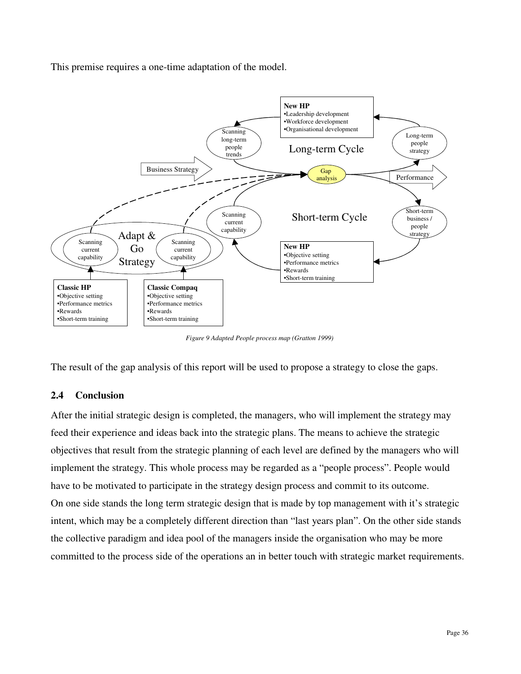This premise requires a one-time adaptation of the model.



*Figure 9 Adapted People process map (Gratton 1999)* 

The result of the gap analysis of this report will be used to propose a strategy to close the gaps.

## **2.4 Conclusion**

After the initial strategic design is completed, the managers, who will implement the strategy may feed their experience and ideas back into the strategic plans. The means to achieve the strategic objectives that result from the strategic planning of each level are defined by the managers who will implement the strategy. This whole process may be regarded as a "people process". People would have to be motivated to participate in the strategy design process and commit to its outcome. On one side stands the long term strategic design that is made by top management with it's strategic intent, which may be a completely different direction than "last years plan". On the other side stands the collective paradigm and idea pool of the managers inside the organisation who may be more committed to the process side of the operations an in better touch with strategic market requirements.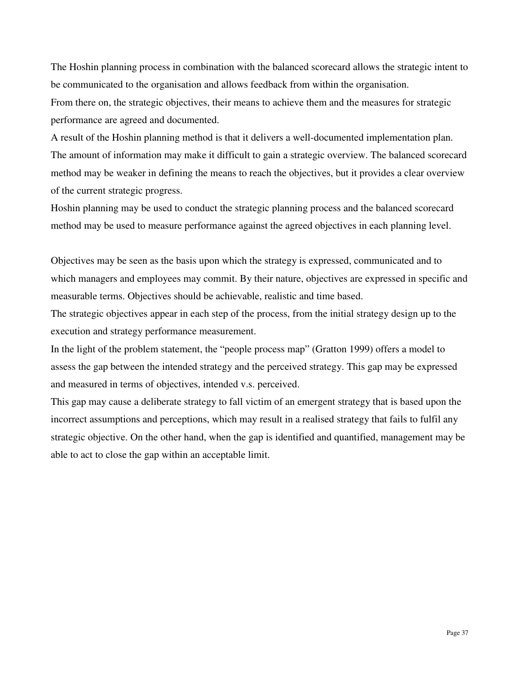The Hoshin planning process in combination with the balanced scorecard allows the strategic intent to be communicated to the organisation and allows feedback from within the organisation. From there on, the strategic objectives, their means to achieve them and the measures for strategic performance are agreed and documented.

A result of the Hoshin planning method is that it delivers a well-documented implementation plan. The amount of information may make it difficult to gain a strategic overview. The balanced scorecard method may be weaker in defining the means to reach the objectives, but it provides a clear overview of the current strategic progress.

Hoshin planning may be used to conduct the strategic planning process and the balanced scorecard method may be used to measure performance against the agreed objectives in each planning level.

Objectives may be seen as the basis upon which the strategy is expressed, communicated and to which managers and employees may commit. By their nature, objectives are expressed in specific and measurable terms. Objectives should be achievable, realistic and time based.

The strategic objectives appear in each step of the process, from the initial strategy design up to the execution and strategy performance measurement.

In the light of the problem statement, the "people process map" (Gratton 1999) offers a model to assess the gap between the intended strategy and the perceived strategy. This gap may be expressed and measured in terms of objectives, intended v.s. perceived.

This gap may cause a deliberate strategy to fall victim of an emergent strategy that is based upon the incorrect assumptions and perceptions, which may result in a realised strategy that fails to fulfil any strategic objective. On the other hand, when the gap is identified and quantified, management may be able to act to close the gap within an acceptable limit.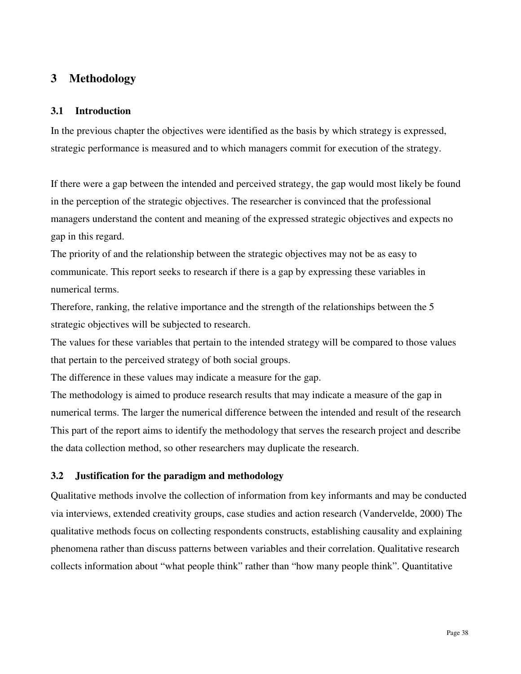# **3 Methodology**

## **3.1 Introduction**

In the previous chapter the objectives were identified as the basis by which strategy is expressed, strategic performance is measured and to which managers commit for execution of the strategy.

If there were a gap between the intended and perceived strategy, the gap would most likely be found in the perception of the strategic objectives. The researcher is convinced that the professional managers understand the content and meaning of the expressed strategic objectives and expects no gap in this regard.

The priority of and the relationship between the strategic objectives may not be as easy to communicate. This report seeks to research if there is a gap by expressing these variables in numerical terms.

Therefore, ranking, the relative importance and the strength of the relationships between the 5 strategic objectives will be subjected to research.

The values for these variables that pertain to the intended strategy will be compared to those values that pertain to the perceived strategy of both social groups.

The difference in these values may indicate a measure for the gap.

The methodology is aimed to produce research results that may indicate a measure of the gap in numerical terms. The larger the numerical difference between the intended and result of the research This part of the report aims to identify the methodology that serves the research project and describe the data collection method, so other researchers may duplicate the research.

# **3.2 Justification for the paradigm and methodology**

Qualitative methods involve the collection of information from key informants and may be conducted via interviews, extended creativity groups, case studies and action research (Vandervelde, 2000) The qualitative methods focus on collecting respondents constructs, establishing causality and explaining phenomena rather than discuss patterns between variables and their correlation. Qualitative research collects information about "what people think" rather than "how many people think". Quantitative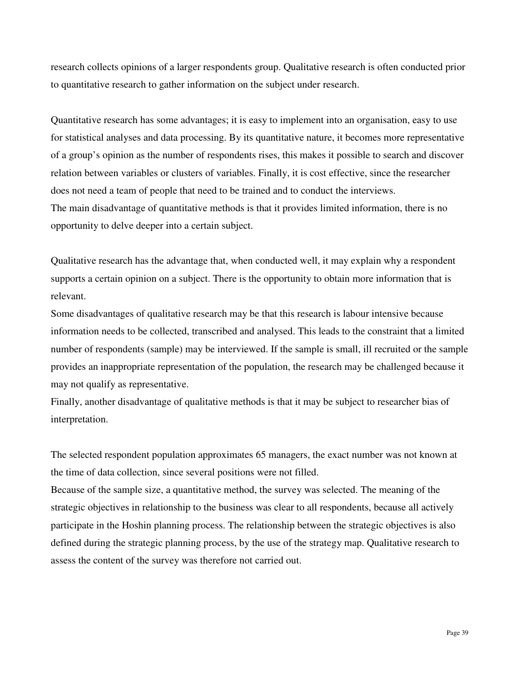research collects opinions of a larger respondents group. Qualitative research is often conducted prior to quantitative research to gather information on the subject under research.

Quantitative research has some advantages; it is easy to implement into an organisation, easy to use for statistical analyses and data processing. By its quantitative nature, it becomes more representative of a group's opinion as the number of respondents rises, this makes it possible to search and discover relation between variables or clusters of variables. Finally, it is cost effective, since the researcher does not need a team of people that need to be trained and to conduct the interviews. The main disadvantage of quantitative methods is that it provides limited information, there is no opportunity to delve deeper into a certain subject.

Qualitative research has the advantage that, when conducted well, it may explain why a respondent supports a certain opinion on a subject. There is the opportunity to obtain more information that is relevant.

Some disadvantages of qualitative research may be that this research is labour intensive because information needs to be collected, transcribed and analysed. This leads to the constraint that a limited number of respondents (sample) may be interviewed. If the sample is small, ill recruited or the sample provides an inappropriate representation of the population, the research may be challenged because it may not qualify as representative.

Finally, another disadvantage of qualitative methods is that it may be subject to researcher bias of interpretation.

The selected respondent population approximates 65 managers, the exact number was not known at the time of data collection, since several positions were not filled.

Because of the sample size, a quantitative method, the survey was selected. The meaning of the strategic objectives in relationship to the business was clear to all respondents, because all actively participate in the Hoshin planning process. The relationship between the strategic objectives is also defined during the strategic planning process, by the use of the strategy map. Qualitative research to assess the content of the survey was therefore not carried out.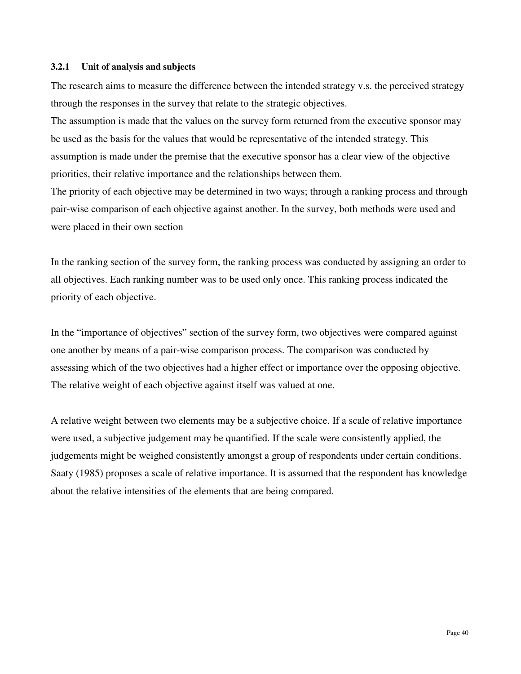#### **3.2.1 Unit of analysis and subjects**

The research aims to measure the difference between the intended strategy v.s. the perceived strategy through the responses in the survey that relate to the strategic objectives.

The assumption is made that the values on the survey form returned from the executive sponsor may be used as the basis for the values that would be representative of the intended strategy. This assumption is made under the premise that the executive sponsor has a clear view of the objective priorities, their relative importance and the relationships between them.

The priority of each objective may be determined in two ways; through a ranking process and through pair-wise comparison of each objective against another. In the survey, both methods were used and were placed in their own section

In the ranking section of the survey form, the ranking process was conducted by assigning an order to all objectives. Each ranking number was to be used only once. This ranking process indicated the priority of each objective.

In the "importance of objectives" section of the survey form, two objectives were compared against one another by means of a pair-wise comparison process. The comparison was conducted by assessing which of the two objectives had a higher effect or importance over the opposing objective. The relative weight of each objective against itself was valued at one.

A relative weight between two elements may be a subjective choice. If a scale of relative importance were used, a subjective judgement may be quantified. If the scale were consistently applied, the judgements might be weighed consistently amongst a group of respondents under certain conditions. Saaty (1985) proposes a scale of relative importance. It is assumed that the respondent has knowledge about the relative intensities of the elements that are being compared.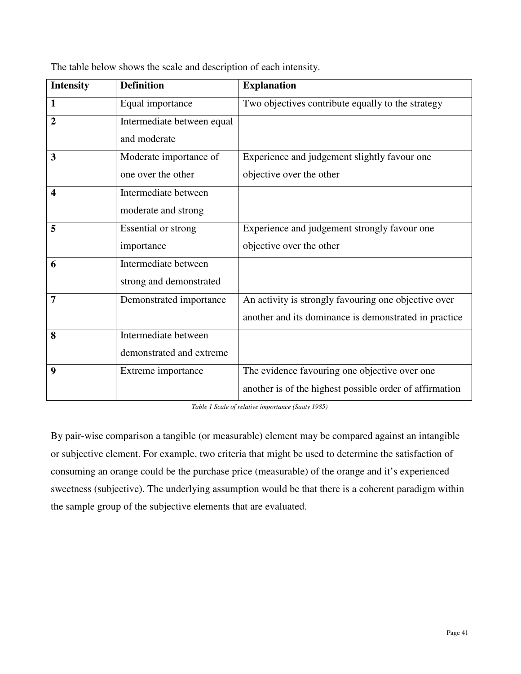| <b>Intensity</b>        | <b>Definition</b>          | <b>Explanation</b>                                      |
|-------------------------|----------------------------|---------------------------------------------------------|
| $\mathbf{1}$            | Equal importance           | Two objectives contribute equally to the strategy       |
| $\overline{2}$          | Intermediate between equal |                                                         |
|                         | and moderate               |                                                         |
| 3                       | Moderate importance of     | Experience and judgement slightly favour one            |
|                         | one over the other         | objective over the other                                |
| $\overline{\mathbf{4}}$ | Intermediate between       |                                                         |
|                         | moderate and strong        |                                                         |
| 5                       | Essential or strong        | Experience and judgement strongly favour one            |
|                         | importance                 | objective over the other                                |
| 6                       | Intermediate between       |                                                         |
|                         | strong and demonstrated    |                                                         |
| 7                       | Demonstrated importance    | An activity is strongly favouring one objective over    |
|                         |                            | another and its dominance is demonstrated in practice   |
| 8                       | Intermediate between       |                                                         |
|                         | demonstrated and extreme   |                                                         |
| 9                       | Extreme importance         | The evidence favouring one objective over one           |
|                         |                            | another is of the highest possible order of affirmation |

The table below shows the scale and description of each intensity.

*Table 1 Scale of relative importance (Saaty 1985)* 

By pair-wise comparison a tangible (or measurable) element may be compared against an intangible or subjective element. For example, two criteria that might be used to determine the satisfaction of consuming an orange could be the purchase price (measurable) of the orange and it's experienced sweetness (subjective). The underlying assumption would be that there is a coherent paradigm within the sample group of the subjective elements that are evaluated.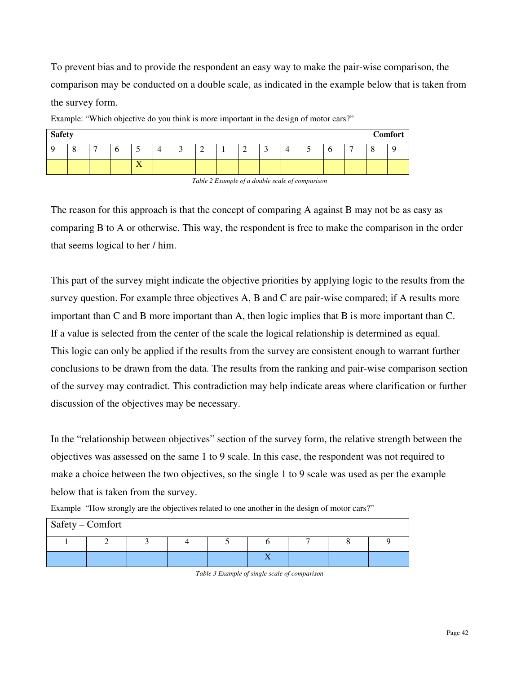To prevent bias and to provide the respondent an easy way to make the pair-wise comparison, the comparison may be conducted on a double scale, as indicated in the example below that is taken from the survey form.

| <b>Safety</b> |               |   |   |                       |   |   |                 |   |          |   |   |    | Comfort |
|---------------|---------------|---|---|-----------------------|---|---|-----------------|---|----------|---|---|----|---------|
|               | $\Omega$<br>Ω | − | O | -                     | ت | ∠ | $\sqrt{2}$<br>- | ັ | <u>ب</u> | O | − | л. |         |
|               |               |   |   | $-$<br>$\overline{A}$ |   |   |                 |   |          |   |   |    |         |

Example: "Which objective do you think is more important in the design of motor cars?"

*Table 2 Example of a double scale of comparison* 

The reason for this approach is that the concept of comparing A against B may not be as easy as comparing B to A or otherwise. This way, the respondent is free to make the comparison in the order that seems logical to her / him.

This part of the survey might indicate the objective priorities by applying logic to the results from the survey question. For example three objectives A, B and C are pair-wise compared; if A results more important than C and B more important than A, then logic implies that B is more important than C. If a value is selected from the center of the scale the logical relationship is determined as equal. This logic can only be applied if the results from the survey are consistent enough to warrant further conclusions to be drawn from the data. The results from the ranking and pair-wise comparison section of the survey may contradict. This contradiction may help indicate areas where clarification or further discussion of the objectives may be necessary.

In the "relationship between objectives" section of the survey form, the relative strength between the objectives was assessed on the same 1 to 9 scale. In this case, the respondent was not required to make a choice between the two objectives, so the single 1 to 9 scale was used as per the example below that is taken from the survey.

| Safety – Comfort |  |  |  |  |
|------------------|--|--|--|--|
|                  |  |  |  |  |
|                  |  |  |  |  |

Example "How strongly are the objectives related to one another in the design of motor cars?"

*Table 3 Example of single scale of comparison*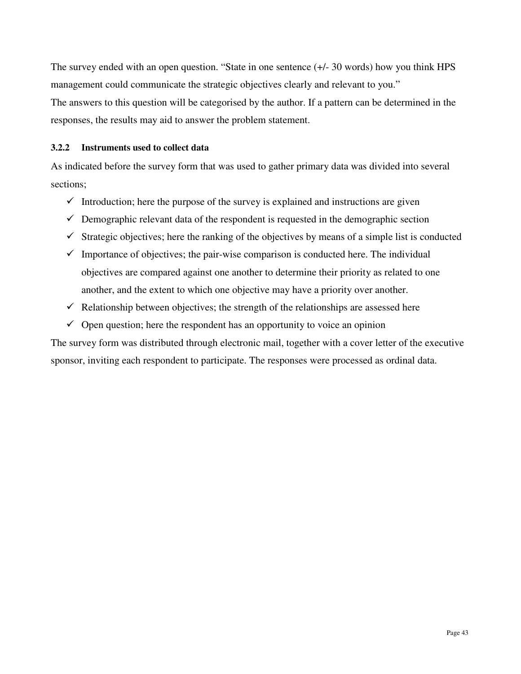The survey ended with an open question. "State in one sentence  $(+/- 30$  words) how you think HPS management could communicate the strategic objectives clearly and relevant to you."

The answers to this question will be categorised by the author. If a pattern can be determined in the responses, the results may aid to answer the problem statement.

#### **3.2.2 Instruments used to collect data**

As indicated before the survey form that was used to gather primary data was divided into several sections;

- $\checkmark$  Introduction; here the purpose of the survey is explained and instructions are given
- $\checkmark$  Demographic relevant data of the respondent is requested in the demographic section
- $\checkmark$  Strategic objectives; here the ranking of the objectives by means of a simple list is conducted
- $\checkmark$  Importance of objectives; the pair-wise comparison is conducted here. The individual objectives are compared against one another to determine their priority as related to one another, and the extent to which one objective may have a priority over another.
- $\checkmark$  Relationship between objectives; the strength of the relationships are assessed here
- $\checkmark$  Open question; here the respondent has an opportunity to voice an opinion

The survey form was distributed through electronic mail, together with a cover letter of the executive sponsor, inviting each respondent to participate. The responses were processed as ordinal data.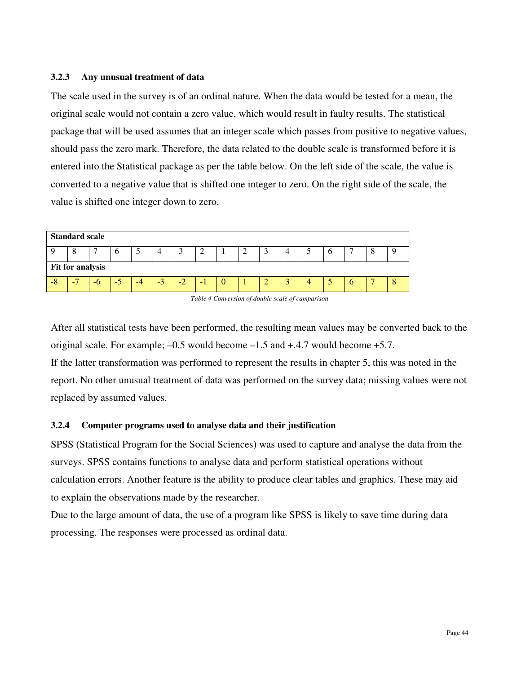#### **3.2.3 Any unusual treatment of data**

The scale used in the survey is of an ordinal nature. When the data would be tested for a mean, the original scale would not contain a zero value, which would result in faulty results. The statistical package that will be used assumes that an integer scale which passes from positive to negative values, should pass the zero mark. Therefore, the data related to the double scale is transformed before it is entered into the Statistical package as per the table below. On the left side of the scale, the value is converted to a negative value that is shifted one integer to zero. On the right side of the scale, the value is shifted one integer down to zero.





After all statistical tests have been performed, the resulting mean values may be converted back to the original scale. For example;  $-0.5$  would become  $-1.5$  and  $+4.7$  would become  $+5.7$ .

If the latter transformation was performed to represent the results in chapter 5, this was noted in the report. No other unusual treatment of data was performed on the survey data; missing values were not replaced by assumed values.

## **3.2.4 Computer programs used to analyse data and their justification**

SPSS (Statistical Program for the Social Sciences) was used to capture and analyse the data from the surveys. SPSS contains functions to analyse data and perform statistical operations without calculation errors. Another feature is the ability to produce clear tables and graphics. These may aid to explain the observations made by the researcher.

Due to the large amount of data, the use of a program like SPSS is likely to save time during data processing. The responses were processed as ordinal data.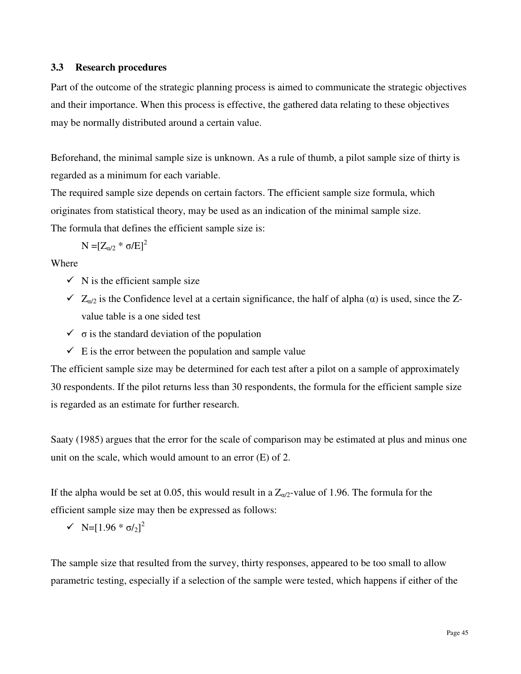## **3.3 Research procedures**

Part of the outcome of the strategic planning process is aimed to communicate the strategic objectives and their importance. When this process is effective, the gathered data relating to these objectives may be normally distributed around a certain value.

Beforehand, the minimal sample size is unknown. As a rule of thumb, a pilot sample size of thirty is regarded as a minimum for each variable.

The required sample size depends on certain factors. The efficient sample size formula, which originates from statistical theory, may be used as an indication of the minimal sample size.

The formula that defines the efficient sample size is:

$$
N=[Z_{\alpha/2}*\sigma/E]^2
$$

Where

- $\checkmark$  N is the efficient sample size
- $\checkmark$  Z<sub>α/2</sub> is the Confidence level at a certain significance, the half of alpha (α) is used, since the Zvalue table is a one sided test
- $\checkmark$   $\sigma$  is the standard deviation of the population
- $\checkmark$  E is the error between the population and sample value

The efficient sample size may be determined for each test after a pilot on a sample of approximately 30 respondents. If the pilot returns less than 30 respondents, the formula for the efficient sample size is regarded as an estimate for further research.

Saaty (1985) argues that the error for the scale of comparison may be estimated at plus and minus one unit on the scale, which would amount to an error (E) of 2.

If the alpha would be set at 0.05, this would result in a  $Z_{\alpha/2}$ -value of 1.96. The formula for the efficient sample size may then be expressed as follows:

$$
\sqrt{N} = [1.96 * \sigma/2]^2
$$

The sample size that resulted from the survey, thirty responses, appeared to be too small to allow parametric testing, especially if a selection of the sample were tested, which happens if either of the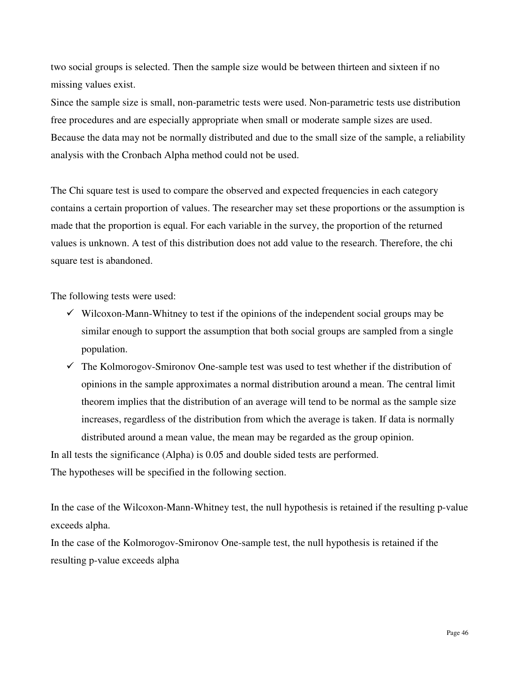two social groups is selected. Then the sample size would be between thirteen and sixteen if no missing values exist.

Since the sample size is small, non-parametric tests were used. Non-parametric tests use distribution free procedures and are especially appropriate when small or moderate sample sizes are used. Because the data may not be normally distributed and due to the small size of the sample, a reliability analysis with the Cronbach Alpha method could not be used.

The Chi square test is used to compare the observed and expected frequencies in each category contains a certain proportion of values. The researcher may set these proportions or the assumption is made that the proportion is equal. For each variable in the survey, the proportion of the returned values is unknown. A test of this distribution does not add value to the research. Therefore, the chi square test is abandoned.

The following tests were used:

- $\checkmark$  Wilcoxon-Mann-Whitney to test if the opinions of the independent social groups may be similar enough to support the assumption that both social groups are sampled from a single population.
- $\checkmark$  The Kolmorogov-Smironov One-sample test was used to test whether if the distribution of opinions in the sample approximates a normal distribution around a mean. The central limit theorem implies that the distribution of an average will tend to be normal as the sample size increases, regardless of the distribution from which the average is taken. If data is normally distributed around a mean value, the mean may be regarded as the group opinion. In all tests the significance (Alpha) is 0.05 and double sided tests are performed.

The hypotheses will be specified in the following section.

In the case of the Wilcoxon-Mann-Whitney test, the null hypothesis is retained if the resulting p-value exceeds alpha.

In the case of the Kolmorogov-Smironov One-sample test, the null hypothesis is retained if the resulting p-value exceeds alpha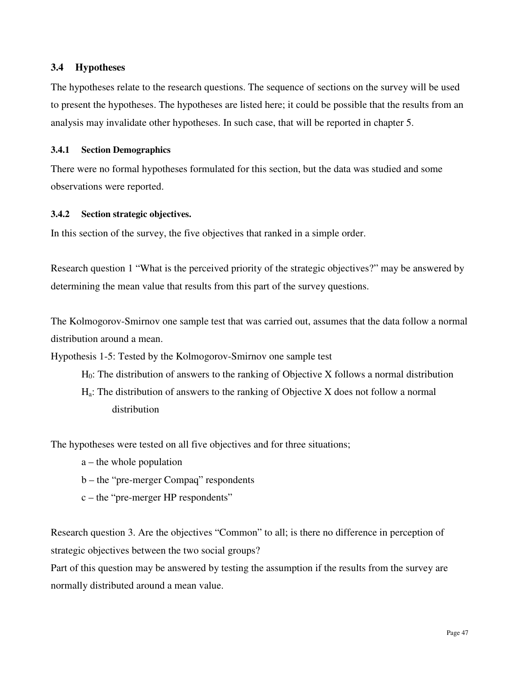## **3.4 Hypotheses**

The hypotheses relate to the research questions. The sequence of sections on the survey will be used to present the hypotheses. The hypotheses are listed here; it could be possible that the results from an analysis may invalidate other hypotheses. In such case, that will be reported in chapter 5.

## **3.4.1 Section Demographics**

There were no formal hypotheses formulated for this section, but the data was studied and some observations were reported.

## **3.4.2 Section strategic objectives.**

In this section of the survey, the five objectives that ranked in a simple order.

Research question 1 "What is the perceived priority of the strategic objectives?" may be answered by determining the mean value that results from this part of the survey questions.

The Kolmogorov-Smirnov one sample test that was carried out, assumes that the data follow a normal distribution around a mean.

Hypothesis 1-5: Tested by the Kolmogorov-Smirnov one sample test

- $H_0$ : The distribution of answers to the ranking of Objective X follows a normal distribution
- Ha: The distribution of answers to the ranking of Objective X does not follow a normal distribution

The hypotheses were tested on all five objectives and for three situations;

- a the whole population
- b the "pre-merger Compaq" respondents
- c the "pre-merger HP respondents"

Research question 3. Are the objectives "Common" to all; is there no difference in perception of strategic objectives between the two social groups?

Part of this question may be answered by testing the assumption if the results from the survey are normally distributed around a mean value.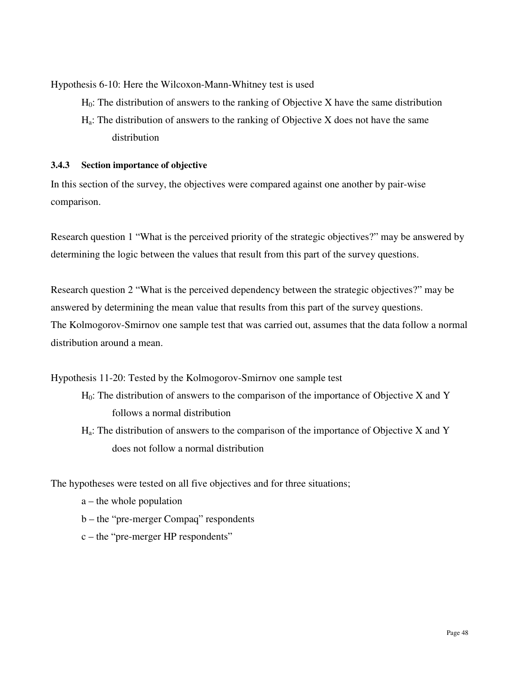Hypothesis 6-10: Here the Wilcoxon-Mann-Whitney test is used

- $H_0$ : The distribution of answers to the ranking of Objective X have the same distribution
- Ha: The distribution of answers to the ranking of Objective X does not have the same distribution

## **3.4.3 Section importance of objective**

In this section of the survey, the objectives were compared against one another by pair-wise comparison.

Research question 1 "What is the perceived priority of the strategic objectives?" may be answered by determining the logic between the values that result from this part of the survey questions.

Research question 2 "What is the perceived dependency between the strategic objectives?" may be answered by determining the mean value that results from this part of the survey questions. The Kolmogorov-Smirnov one sample test that was carried out, assumes that the data follow a normal distribution around a mean.

Hypothesis 11-20: Tested by the Kolmogorov-Smirnov one sample test

- $H_0$ : The distribution of answers to the comparison of the importance of Objective X and Y follows a normal distribution
- $H_a$ : The distribution of answers to the comparison of the importance of Objective X and Y does not follow a normal distribution

The hypotheses were tested on all five objectives and for three situations;

- a the whole population
- b the "pre-merger Compaq" respondents
- c the "pre-merger HP respondents"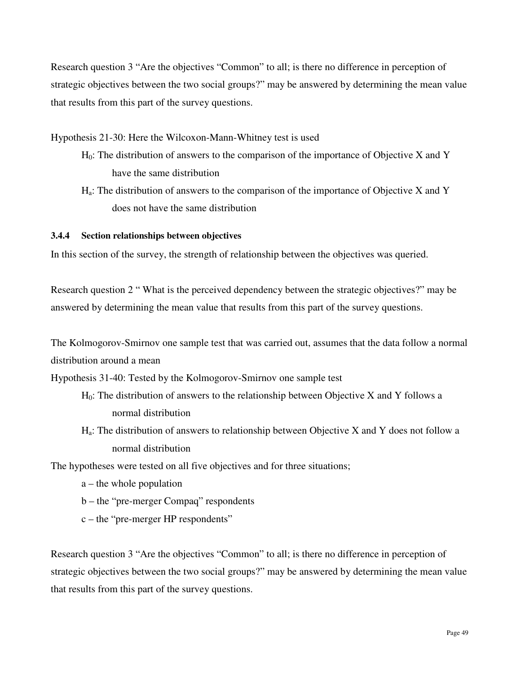Research question 3 "Are the objectives "Common" to all; is there no difference in perception of strategic objectives between the two social groups?" may be answered by determining the mean value that results from this part of the survey questions.

Hypothesis 21-30: Here the Wilcoxon-Mann-Whitney test is used

- $H<sub>0</sub>$ : The distribution of answers to the comparison of the importance of Objective X and Y have the same distribution
- $H_a$ : The distribution of answers to the comparison of the importance of Objective X and Y does not have the same distribution

## **3.4.4 Section relationships between objectives**

In this section of the survey, the strength of relationship between the objectives was queried.

Research question 2 " What is the perceived dependency between the strategic objectives?" may be answered by determining the mean value that results from this part of the survey questions.

The Kolmogorov-Smirnov one sample test that was carried out, assumes that the data follow a normal distribution around a mean

Hypothesis 31-40: Tested by the Kolmogorov-Smirnov one sample test

- $H<sub>0</sub>$ : The distribution of answers to the relationship between Objective X and Y follows a normal distribution
- $H_a$ : The distribution of answers to relationship between Objective X and Y does not follow a normal distribution

The hypotheses were tested on all five objectives and for three situations;

- a the whole population
- b the "pre-merger Compaq" respondents
- c the "pre-merger HP respondents"

Research question 3 "Are the objectives "Common" to all; is there no difference in perception of strategic objectives between the two social groups?" may be answered by determining the mean value that results from this part of the survey questions.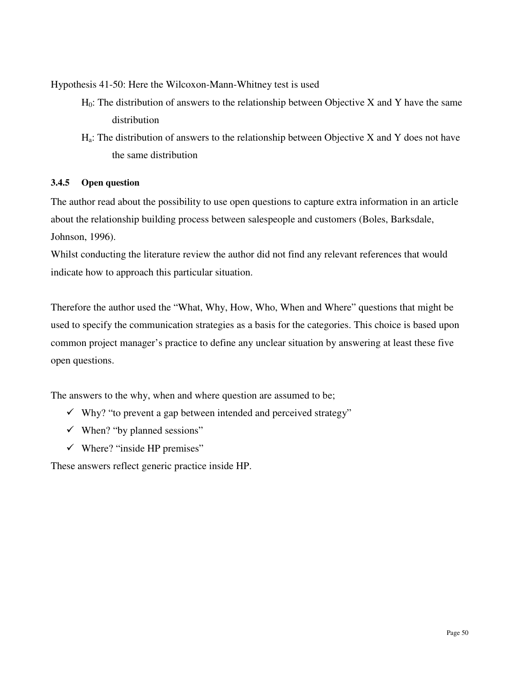Hypothesis 41-50: Here the Wilcoxon-Mann-Whitney test is used

- $H_0$ : The distribution of answers to the relationship between Objective X and Y have the same distribution
- $H_a$ : The distribution of answers to the relationship between Objective X and Y does not have the same distribution

## **3.4.5 Open question**

The author read about the possibility to use open questions to capture extra information in an article about the relationship building process between salespeople and customers (Boles, Barksdale, Johnson, 1996).

Whilst conducting the literature review the author did not find any relevant references that would indicate how to approach this particular situation.

Therefore the author used the "What, Why, How, Who, When and Where" questions that might be used to specify the communication strategies as a basis for the categories. This choice is based upon common project manager's practice to define any unclear situation by answering at least these five open questions.

The answers to the why, when and where question are assumed to be;

- $\checkmark$  Why? "to prevent a gap between intended and perceived strategy"
- $\checkmark$  When? "by planned sessions"
- $\checkmark$  Where? "inside HP premises"

These answers reflect generic practice inside HP.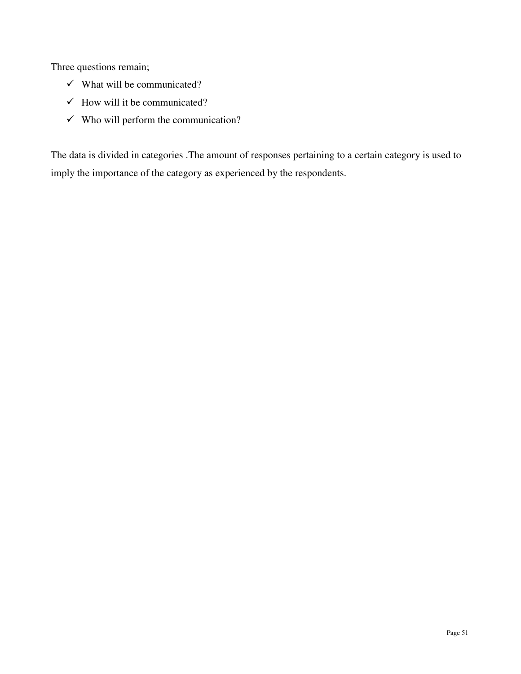Three questions remain;

- $\checkmark$  What will be communicated?
- $\checkmark$  How will it be communicated?
- $\checkmark$  Who will perform the communication?

The data is divided in categories .The amount of responses pertaining to a certain category is used to imply the importance of the category as experienced by the respondents.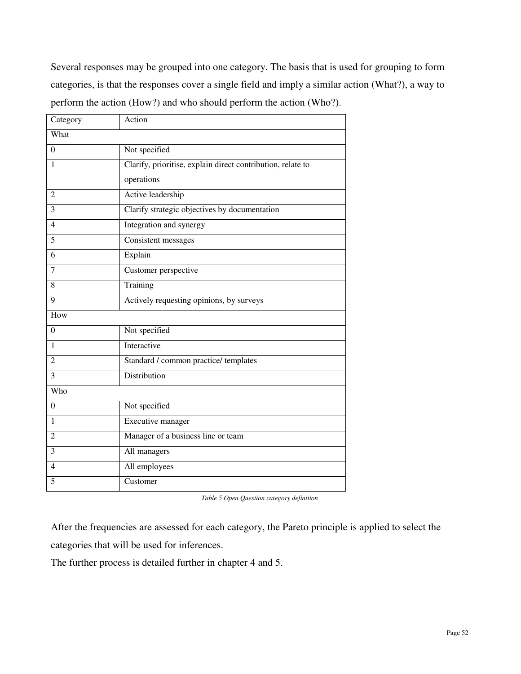Several responses may be grouped into one category. The basis that is used for grouping to form categories, is that the responses cover a single field and imply a similar action (What?), a way to perform the action (How?) and who should perform the action (Who?).

| Category       | Action                                                      |
|----------------|-------------------------------------------------------------|
| What           |                                                             |
| $\theta$       | Not specified                                               |
| 1              | Clarify, prioritise, explain direct contribution, relate to |
|                | operations                                                  |
| $\overline{2}$ | Active leadership                                           |
| 3              | Clarify strategic objectives by documentation               |
| $\overline{4}$ | Integration and synergy                                     |
| $\overline{5}$ | Consistent messages                                         |
| 6              | Explain                                                     |
| $\overline{7}$ | Customer perspective                                        |
| 8              | Training                                                    |
| 9              | Actively requesting opinions, by surveys                    |
| How            |                                                             |
| $\theta$       | Not specified                                               |
| $\mathbf{1}$   | Interactive                                                 |
| $\overline{2}$ | Standard / common practice/ templates                       |
| $\overline{3}$ | Distribution                                                |
| Who            |                                                             |
| $\overline{0}$ | Not specified                                               |
| 1              | Executive manager                                           |
| $\overline{2}$ | Manager of a business line or team                          |
| 3              | All managers                                                |
| $\overline{4}$ | All employees                                               |
| $\overline{5}$ | Customer                                                    |

*Table 5 Open Question category definition* 

After the frequencies are assessed for each category, the Pareto principle is applied to select the categories that will be used for inferences.

The further process is detailed further in chapter 4 and 5.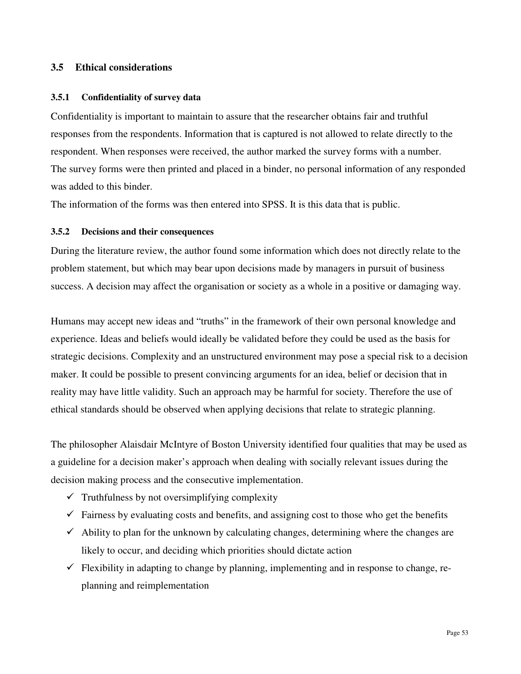#### **3.5 Ethical considerations**

#### **3.5.1 Confidentiality of survey data**

Confidentiality is important to maintain to assure that the researcher obtains fair and truthful responses from the respondents. Information that is captured is not allowed to relate directly to the respondent. When responses were received, the author marked the survey forms with a number. The survey forms were then printed and placed in a binder, no personal information of any responded was added to this binder.

The information of the forms was then entered into SPSS. It is this data that is public.

#### **3.5.2 Decisions and their consequences**

During the literature review, the author found some information which does not directly relate to the problem statement, but which may bear upon decisions made by managers in pursuit of business success. A decision may affect the organisation or society as a whole in a positive or damaging way.

Humans may accept new ideas and "truths" in the framework of their own personal knowledge and experience. Ideas and beliefs would ideally be validated before they could be used as the basis for strategic decisions. Complexity and an unstructured environment may pose a special risk to a decision maker. It could be possible to present convincing arguments for an idea, belief or decision that in reality may have little validity. Such an approach may be harmful for society. Therefore the use of ethical standards should be observed when applying decisions that relate to strategic planning.

The philosopher Alaisdair McIntyre of Boston University identified four qualities that may be used as a guideline for a decision maker's approach when dealing with socially relevant issues during the decision making process and the consecutive implementation.

- $\checkmark$  Truthfulness by not oversimplifying complexity
- $\checkmark$  Fairness by evaluating costs and benefits, and assigning cost to those who get the benefits
- $\checkmark$  Ability to plan for the unknown by calculating changes, determining where the changes are likely to occur, and deciding which priorities should dictate action
- $\checkmark$  Flexibility in adapting to change by planning, implementing and in response to change, replanning and reimplementation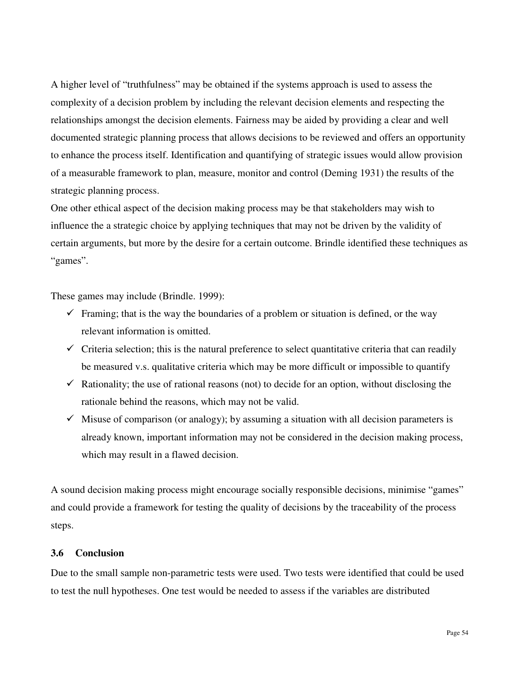A higher level of "truthfulness" may be obtained if the systems approach is used to assess the complexity of a decision problem by including the relevant decision elements and respecting the relationships amongst the decision elements. Fairness may be aided by providing a clear and well documented strategic planning process that allows decisions to be reviewed and offers an opportunity to enhance the process itself. Identification and quantifying of strategic issues would allow provision of a measurable framework to plan, measure, monitor and control (Deming 1931) the results of the strategic planning process.

One other ethical aspect of the decision making process may be that stakeholders may wish to influence the a strategic choice by applying techniques that may not be driven by the validity of certain arguments, but more by the desire for a certain outcome. Brindle identified these techniques as "games".

These games may include (Brindle. 1999):

- $\checkmark$  Framing; that is the way the boundaries of a problem or situation is defined, or the way relevant information is omitted.
- $\checkmark$  Criteria selection; this is the natural preference to select quantitative criteria that can readily be measured v.s. qualitative criteria which may be more difficult or impossible to quantify
- $\checkmark$  Rationality; the use of rational reasons (not) to decide for an option, without disclosing the rationale behind the reasons, which may not be valid.
- $\checkmark$  Misuse of comparison (or analogy); by assuming a situation with all decision parameters is already known, important information may not be considered in the decision making process, which may result in a flawed decision.

A sound decision making process might encourage socially responsible decisions, minimise "games" and could provide a framework for testing the quality of decisions by the traceability of the process steps.

#### **3.6 Conclusion**

Due to the small sample non-parametric tests were used. Two tests were identified that could be used to test the null hypotheses. One test would be needed to assess if the variables are distributed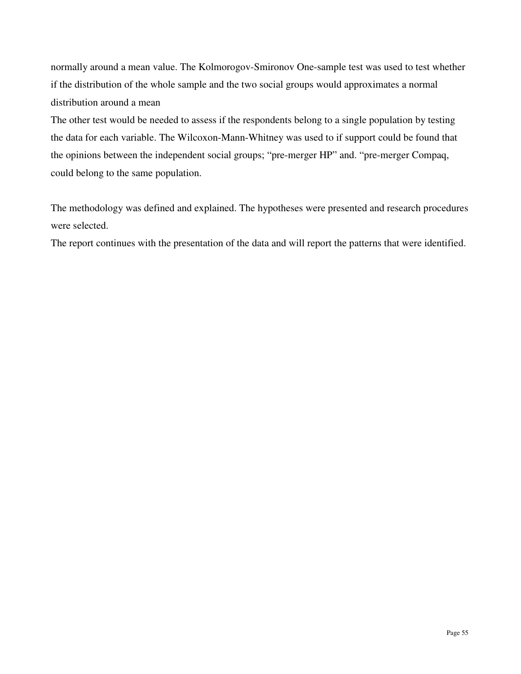normally around a mean value. The Kolmorogov-Smironov One-sample test was used to test whether if the distribution of the whole sample and the two social groups would approximates a normal distribution around a mean

The other test would be needed to assess if the respondents belong to a single population by testing the data for each variable. The Wilcoxon-Mann-Whitney was used to if support could be found that the opinions between the independent social groups; "pre-merger HP" and. "pre-merger Compaq, could belong to the same population.

The methodology was defined and explained. The hypotheses were presented and research procedures were selected.

The report continues with the presentation of the data and will report the patterns that were identified.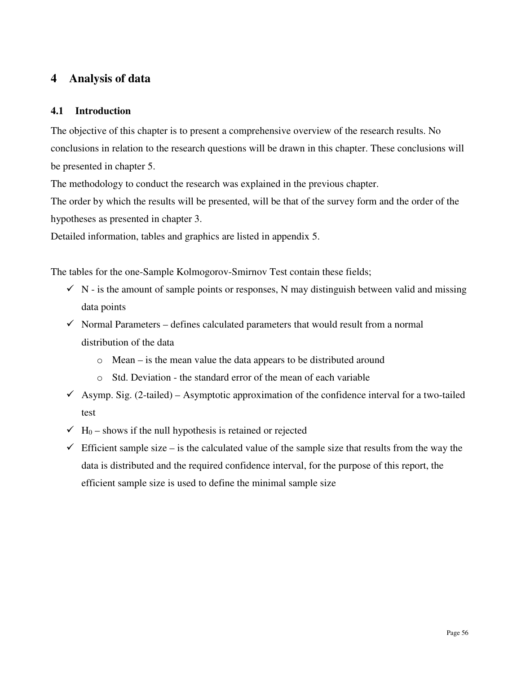# **4 Analysis of data**

# **4.1 Introduction**

The objective of this chapter is to present a comprehensive overview of the research results. No conclusions in relation to the research questions will be drawn in this chapter. These conclusions will be presented in chapter 5.

The methodology to conduct the research was explained in the previous chapter.

The order by which the results will be presented, will be that of the survey form and the order of the hypotheses as presented in chapter 3.

Detailed information, tables and graphics are listed in appendix 5.

The tables for the one-Sample Kolmogorov-Smirnov Test contain these fields;

- $\checkmark$  N is the amount of sample points or responses, N may distinguish between valid and missing data points
- $\checkmark$  Normal Parameters defines calculated parameters that would result from a normal distribution of the data
	- o Mean is the mean value the data appears to be distributed around
	- o Std. Deviation the standard error of the mean of each variable
- $\checkmark$  Asymp. Sig. (2-tailed) Asymptotic approximation of the confidence interval for a two-tailed test
- $\checkmark$  H<sub>0</sub> shows if the null hypothesis is retained or rejected
- $\checkmark$  Efficient sample size is the calculated value of the sample size that results from the way the data is distributed and the required confidence interval, for the purpose of this report, the efficient sample size is used to define the minimal sample size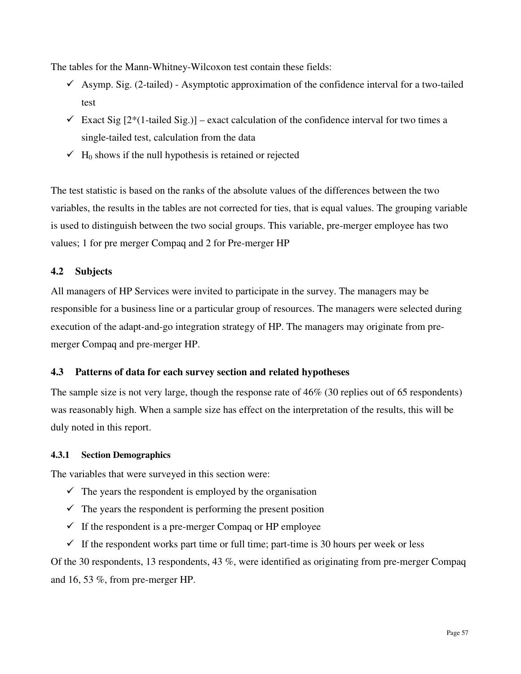The tables for the Mann-Whitney-Wilcoxon test contain these fields:

- $\checkmark$  Asymp. Sig. (2-tailed) Asymptotic approximation of the confidence interval for a two-tailed test
- $\checkmark$  Exact Sig [2<sup>\*</sup>(1-tailed Sig.)] exact calculation of the confidence interval for two times a single-tailed test, calculation from the data
- $\checkmark$  H<sub>0</sub> shows if the null hypothesis is retained or rejected

The test statistic is based on the ranks of the absolute values of the differences between the two variables, the results in the tables are not corrected for ties, that is equal values. The grouping variable is used to distinguish between the two social groups. This variable, pre-merger employee has two values; 1 for pre merger Compaq and 2 for Pre-merger HP

# **4.2 Subjects**

All managers of HP Services were invited to participate in the survey. The managers may be responsible for a business line or a particular group of resources. The managers were selected during execution of the adapt-and-go integration strategy of HP. The managers may originate from premerger Compaq and pre-merger HP.

# **4.3 Patterns of data for each survey section and related hypotheses**

The sample size is not very large, though the response rate of 46% (30 replies out of 65 respondents) was reasonably high. When a sample size has effect on the interpretation of the results, this will be duly noted in this report.

# **4.3.1 Section Demographics**

The variables that were surveyed in this section were:

- $\checkmark$  The years the respondent is employed by the organisation
- $\checkmark$  The years the respondent is performing the present position
- $\checkmark$  If the respondent is a pre-merger Compaq or HP employee
- $\checkmark$  If the respondent works part time or full time; part-time is 30 hours per week or less

Of the 30 respondents, 13 respondents, 43 %, were identified as originating from pre-merger Compaq and 16, 53 %, from pre-merger HP.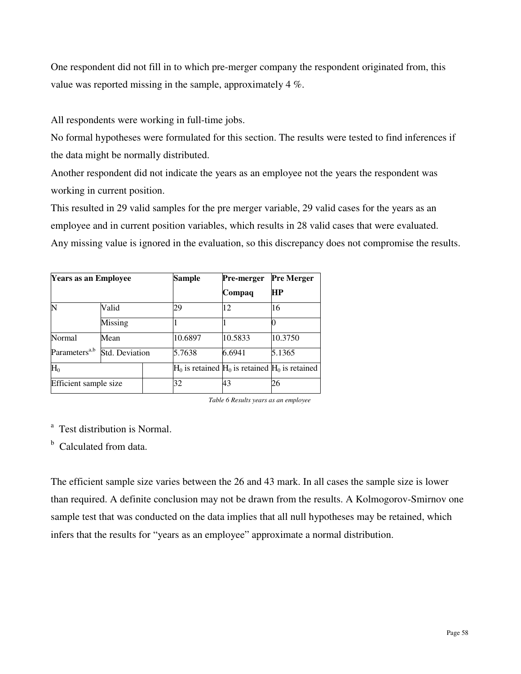One respondent did not fill in to which pre-merger company the respondent originated from, this value was reported missing in the sample, approximately 4 %.

All respondents were working in full-time jobs.

No formal hypotheses were formulated for this section. The results were tested to find inferences if the data might be normally distributed.

Another respondent did not indicate the years as an employee not the years the respondent was working in current position.

This resulted in 29 valid samples for the pre merger variable, 29 valid cases for the years as an employee and in current position variables, which results in 28 valid cases that were evaluated. Any missing value is ignored in the evaluation, so this discrepancy does not compromise the results.

| <b>Years as an Employee</b> |                        |  | Sample                                                | Pre-merger | <b>Pre Merger</b> |
|-----------------------------|------------------------|--|-------------------------------------------------------|------------|-------------------|
|                             |                        |  |                                                       | Compaq     | HP                |
|                             | Valid                  |  | 29                                                    | 12         | 16                |
|                             | Missing                |  |                                                       |            |                   |
| Normal                      | Mean<br>Std. Deviation |  | 10.6897                                               | 10.5833    | 10.3750           |
| Parameters <sup>a,b</sup>   |                        |  | 5.7638                                                | 6.6941     | 5.1365            |
| $H_0$                       |                        |  | $H_0$ is retained $H_0$ is retained $H_0$ is retained |            |                   |
| Efficient sample size       |                        |  | 32                                                    | 43         | 26                |

*Table 6 Results years as an employee* 

<sup>a</sup> Test distribution is Normal.

<sup>b</sup> Calculated from data.

The efficient sample size varies between the 26 and 43 mark. In all cases the sample size is lower than required. A definite conclusion may not be drawn from the results. A Kolmogorov-Smirnov one sample test that was conducted on the data implies that all null hypotheses may be retained, which infers that the results for "years as an employee" approximate a normal distribution.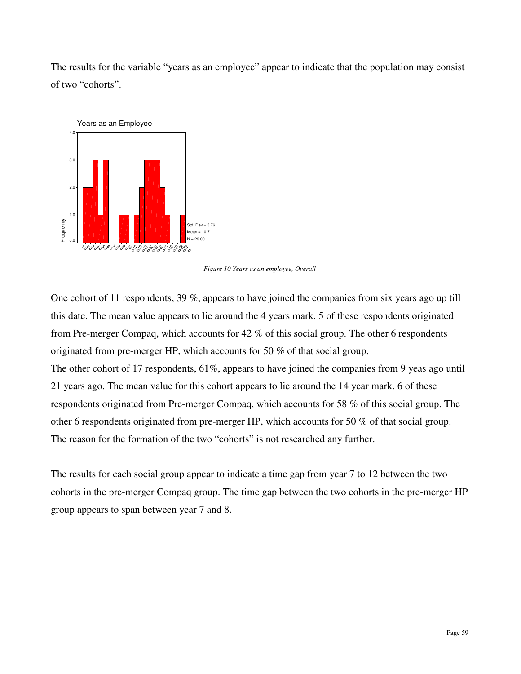The results for the variable "years as an employee" appear to indicate that the population may consist of two "cohorts".



*Figure 10 Years as an employee, Overall* 

One cohort of 11 respondents, 39 %, appears to have joined the companies from six years ago up till this date. The mean value appears to lie around the 4 years mark. 5 of these respondents originated from Pre-merger Compaq, which accounts for 42 % of this social group. The other 6 respondents originated from pre-merger HP, which accounts for 50 % of that social group. The other cohort of 17 respondents, 61%, appears to have joined the companies from 9 yeas ago until 21 years ago. The mean value for this cohort appears to lie around the 14 year mark. 6 of these respondents originated from Pre-merger Compaq, which accounts for 58 % of this social group. The other 6 respondents originated from pre-merger HP, which accounts for 50 % of that social group. The reason for the formation of the two "cohorts" is not researched any further.

The results for each social group appear to indicate a time gap from year 7 to 12 between the two cohorts in the pre-merger Compaq group. The time gap between the two cohorts in the pre-merger HP group appears to span between year 7 and 8.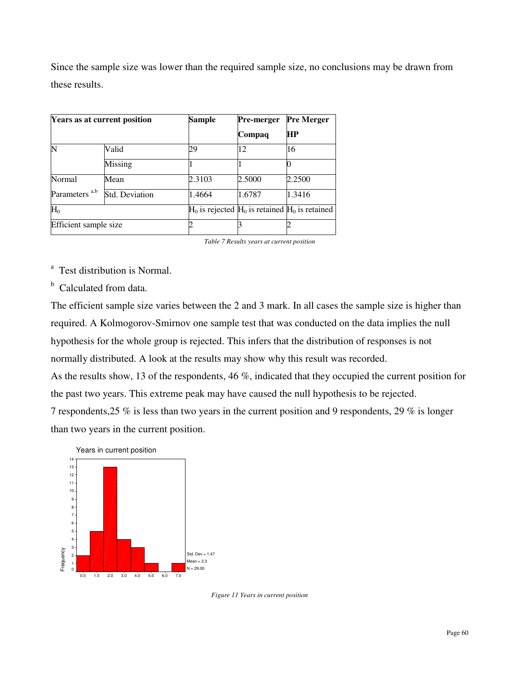Since the sample size was lower than the required sample size, no conclusions may be drawn from these results.

|                           | Years as at current position | Sample | Pre-merger                                            | <b>Pre Merger</b> |
|---------------------------|------------------------------|--------|-------------------------------------------------------|-------------------|
|                           |                              |        | Compaq                                                | HP                |
| N                         | Valid                        | 29     | 12                                                    | 16                |
|                           | Missing                      |        |                                                       |                   |
| Normal                    | Mean                         | 2.3103 | 2.5000                                                | 2.2500            |
| Parameters <sup>a,b</sup> | Std. Deviation               | 1.4664 | 1.6787                                                | 1.3416            |
| $H_0$                     |                              |        | $H_0$ is rejected $H_0$ is retained $H_0$ is retained |                   |
| Efficient sample size     |                              |        |                                                       |                   |

*Table 7 Results years at current position* 

<sup>a</sup> Test distribution is Normal.

<sup>b</sup> Calculated from data.

The efficient sample size varies between the 2 and 3 mark. In all cases the sample size is higher than required. A Kolmogorov-Smirnov one sample test that was conducted on the data implies the null hypothesis for the whole group is rejected. This infers that the distribution of responses is not normally distributed. A look at the results may show why this result was recorded. As the results show, 13 of the respondents, 46 %, indicated that they occupied the current position for the past two years. This extreme peak may have caused the null hypothesis to be rejected. 7 respondents,25 % is less than two years in the current position and 9 respondents, 29 % is longer than two years in the current position.



*Figure 11 Years in current position*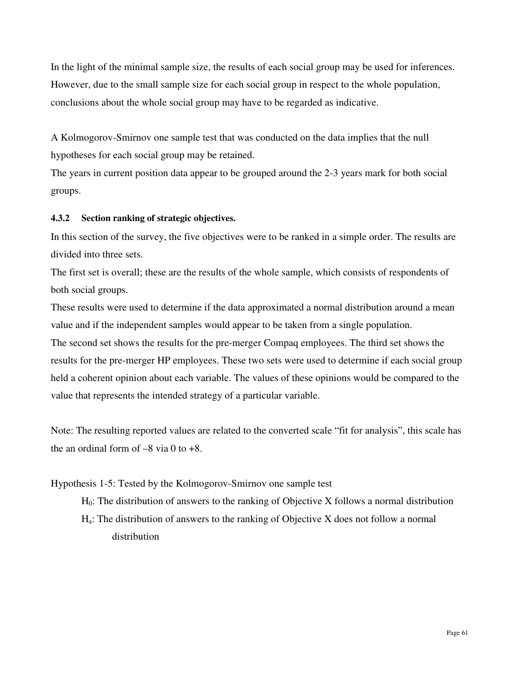In the light of the minimal sample size, the results of each social group may be used for inferences. However, due to the small sample size for each social group in respect to the whole population, conclusions about the whole social group may have to be regarded as indicative.

A Kolmogorov-Smirnov one sample test that was conducted on the data implies that the null hypotheses for each social group may be retained.

The years in current position data appear to be grouped around the 2-3 years mark for both social groups.

# **4.3.2 Section ranking of strategic objectives.**

In this section of the survey, the five objectives were to be ranked in a simple order. The results are divided into three sets.

The first set is overall; these are the results of the whole sample, which consists of respondents of both social groups.

These results were used to determine if the data approximated a normal distribution around a mean value and if the independent samples would appear to be taken from a single population. The second set shows the results for the pre-merger Compaq employees. The third set shows the results for the pre-merger HP employees. These two sets were used to determine if each social group held a coherent opinion about each variable. The values of these opinions would be compared to the value that represents the intended strategy of a particular variable.

Note: The resulting reported values are related to the converted scale "fit for analysis", this scale has the an ordinal form of  $-8$  via 0 to  $+8$ .

# Hypothesis 1-5: Tested by the Kolmogorov-Smirnov one sample test

 $H<sub>0</sub>$ : The distribution of answers to the ranking of Objective X follows a normal distribution Ha: The distribution of answers to the ranking of Objective X does not follow a normal distribution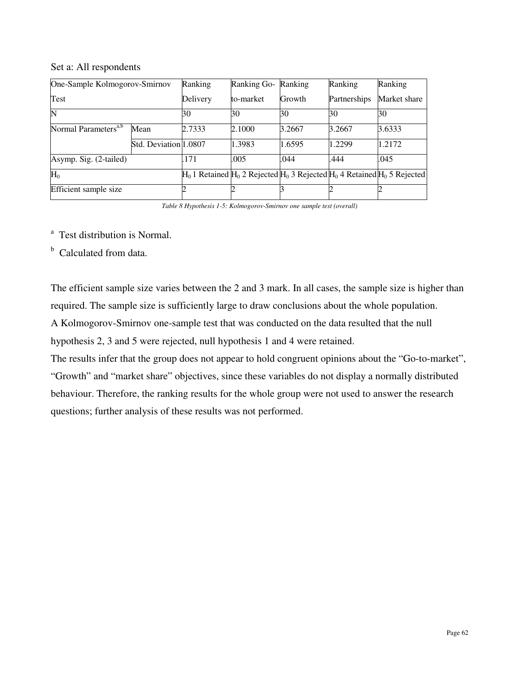#### Set a: All respondents

| One-Sample Kolmogorov-Smirnov    |                       | Ranking  | Ranking Go- | Ranking | Ranking      | Ranking                                                                              |
|----------------------------------|-----------------------|----------|-------------|---------|--------------|--------------------------------------------------------------------------------------|
| Test                             |                       | Delivery | to-market   | Growth  | Partnerships | Market share                                                                         |
| N                                |                       | 30       | 30          | 30      | 30           | 30                                                                                   |
| Normal Parameters <sup>a,b</sup> | Mean                  | 2.7333   | 2.1000      | 3.2667  | 3.2667       | 3.6333                                                                               |
|                                  | Std. Deviation 1.0807 |          | 1.3983      | 1.6595  | 1.2299       | 1.2172                                                                               |
| Asymp. Sig. (2-tailed)           |                       | .171     | .005        | .044    | .444         | .045                                                                                 |
| $H_0$                            |                       |          |             |         |              | $H_0$ 1 Retained $H_0$ 2 Rejected $H_0$ 3 Rejected $H_0$ 4 Retained $H_0$ 5 Rejected |
| Efficient sample size            |                       |          |             |         |              |                                                                                      |

*Table 8 Hypothesis 1-5: Kolmogorov-Smirnov one sample test (overall)* 

<sup>a</sup> Test distribution is Normal.

<sup>b</sup> Calculated from data.

The efficient sample size varies between the 2 and 3 mark. In all cases, the sample size is higher than required. The sample size is sufficiently large to draw conclusions about the whole population. A Kolmogorov-Smirnov one-sample test that was conducted on the data resulted that the null hypothesis 2, 3 and 5 were rejected, null hypothesis 1 and 4 were retained.

The results infer that the group does not appear to hold congruent opinions about the "Go-to-market", "Growth" and "market share" objectives, since these variables do not display a normally distributed behaviour. Therefore, the ranking results for the whole group were not used to answer the research questions; further analysis of these results was not performed.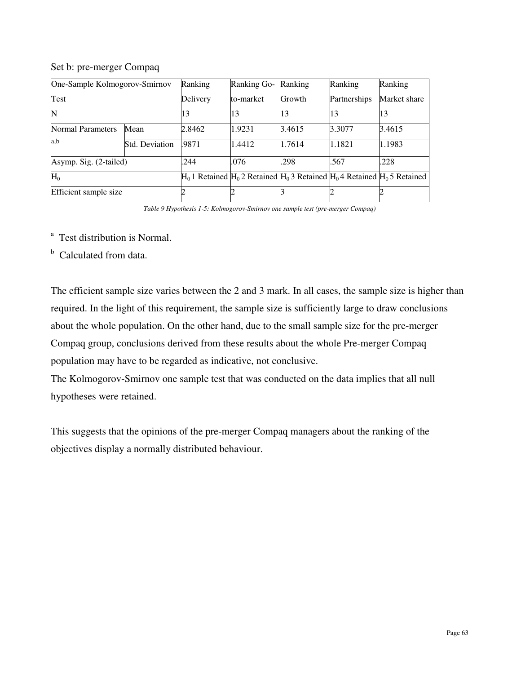#### Set b: pre-merger Compaq

| One-Sample Kolmogorov-Smirnov |                | Ranking                                                                              | <b>Ranking Go-</b> | Ranking | Ranking      | Ranking      |
|-------------------------------|----------------|--------------------------------------------------------------------------------------|--------------------|---------|--------------|--------------|
| Test                          |                | Delivery                                                                             | to-market          | Growth  | Partnerships | Market share |
|                               |                | 13                                                                                   | 13                 | 13      | 13           | 13           |
| <b>Normal Parameters</b>      | Mean           | 2.8462                                                                               | 1.9231             | 3.4615  | 3.3077       | 3.4615       |
| a,b                           | Std. Deviation | .9871                                                                                | 1.4412             | 1.7614  | 1.1821       | 1.1983       |
| Asymp. Sig. (2-tailed)        |                | .244                                                                                 | .076               | .298    | .567         | .228         |
| $H_0$                         |                | $H_0$ 1 Retained $H_0$ 2 Retained $H_0$ 3 Retained $H_0$ 4 Retained $H_0$ 5 Retained |                    |         |              |              |
| Efficient sample size         |                |                                                                                      |                    |         |              |              |

*Table 9 Hypothesis 1-5: Kolmogorov-Smirnov one sample test (pre-merger Compaq)* 

<sup>a</sup> Test distribution is Normal.

<sup>b</sup> Calculated from data.

The efficient sample size varies between the 2 and 3 mark. In all cases, the sample size is higher than required. In the light of this requirement, the sample size is sufficiently large to draw conclusions about the whole population. On the other hand, due to the small sample size for the pre-merger Compaq group, conclusions derived from these results about the whole Pre-merger Compaq population may have to be regarded as indicative, not conclusive.

The Kolmogorov-Smirnov one sample test that was conducted on the data implies that all null hypotheses were retained.

This suggests that the opinions of the pre-merger Compaq managers about the ranking of the objectives display a normally distributed behaviour.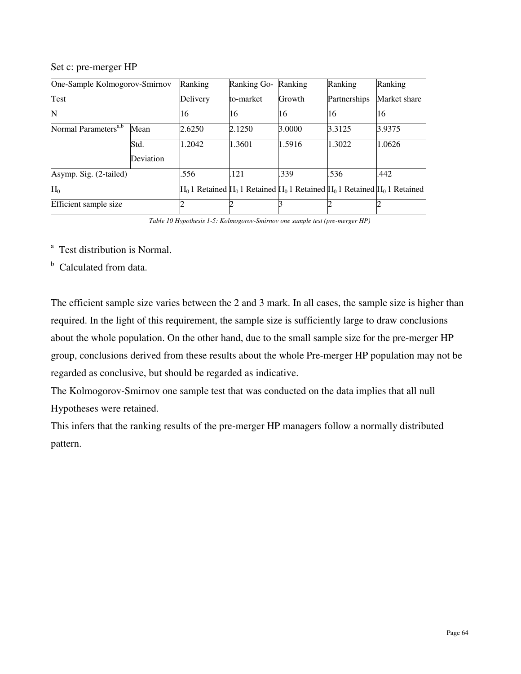#### Set c: pre-merger HP

|                                  | One-Sample Kolmogorov-Smirnov<br>Ranking |          | Ranking Go- | Ranking | Ranking      | Ranking                                                                              |
|----------------------------------|------------------------------------------|----------|-------------|---------|--------------|--------------------------------------------------------------------------------------|
| Test                             |                                          | Delivery | to-market   | Growth  | Partnerships | Market share                                                                         |
| N                                |                                          | 16       | 16          | 16      | 16           | 16                                                                                   |
| Normal Parameters <sup>a,b</sup> | Mean                                     | 2.6250   | 2.1250      | 3.0000  | 3.3125       | 3.9375                                                                               |
|                                  | Std.                                     | 1.2042   | 1.3601      | 1.5916  | 1.3022       | 1.0626                                                                               |
|                                  | Deviation                                |          |             |         |              |                                                                                      |
| Asymp. Sig. (2-tailed)           |                                          | .556     | .121        | .339    | .536         | .442                                                                                 |
| $H_0$                            |                                          |          |             |         |              | $H_0$ 1 Retained $H_0$ 1 Retained $H_0$ 1 Retained $H_0$ 1 Retained $H_0$ 1 Retained |
| Efficient sample size            |                                          |          |             |         |              |                                                                                      |

*Table 10 Hypothesis 1-5: Kolmogorov-Smirnov one sample test (pre-merger HP)* 

<sup>a</sup> Test distribution is Normal.

<sup>b</sup> Calculated from data.

The efficient sample size varies between the 2 and 3 mark. In all cases, the sample size is higher than required. In the light of this requirement, the sample size is sufficiently large to draw conclusions about the whole population. On the other hand, due to the small sample size for the pre-merger HP group, conclusions derived from these results about the whole Pre-merger HP population may not be regarded as conclusive, but should be regarded as indicative.

The Kolmogorov-Smirnov one sample test that was conducted on the data implies that all null Hypotheses were retained.

This infers that the ranking results of the pre-merger HP managers follow a normally distributed pattern.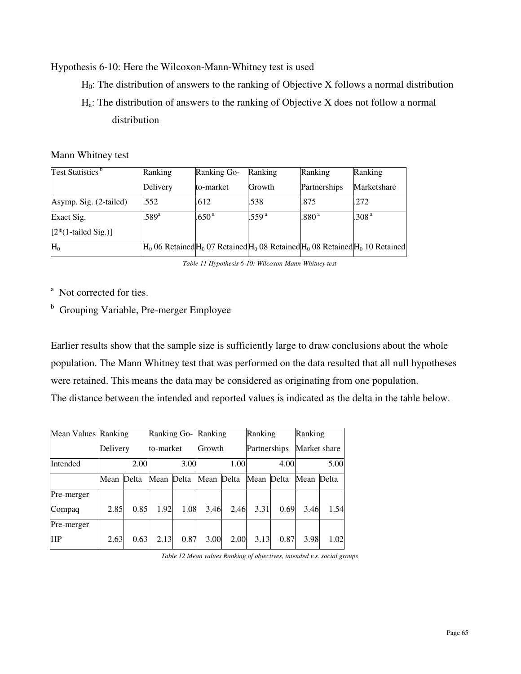# Hypothesis 6-10: Here the Wilcoxon-Mann-Whitney test is used

 $H<sub>0</sub>$ : The distribution of answers to the ranking of Objective X follows a normal distribution

 $H_a$ : The distribution of answers to the ranking of Objective X does not follow a normal distribution

# Mann Whitney test

| Test Statistics <sup>b</sup> | Ranking       | Ranking Go-       | Ranking                                                                                   | Ranking           | Ranking           |
|------------------------------|---------------|-------------------|-------------------------------------------------------------------------------------------|-------------------|-------------------|
|                              | Delivery      | to-market         | Growth                                                                                    | Partnerships      | Marketshare       |
| Asymp. Sig. (2-tailed)       | .552          | .612              | .538                                                                                      | .875              | .272              |
| Exact Sig.                   | $589^{\circ}$ | .650 <sup>a</sup> | .559 <sup>a</sup>                                                                         | .880 <sup>a</sup> | .308 <sup>a</sup> |
| $[2*(1-tailed Sig.)]$        |               |                   |                                                                                           |                   |                   |
| $H_0$                        |               |                   | $H_0$ 06 Retained $H_0$ 07 Retained $H_0$ 08 Retained $H_0$ 08 Retained $H_0$ 10 Retained |                   |                   |

*Table 11 Hypothesis 6-10: Wilcoxon-Mann-Whitney test* 

<sup>a</sup> Not corrected for ties.

<sup>b</sup> Grouping Variable, Pre-merger Employee

Earlier results show that the sample size is sufficiently large to draw conclusions about the whole population. The Mann Whitney test that was performed on the data resulted that all null hypotheses were retained. This means the data may be considered as originating from one population. The distance between the intended and reported values is indicated as the delta in the table below.

| Mean Values Ranking |          |       | Ranking Go- Ranking |      |            |      | Ranking      |      | Ranking      |      |
|---------------------|----------|-------|---------------------|------|------------|------|--------------|------|--------------|------|
|                     | Delivery |       | lto-market          |      | Growth     |      | Partnerships |      | Market share |      |
| Intended            |          | 2.00  |                     | 3.00 |            | 1.00 |              | 4.00 |              | 5.00 |
|                     | Mean     | Delta | Mean Delta          |      | Mean Delta |      | Mean Delta   |      | Mean Delta   |      |
| Pre-merger          |          |       |                     |      |            |      |              |      |              |      |
| Compaq              | 2.85     | 0.85  | 1.92                | 1.08 | 3.46       | 2.46 | 3.31         | 0.69 | 3.46         | 1.54 |
| Pre-merger          |          |       |                     |      |            |      |              |      |              |      |
| <b>HP</b>           | 2.63     | 0.63  | 2.13                | 0.87 | 3.00       | 2.00 | 3.13         | 0.87 | 3.98         | 1.02 |

*Table 12 Mean values Ranking of objectives, intended v.s. social groups*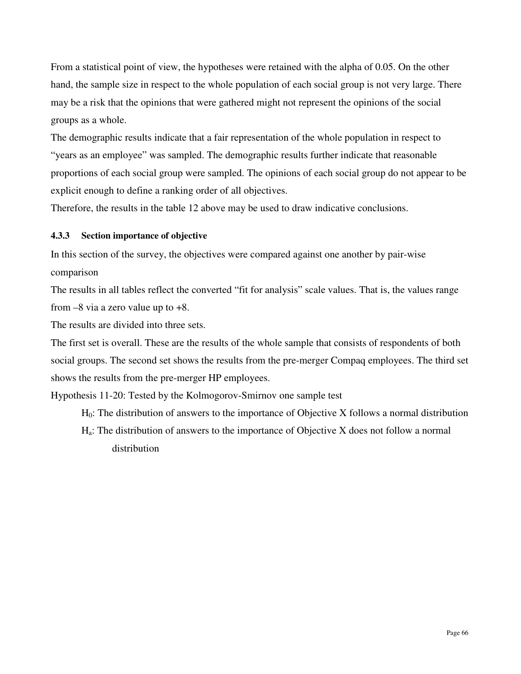From a statistical point of view, the hypotheses were retained with the alpha of 0.05. On the other hand, the sample size in respect to the whole population of each social group is not very large. There may be a risk that the opinions that were gathered might not represent the opinions of the social groups as a whole.

The demographic results indicate that a fair representation of the whole population in respect to "years as an employee" was sampled. The demographic results further indicate that reasonable proportions of each social group were sampled. The opinions of each social group do not appear to be explicit enough to define a ranking order of all objectives.

Therefore, the results in the table 12 above may be used to draw indicative conclusions.

# **4.3.3 Section importance of objective**

In this section of the survey, the objectives were compared against one another by pair-wise comparison

The results in all tables reflect the converted "fit for analysis" scale values. That is, the values range from  $-8$  via a zero value up to  $+8$ .

The results are divided into three sets.

The first set is overall. These are the results of the whole sample that consists of respondents of both social groups. The second set shows the results from the pre-merger Compaq employees. The third set shows the results from the pre-merger HP employees.

Hypothesis 11-20: Tested by the Kolmogorov-Smirnov one sample test

- $H<sub>0</sub>$ : The distribution of answers to the importance of Objective X follows a normal distribution
- Ha: The distribution of answers to the importance of Objective X does not follow a normal distribution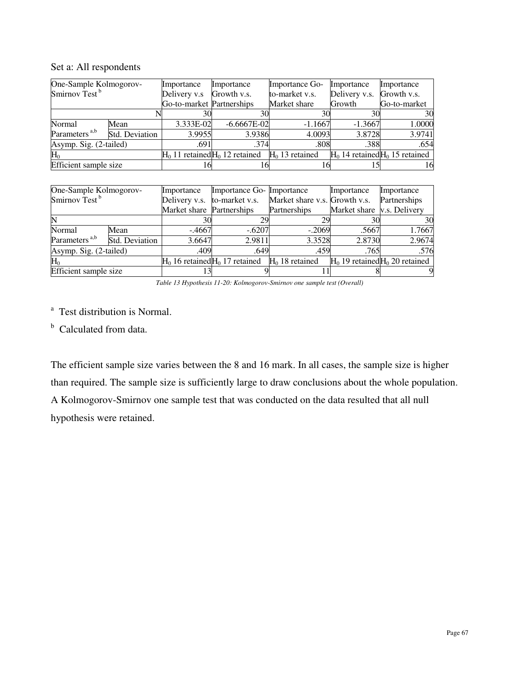| One-Sample Kolmogorov-<br>Smirnov Test <sup>b</sup> |                | Importance<br>Delivery v.s | Importance<br>Growth v.s.         | Importance Go-<br>to-market v.s. | Importance<br>Delivery v.s. | Importance<br>Growth v.s.           |
|-----------------------------------------------------|----------------|----------------------------|-----------------------------------|----------------------------------|-----------------------------|-------------------------------------|
|                                                     |                | Go-to-market Partnerships  |                                   | Market share                     | Growth                      | Go-to-market                        |
|                                                     |                | 30                         | 30                                | 30                               | 30                          | 30                                  |
| Normal                                              | Mean           | 3.333E-02                  | $-6.6667E-02$                     | $-1.1667$                        | $-1.3667$                   | 1.0000                              |
| Parameters <sup>a,b</sup>                           | Std. Deviation | 3.9955                     | 3.9386                            | 4.0093                           | 3.8728                      | 3.9741                              |
| Asymp. Sig. (2-tailed)                              |                | .691                       | .374                              | .808                             | .388                        | .654                                |
| $\rm{H}_{0}$                                        |                |                            | $H0$ 11 retained $H0$ 12 retained | $H0$ 13 retained                 |                             | $H_0$ 14 retained $H_0$ 15 retained |
| Efficient sample size                               |                |                            | 16                                |                                  |                             | 16                                  |

# Set a: All respondents

| One-Sample Kolmogorov-    |                | Importance                | Importance Go- Importance                             |                               | Importance                        | Importance                          |
|---------------------------|----------------|---------------------------|-------------------------------------------------------|-------------------------------|-----------------------------------|-------------------------------------|
| Smirnov Test <sup>b</sup> |                | Delivery v.s.             | to-market v.s.                                        | Market share v.s. Growth v.s. |                                   | Partnerships                        |
|                           |                | Market share Partnerships |                                                       | Partnerships                  | Market share <i>v.s.</i> Delivery |                                     |
| N                         |                | 30                        | 29                                                    | 29                            |                                   | 30                                  |
| Normal                    | Mean           | $-.4667$                  | $-.6207$                                              | $-.2069$                      | .5667                             | 1.7667                              |
| Parameters <sup>a,b</sup> | Std. Deviation | 3.6647                    | 2.9811                                                | 3.3528                        | 2.8730                            | 2.9674                              |
| Asymp. Sig. (2-tailed)    |                | .409                      | .649                                                  | .459                          | .765                              | .576                                |
| $H_0$                     |                |                           | $H_0$ 16 retained $H_0$ 17 retained $H_0$ 18 retained |                               |                                   | $H_0$ 19 retained $H_0$ 20 retained |
| Efficient sample size     |                |                           |                                                       |                               |                                   |                                     |

*Table 13 Hypothesis 11-20: Kolmogorov-Smirnov one sample test (Overall)* 

<sup>a</sup> Test distribution is Normal.

<sup>b</sup> Calculated from data.

The efficient sample size varies between the 8 and 16 mark. In all cases, the sample size is higher than required. The sample size is sufficiently large to draw conclusions about the whole population. A Kolmogorov-Smirnov one sample test that was conducted on the data resulted that all null hypothesis were retained.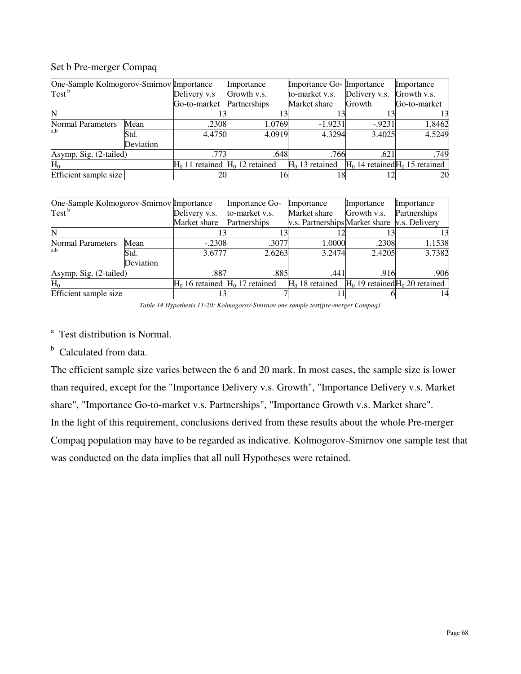# Set b Pre-merger Compaq

| One-Sample Kolmogorov-Smirnov Importance |           |                                     | Importance   | Importance Go- Importance |               | Importance                        |
|------------------------------------------|-----------|-------------------------------------|--------------|---------------------------|---------------|-----------------------------------|
| Test <sup>b</sup>                        |           | Delivery v.s                        | Growth v.s.  | to-market v.s.            | Delivery v.s. | Growth v.s.                       |
|                                          |           | Go-to-market                        | Partnerships | Market share              | Growth        | Go-to-market                      |
|                                          |           |                                     |              |                           |               |                                   |
| <b>Normal Parameters</b>                 | Mean      | .2308                               | 1.0769       | $-1.9231$                 | $-9231$       | 1.8462                            |
| a,b                                      | Std.      | 4.4750                              | 4.0919       | 4.3294                    | 3.4025        | 4.5249                            |
|                                          | Deviation |                                     |              |                           |               |                                   |
| Asymp. Sig. (2-tailed)                   |           | .773                                | .648         | .766                      | .621          | .749                              |
| $H_0$                                    |           | $H_0$ 11 retained $H_0$ 12 retained |              | $H0$ 13 retained          |               | $H0$ 14 retained $H0$ 15 retained |
| Efficient sample size                    |           | 20                                  |              | 18                        |               | 20                                |

|                          | One-Sample Kolmogorov-Smirnov Importance |                                   | Importance Go- | Importance                                   | Importance  | Importance                        |
|--------------------------|------------------------------------------|-----------------------------------|----------------|----------------------------------------------|-------------|-----------------------------------|
| $Test^b$                 |                                          | Delivery v.s.                     | to-market v.s. | Market share                                 | Growth v.s. | Partnerships                      |
|                          |                                          | Market share                      | Partnerships   | v.s. Partnerships Market share v.s. Delivery |             |                                   |
| IN                       |                                          |                                   |                |                                              |             |                                   |
| <b>Normal Parameters</b> | Mean                                     | $-.2308$                          | .3077          | 1.0000                                       | .2308       | 1.1538                            |
| a,b                      | Std.                                     | 3.6777                            | 2.6263         | 3.2474                                       | 2.4205      | 3.7382                            |
|                          | Deviation                                |                                   |                |                                              |             |                                   |
| Asymp. Sig. (2-tailed)   |                                          | .887                              | .885           | .441                                         | .916        | .906                              |
| $H_0$                    |                                          | $H0$ 16 retained $H0$ 17 retained |                | $H0$ 18 retained                             |             | $H0$ 19 retained $H0$ 20 retained |
| Efficient sample size    |                                          |                                   |                |                                              |             |                                   |

*Table 14 Hypothesis 11-20: Kolmogorov-Smirnov one sample test(pre-merger Compaq)* 

<sup>a</sup> Test distribution is Normal.

<sup>b</sup> Calculated from data.

The efficient sample size varies between the 6 and 20 mark. In most cases, the sample size is lower than required, except for the "Importance Delivery v.s. Growth", "Importance Delivery v.s. Market share", "Importance Go-to-market v.s. Partnerships", "Importance Growth v.s. Market share". In the light of this requirement, conclusions derived from these results about the whole Pre-merger Compaq population may have to be regarded as indicative. Kolmogorov-Smirnov one sample test that was conducted on the data implies that all null Hypotheses were retained.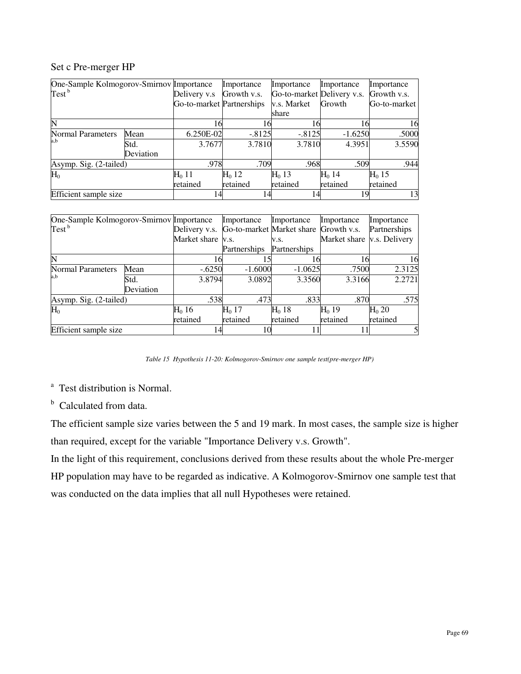#### Set c Pre-merger HP

| One-Sample Kolmogorov-Smirnov Importance |           |                           | Importance  | Importance                 | Importance | Importance   |
|------------------------------------------|-----------|---------------------------|-------------|----------------------------|------------|--------------|
| Test <sup>b</sup>                        |           | Delivery v.s              | Growth v.s. | Go-to-market Delivery v.s. |            | Growth v.s.  |
|                                          |           | Go-to-market Partnerships |             | v.s. Market                | Growth     | Go-to-market |
|                                          |           |                           |             | share                      |            |              |
| N                                        |           | 16                        | 16          | 6                          | 16         | 16           |
| <b>Normal Parameters</b>                 | Mean      | 6.250E-02                 | $-.8125$    | $-.8125$                   | $-1.6250$  | .5000        |
| a,b                                      | Std.      | 3.7677                    | 3.7810      | 3.7810                     | 4.3951     | 3.5590       |
|                                          | Deviation |                           |             |                            |            |              |
| Asymp. Sig. (2-tailed)                   |           | .978                      | .709        | .968                       | .509       | .944         |
| $H_0$                                    |           | $H_0$ 11                  | $H0$ 12     | $H0$ 13                    | $H0$ 14    | $H0$ 15      |
|                                          |           | retained                  | retained    | retained                   | retained   | retained     |
| Efficient sample size                    |           | 14                        | 14          |                            | 19         | 13           |

| One-Sample Kolmogorov-Smirnov Importance |           |                   | Importance   | Importance                            | Importance                 | Importance        |
|------------------------------------------|-----------|-------------------|--------------|---------------------------------------|----------------------------|-------------------|
| Test <sup>b</sup>                        |           | Delivery v.s.     |              | Go-to-market Market share Growth v.s. |                            | Partnerships      |
|                                          |           | Market share v.s. |              | V.S.                                  | Market share v.s. Delivery |                   |
|                                          |           |                   | Partnerships | Partnerships                          |                            |                   |
| N                                        |           | 16                |              |                                       | 16                         | 16                |
| <b>Normal Parameters</b>                 | Mean      | $-.6250$          | $-1.6000$    | $-1.0625$                             | .7500                      | 2.3125            |
| a,b                                      | Std.      | 3.8794            | 3.0892       | 3.3560                                | 3.3166                     | 2.2721            |
|                                          | Deviation |                   |              |                                       |                            |                   |
| Asymp. Sig. (2-tailed)                   |           | .538              | .473         | .833                                  | .870                       | .575              |
| $H_0$                                    |           | $H_0$ 16          | $H0$ 17      | $H_0$ 18                              | $H0$ 19                    | H <sub>0</sub> 20 |
|                                          |           | retained          | retained     | retained                              | retained                   | retained          |
| Efficient sample size                    |           | 14                | 10           |                                       |                            | 5                 |

*Table 15 Hypothesis 11-20: Kolmogorov-Smirnov one sample test(pre-merger HP)* 

<sup>a</sup> Test distribution is Normal.

<sup>b</sup> Calculated from data.

The efficient sample size varies between the 5 and 19 mark. In most cases, the sample size is higher than required, except for the variable "Importance Delivery v.s. Growth".

In the light of this requirement, conclusions derived from these results about the whole Pre-merger HP population may have to be regarded as indicative. A Kolmogorov-Smirnov one sample test that was conducted on the data implies that all null Hypotheses were retained.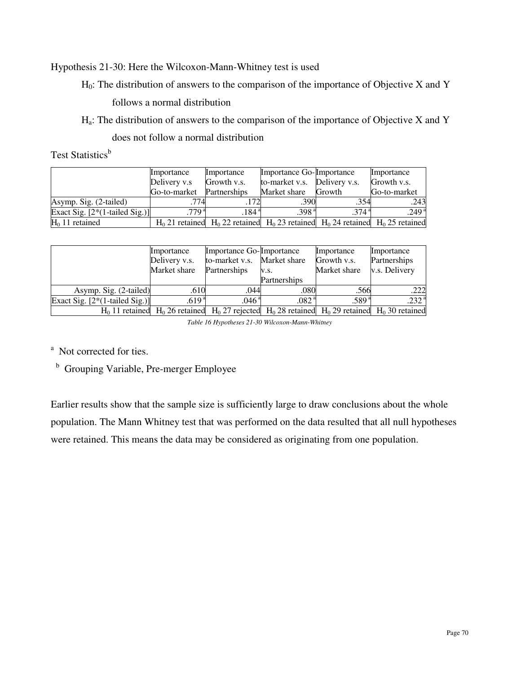Hypothesis 21-30: Here the Wilcoxon-Mann-Whitney test is used

 $H<sub>0</sub>$ : The distribution of answers to the comparison of the importance of Objective X and Y follows a normal distribution

Ha: The distribution of answers to the comparison of the importance of Objective X and Y

does not follow a normal distribution

Test Statistics<sup>b</sup>

|                                  | Importance      | Importance                                                                                | Importance Go-Importance     |                   | Importance        |
|----------------------------------|-----------------|-------------------------------------------------------------------------------------------|------------------------------|-------------------|-------------------|
|                                  | Delivery v.s    | Growth v.s.                                                                               | to-market v.s. Delivery v.s. |                   | Growth v.s.       |
|                                  | Go-to-market    | Partnerships                                                                              | Market share                 | Growth            | Go-to-market      |
| Asymp. Sig. (2-tailed)           | .774            |                                                                                           | .390                         | .354              | .243              |
| Exact Sig. $[2*(1-tailed Sig.)]$ | .779 $^{\circ}$ | .184 <sup>4</sup>                                                                         | .398 <sup>a</sup>            | .374 <sup>a</sup> | .249 <sup>a</sup> |
| $H_0$ 11 retained                |                 | $H_0$ 21 retained $H_0$ 22 retained $H_0$ 23 retained $H_0$ 24 retained $H_0$ 25 retained |                              |                   |                   |

|                                  | Importance        | Importance Go-Importance    |                                                                                                             | Importance   | Importance        |
|----------------------------------|-------------------|-----------------------------|-------------------------------------------------------------------------------------------------------------|--------------|-------------------|
|                                  | Delivery v.s.     | to-market v.s. Market share |                                                                                                             | Growth v.s.  | Partnerships      |
|                                  | Market share      | Partnerships                | V.S.                                                                                                        | Market share | v.s. Delivery     |
|                                  |                   |                             | Partnerships                                                                                                |              |                   |
| Asymp. Sig. (2-tailed)           | .610              | .044                        | .080                                                                                                        | .566         | .222              |
| Exact Sig. $[2*(1-tailed Sig.)]$ | .619 <sup>a</sup> | .046 <sup>a</sup>           | .082ª                                                                                                       | .589ª        | .232 <sup>a</sup> |
|                                  |                   |                             | $H_0$ 11 retained $H_0$ 26 retained $H_0$ 27 rejected $H_0$ 28 retained $H_0$ 29 retained $H_0$ 30 retained |              |                   |

*Table 16 Hypotheses 21-30 Wilcoxon-Mann-Whitney* 

<sup>a</sup> Not corrected for ties.

<sup>b</sup> Grouping Variable, Pre-merger Employee

Earlier results show that the sample size is sufficiently large to draw conclusions about the whole population. The Mann Whitney test that was performed on the data resulted that all null hypotheses were retained. This means the data may be considered as originating from one population.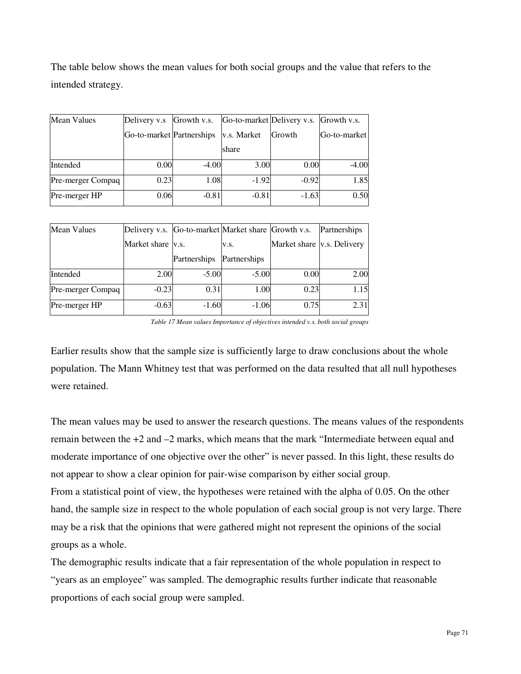The table below shows the mean values for both social groups and the value that refers to the intended strategy.

| <b>Mean Values</b> | Delivery v.s Growth v.s.  |         |             | Go-to-market Delivery v.s. Growth v.s. |                     |
|--------------------|---------------------------|---------|-------------|----------------------------------------|---------------------|
|                    | Go-to-market Partnerships |         | v.s. Market | Growth                                 | <b>Go-to-market</b> |
|                    |                           |         | share       |                                        |                     |
| Intended           | 0.00                      | $-4.00$ | 3.00        | 0.00                                   | $-4.00$             |
| Pre-merger Compaq  | 0.23                      | 1.08    | $-1.92$     | $-0.92$                                | 1.85                |
| Pre-merger HP      | 0.06                      | $-0.81$ | $-0.81$     | $-1.63$                                | 0.50                |

| <b>Mean Values</b> | Delivery v.s. Go-to-market Market share Growth v.s. |              |              |                                   | Partnerships |
|--------------------|-----------------------------------------------------|--------------|--------------|-----------------------------------|--------------|
|                    | Market share <i>v.s.</i>                            |              | V.S.         | Market share <i>v.s.</i> Delivery |              |
|                    |                                                     | Partnerships | Partnerships |                                   |              |
| Intended           | 2.00                                                | $-5.00$      | $-5.00$      | 0.00                              | 2.00         |
| Pre-merger Compaq  | $-0.23$                                             | 0.31         | 1.00         | 0.23                              | 1.15         |
| Pre-merger HP      | $-0.63$                                             | $-1.60$      | $-1.06$      | 0.75                              | 2.31         |

*Table 17 Mean values Importance of objectives intended v.s. both social groups* 

Earlier results show that the sample size is sufficiently large to draw conclusions about the whole population. The Mann Whitney test that was performed on the data resulted that all null hypotheses were retained.

The mean values may be used to answer the research questions. The means values of the respondents remain between the +2 and –2 marks, which means that the mark "Intermediate between equal and moderate importance of one objective over the other" is never passed. In this light, these results do not appear to show a clear opinion for pair-wise comparison by either social group. From a statistical point of view, the hypotheses were retained with the alpha of 0.05. On the other hand, the sample size in respect to the whole population of each social group is not very large. There

may be a risk that the opinions that were gathered might not represent the opinions of the social groups as a whole.

The demographic results indicate that a fair representation of the whole population in respect to "years as an employee" was sampled. The demographic results further indicate that reasonable proportions of each social group were sampled.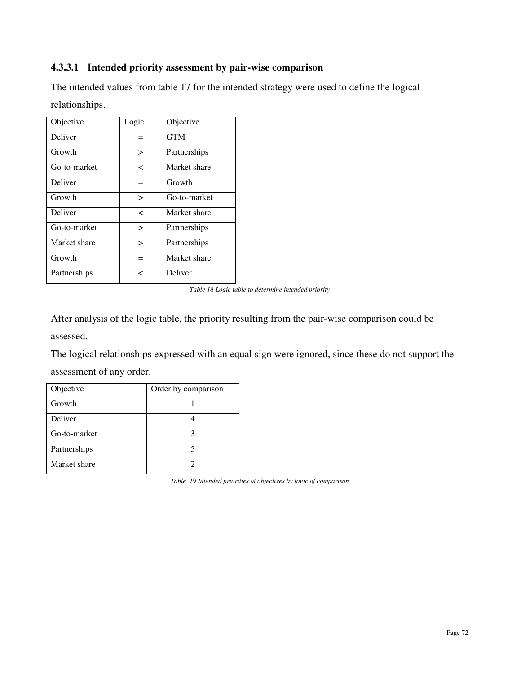# **4.3.3.1 Intended priority assessment by pair-wise comparison**

The intended values from table 17 for the intended strategy were used to define the logical relationships.

| Objective    | Logic        | Objective    |
|--------------|--------------|--------------|
| Deliver      |              | <b>GTM</b>   |
| Growth       | $\geq$       | Partnerships |
| Go-to-market | <            | Market share |
| Deliver      | $=$          | Growth       |
| Growth       | $\mathbf{r}$ | Go-to-market |
| Deliver      | $\,<\,$      | Market share |
| Go-to-market | $\geq$       | Partnerships |
| Market share | $\geq$       | Partnerships |
| Growth       | $=$          | Market share |
| Partnerships | $\,<\,$      | Deliver      |

*Table 18 Logic table to determine intended priority*

After analysis of the logic table, the priority resulting from the pair-wise comparison could be assessed.

The logical relationships expressed with an equal sign were ignored, since these do not support the assessment of any order.

| Objective    | Order by comparison |
|--------------|---------------------|
| Growth       |                     |
| Deliver      |                     |
| Go-to-market |                     |
| Partnerships |                     |
| Market share |                     |

*Table 19 Intended priorities of objectives by logic of comparison*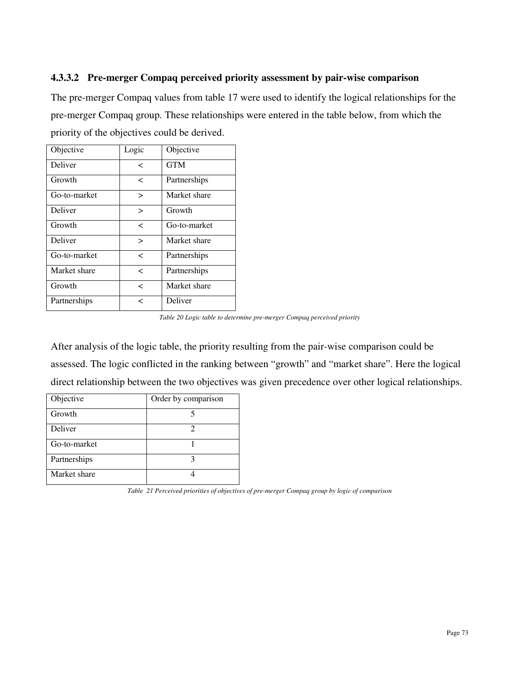# **4.3.3.2 Pre-merger Compaq perceived priority assessment by pair-wise comparison**

The pre-merger Compaq values from table 17 were used to identify the logical relationships for the pre-merger Compaq group. These relationships were entered in the table below, from which the priority of the objectives could be derived.

| Objective    | Logic  | Objective    |
|--------------|--------|--------------|
| Deliver      | <      | <b>GTM</b>   |
| Growth       | <      | Partnerships |
| Go-to-market | $\geq$ | Market share |
| Deliver      | $\geq$ | Growth       |
| Growth       | <      | Go-to-market |
| Deliver      | $\geq$ | Market share |
| Go-to-market | <      | Partnerships |
| Market share | <      | Partnerships |
| Growth       | <      | Market share |
| Partnerships | ✓      | Deliver      |

*Table 20 Logic table to determine pre-merger Compaq perceived priority* 

After analysis of the logic table, the priority resulting from the pair-wise comparison could be assessed. The logic conflicted in the ranking between "growth" and "market share". Here the logical direct relationship between the two objectives was given precedence over other logical relationships.

| Objective    | Order by comparison |
|--------------|---------------------|
| Growth       |                     |
| Deliver      |                     |
| Go-to-market |                     |
| Partnerships |                     |
| Market share |                     |

*Table 21 Perceived priorities of objectives of pre-merger Compaq group by logic of comparison*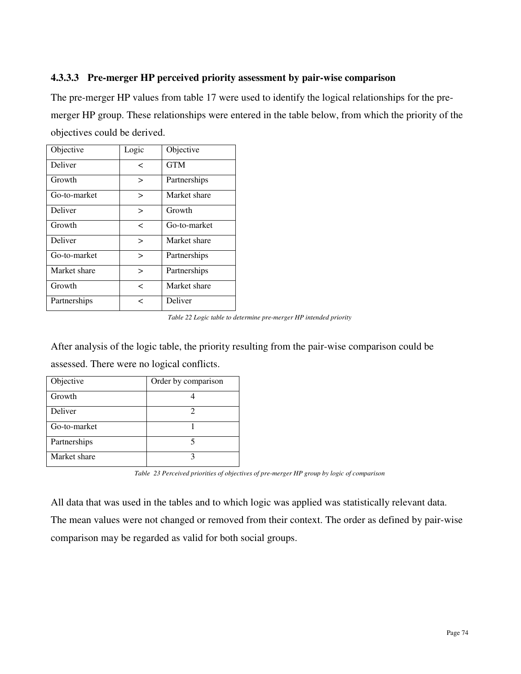# **4.3.3.3 Pre-merger HP perceived priority assessment by pair-wise comparison**

The pre-merger HP values from table 17 were used to identify the logical relationships for the premerger HP group. These relationships were entered in the table below, from which the priority of the objectives could be derived.

| Objective    | Logic     | Objective    |
|--------------|-----------|--------------|
| Deliver      | <         | <b>GTM</b>   |
| Growth       | $\geq$    | Partnerships |
| Go-to-market | $\, > \,$ | Market share |
| Deliver      | $\geq$    | Growth       |
| Growth       | <         | Go-to-market |
| Deliver      | $\geq$    | Market share |
| Go-to-market | >         | Partnerships |
| Market share | $\, > \,$ | Partnerships |
| Growth       | <         | Market share |
| Partnerships | ✓         | Deliver      |

*Table 22 Logic table to determine pre-merger HP intended priority* 

After analysis of the logic table, the priority resulting from the pair-wise comparison could be assessed. There were no logical conflicts.

| Objective    | Order by comparison |
|--------------|---------------------|
| Growth       |                     |
| Deliver      |                     |
| Go-to-market |                     |
| Partnerships |                     |
| Market share |                     |

*Table 23 Perceived priorities of objectives of pre-merger HP group by logic of comparison* 

All data that was used in the tables and to which logic was applied was statistically relevant data. The mean values were not changed or removed from their context. The order as defined by pair-wise comparison may be regarded as valid for both social groups.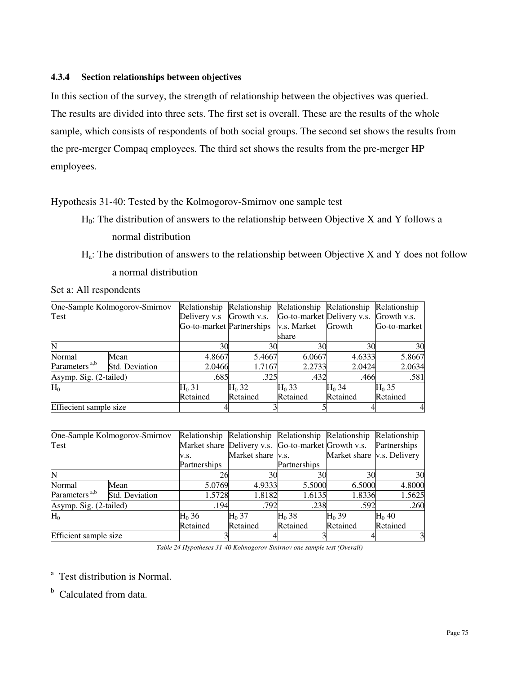#### **4.3.4 Section relationships between objectives**

In this section of the survey, the strength of relationship between the objectives was queried. The results are divided into three sets. The first set is overall. These are the results of the whole sample, which consists of respondents of both social groups. The second set shows the results from the pre-merger Compaq employees. The third set shows the results from the pre-merger HP employees.

Hypothesis 31-40: Tested by the Kolmogorov-Smirnov one sample test

- $H_0$ : The distribution of answers to the relationship between Objective X and Y follows a normal distribution
- $H_a$ : The distribution of answers to the relationship between Objective X and Y does not follow a normal distribution

Set a: All respondents

|                           | One-Sample Kolmogorov-Smirnov |                           | Relationship Relationship Relationship Relationship Relationship |                            |          |              |
|---------------------------|-------------------------------|---------------------------|------------------------------------------------------------------|----------------------------|----------|--------------|
| Test                      |                               | Delivery v.s              | Growth v.s.                                                      | Go-to-market Delivery v.s. |          | Growth v.s.  |
|                           |                               | Go-to-market Partnerships |                                                                  | v.s. Market                | Growth   | Go-to-market |
|                           |                               |                           |                                                                  | share                      |          |              |
| N                         |                               | 30                        | 30                                                               | 30                         | 30       | 30           |
| Normal                    | Mean                          | 4.8667                    | 5.4667                                                           | 6.0667                     | 4.6333   | 5.8667       |
| Parameters <sup>a,b</sup> | Std. Deviation                | 2.0466                    | 1.7167                                                           | 2.2733                     | 2.0424   | 2.0634       |
| Asymp. Sig. (2-tailed)    |                               | .685                      | .325                                                             | .432                       | .466     | .581         |
| $H_0$                     |                               | $H_0 31$                  | $H_0$ 32                                                         | $H_0$ 33                   | $H_0$ 34 | $H_0$ 35     |
|                           |                               | Retained                  | Retained                                                         | Retained                   | Retained | Retained     |
| Effiecient sample size    |                               |                           |                                                                  |                            |          |              |

|                           | One-Sample Kolmogorov-Smirnov |              | Relationship Relationship Relationship Relationship Relationship |              |                            |              |
|---------------------------|-------------------------------|--------------|------------------------------------------------------------------|--------------|----------------------------|--------------|
| Test                      |                               |              | Market share Delivery v.s. Go-to-market Growth v.s.              |              |                            | Partnerships |
|                           |                               | V.S.         | Market share v.s.                                                |              | Market share v.s. Delivery |              |
|                           |                               | Partnerships |                                                                  | Partnerships |                            |              |
|                           |                               | 26           | 30                                                               | 30           | 30                         | 30           |
| Normal                    | Mean                          | 5.0769       | 4.9333                                                           | 5.5000       | 6.5000                     | 4.8000       |
| Parameters <sup>a,b</sup> | Std. Deviation                | 1.5728       | 1.8182                                                           | 1.6135       | 1.8336                     | 1.5625       |
| Asymp. Sig. (2-tailed)    |                               | .194         | .792                                                             | .238         | .592                       | .260         |
| $H_0$                     |                               | $H_0$ 36     | $H_0$ 37                                                         | $H_0$ 38     | $H0$ 39                    | $H0$ 40      |
|                           |                               | Retained     | Retained                                                         | Retained     | Retained                   | Retained     |
| Efficient sample size     |                               |              |                                                                  |              |                            | 3            |

*Table 24 Hypotheses 31-40 Kolmogorov-Smirnov one sample test (Overall)* 

<sup>a</sup> Test distribution is Normal.

<sup>b</sup> Calculated from data.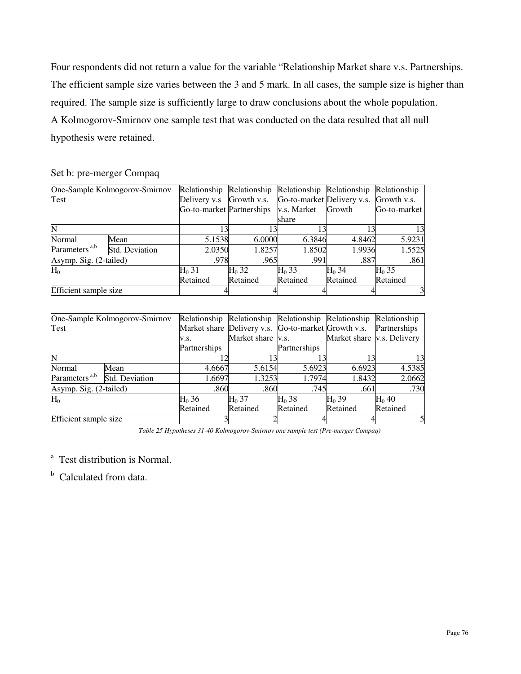Four respondents did not return a value for the variable "Relationship Market share v.s. Partnerships. The efficient sample size varies between the 3 and 5 mark. In all cases, the sample size is higher than required. The sample size is sufficiently large to draw conclusions about the whole population. A Kolmogorov-Smirnov one sample test that was conducted on the data resulted that all null hypothesis were retained.

#### Set b: pre-merger Compaq

|                           | One-Sample Kolmogorov-Smirnov |                           | Relationship Relationship Relationship Relationship |             |                                        | Relationship |
|---------------------------|-------------------------------|---------------------------|-----------------------------------------------------|-------------|----------------------------------------|--------------|
| Test                      |                               | Delivery v.s Growth v.s.  |                                                     |             | Go-to-market Delivery v.s. Growth v.s. |              |
|                           |                               | Go-to-market Partnerships |                                                     | v.s. Market | Growth                                 | Go-to-market |
|                           |                               |                           |                                                     | share       |                                        |              |
|                           |                               |                           | 13                                                  |             | 3                                      | 13           |
| Normal                    | Mean                          | 5.1538                    | 6.0000                                              | 6.3846      | 4.8462                                 | 5.9231       |
| Parameters <sup>a,b</sup> | <b>Std. Deviation</b>         | 2.0350                    | 1.8257                                              | 1.8502      | 1.9936                                 | 1.5525       |
| Asymp. Sig. (2-tailed)    |                               | .978                      | .965                                                | .991        | .887                                   | .861         |
| $H_0$                     |                               | $H_0$ 31                  | $H_0$ 32                                            | $H0$ 33     | $H0$ 34                                | $H_0$ 35     |
|                           |                               | Retained                  | Retained                                            | Retained    | Retained                               | Retained     |
| Efficient sample size     |                               |                           |                                                     |             |                                        |              |

|                           | One-Sample Kolmogorov-Smirnov |              | Relationship Relationship Relationship Relationship Relationship |              |                                   |              |
|---------------------------|-------------------------------|--------------|------------------------------------------------------------------|--------------|-----------------------------------|--------------|
| Test                      |                               |              | Market share Delivery v.s. Go-to-market Growth v.s.              |              |                                   | Partnerships |
|                           |                               | V.S.         | Market share v.s.                                                |              | Market share <i>v.s.</i> Delivery |              |
|                           |                               | Partnerships |                                                                  | Partnerships |                                   |              |
|                           |                               |              |                                                                  |              |                                   | 13           |
| Normal                    | Mean                          | 4.6667       | 5.6154                                                           | 5.6923       | 6.6923                            | 4.5385       |
| Parameters <sup>a,b</sup> | Std. Deviation                | 1.6697       | 1.3253                                                           | 1.7974       | 1.8432                            | 2.0662       |
| Asymp. Sig. (2-tailed)    |                               | .860         | .860                                                             | .745         | .661                              | .730         |
| $H_0$                     |                               | $H0$ 36      | $H0$ 37                                                          | $H0$ 38      | $H_0$ 39                          | $H0$ 40      |
|                           |                               | Retained     | Retained                                                         | Retained     | Retained                          | Retained     |
| Efficient sample size     |                               |              |                                                                  |              |                                   |              |

*Table 25 Hypotheses 31-40 Kolmogorov-Smirnov one sample test (Pre-merger Compaq)* 

<sup>a</sup> Test distribution is Normal.

<sup>b</sup> Calculated from data.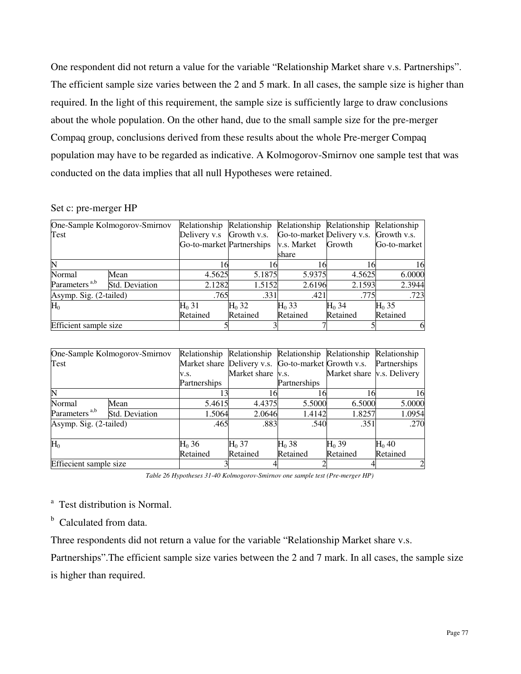One respondent did not return a value for the variable "Relationship Market share v.s. Partnerships". The efficient sample size varies between the 2 and 5 mark. In all cases, the sample size is higher than required. In the light of this requirement, the sample size is sufficiently large to draw conclusions about the whole population. On the other hand, due to the small sample size for the pre-merger Compaq group, conclusions derived from these results about the whole Pre-merger Compaq population may have to be regarded as indicative. A Kolmogorov-Smirnov one sample test that was conducted on the data implies that all null Hypotheses were retained.

## Set c: pre-merger HP

|                           | One-Sample Kolmogorov-Smirnov |                           | Relationship Relationship Relationship Relationship |                            |          | Relationship |
|---------------------------|-------------------------------|---------------------------|-----------------------------------------------------|----------------------------|----------|--------------|
| Test                      |                               | Delivery v.s              | Growth v.s.                                         | Go-to-market Delivery v.s. |          | Growth v.s.  |
|                           |                               | Go-to-market Partnerships |                                                     | v.s. Market                | Growth   | Go-to-market |
|                           |                               |                           |                                                     | share                      |          |              |
|                           |                               |                           |                                                     | 16                         |          | 16           |
| Normal                    | Mean                          | 4.5625                    | 5.1875                                              | 5.9375                     | 4.5625   | 6.0000       |
| Parameters <sup>a,b</sup> | <b>Std. Deviation</b>         | 2.1282                    | 1.5152                                              | 2.6196                     | 2.1593   | 2.3944       |
| Asymp. Sig. (2-tailed)    |                               | .765                      | .331                                                | .421                       | .775     | .723         |
| $H_0$                     |                               | $H0$ 31                   | $H_0$ 32                                            | $H_0$ 33                   | $H_0$ 34 | $H_0$ 35     |
|                           |                               | Retained                  | Retained                                            | Retained                   | Retained | Retained     |
| Efficient sample size     |                               |                           |                                                     |                            |          | h.           |

|                           | One-Sample Kolmogorov-Smirnov |              |                   | Relationship Relationship Relationship Relationship Relationship |                                   |          |
|---------------------------|-------------------------------|--------------|-------------------|------------------------------------------------------------------|-----------------------------------|----------|
| Test                      |                               |              |                   | Market share Delivery v.s. Go-to-market Growth v.s. Partnerships |                                   |          |
|                           |                               | V.S.         | Market share v.s. |                                                                  | Market share <i>v.s.</i> Delivery |          |
|                           |                               | Partnerships |                   | Partnerships                                                     |                                   |          |
| $\mathbb N$               |                               |              |                   | 16                                                               | 16                                | 16       |
| Normal                    | Mean                          | 5.4615       | 4.4375            | 5.5000                                                           | 6.5000                            | 5.0000   |
| Parameters <sup>a,b</sup> | Std. Deviation                | 1.5064       | 2.0646            | 1.4142                                                           | 1.8257                            | 1.0954   |
| Asymp. Sig. (2-tailed)    |                               | .465         | .883              | .540                                                             | .351                              | .270     |
|                           |                               |              |                   |                                                                  |                                   |          |
| $H_0$                     |                               | $H_0 36$     | $H_0$ 37          | $H_0$ 38                                                         | $H0$ 39                           | $H_0$ 40 |
|                           |                               | Retained     | Retained          | Retained                                                         | Retained                          | Retained |
| Effiecient sample size    |                               |              |                   |                                                                  |                                   | 2        |

*Table 26 Hypotheses 31-40 Kolmogorov-Smirnov one sample test (Pre-merger HP)* 

<sup>a</sup> Test distribution is Normal.

<sup>b</sup> Calculated from data.

Three respondents did not return a value for the variable "Relationship Market share v.s.

Partnerships".The efficient sample size varies between the 2 and 7 mark. In all cases, the sample size is higher than required.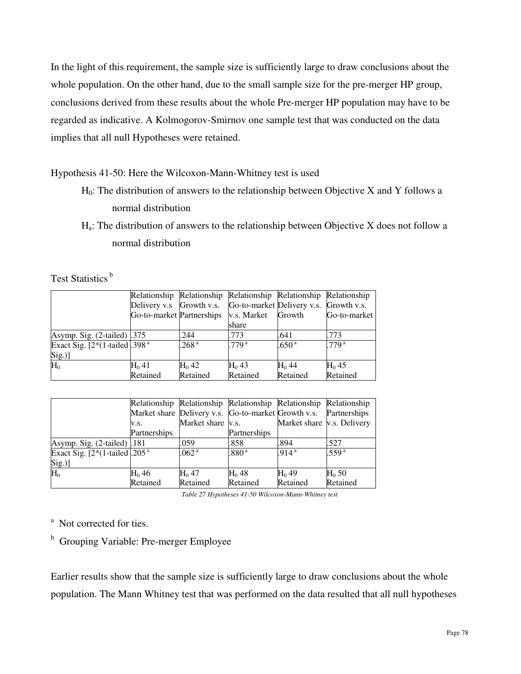In the light of this requirement, the sample size is sufficiently large to draw conclusions about the whole population. On the other hand, due to the small sample size for the pre-merger HP group, conclusions derived from these results about the whole Pre-merger HP population may have to be regarded as indicative. A Kolmogorov-Smirnov one sample test that was conducted on the data implies that all null Hypotheses were retained.

# Hypothesis 41-50: Here the Wilcoxon-Mann-Whitney test is used

- $H_0$ : The distribution of answers to the relationship between Objective X and Y follows a normal distribution
- $H_a$ : The distribution of answers to the relationship between Objective X does not follow a normal distribution

Test Statistics<sup>b</sup>

|                                   | Relationship Relationship Relationship Relationship Relationship |                   |                  |                   |                   |
|-----------------------------------|------------------------------------------------------------------|-------------------|------------------|-------------------|-------------------|
|                                   | Delivery v.s Growth v.s. Go-to-market Delivery v.s. Growth v.s.  |                   |                  |                   |                   |
|                                   | Go-to-market Partnerships v.s. Market                            |                   |                  | Growth            | Go-to-market      |
|                                   |                                                                  |                   | share            |                   |                   |
| Asymp. Sig. $(2$ -tailed $)$ .375 |                                                                  | .244              | .773             | .641              | .773              |
| Exact Sig. $[2*(1-tailed].398^a]$ |                                                                  | .268 <sup>a</sup> | 779 <sup>a</sup> | .650 <sup>a</sup> | .779 <sup>a</sup> |
| Sig.)]                            |                                                                  |                   |                  |                   |                   |
| $H_0$                             | H <sub>0</sub> 41                                                | $H0$ 42           | $H_0$ 43         | $H_0$ 44          | $H_0$ 45          |
|                                   | Retained                                                         | Retained          | Retained         | Retained          | Retained          |

|                                   |              |                   | Relationship Relationship Relationship Relationship Relationship |                                   |                   |
|-----------------------------------|--------------|-------------------|------------------------------------------------------------------|-----------------------------------|-------------------|
|                                   |              |                   | Market share Delivery v.s. Go-to-market Growth v.s. Partnerships |                                   |                   |
|                                   | V.S.         | Market share v.s. |                                                                  | Market share <i>v.s.</i> Delivery |                   |
|                                   | Partnerships |                   | Partnerships                                                     |                                   |                   |
| Asymp. Sig. (2-tailed) .181       |              | .059              | .858                                                             | .894                              | .527              |
| Exact Sig. $[2*(1-tailed].205^a]$ |              | .062 <sup>a</sup> | .880 <sup>a</sup>                                                | .914 <sup>a</sup>                 | .559 <sup>a</sup> |
| Sig.)]                            |              |                   |                                                                  |                                   |                   |
| $H_0$                             | $H_0$ 46     | $H0$ 47           | $H0$ 48                                                          | $H_0$ 49                          | $H_0$ 50          |
|                                   | Retained     | Retained          | Retained                                                         | Retained                          | Retained          |

*Table 27 Hypotheses 41-50 Wilcoxon-Mann-Whitney test* 

<sup>a</sup> Not corrected for ties.

<sup>b</sup> Grouping Variable: Pre-merger Employee

Earlier results show that the sample size is sufficiently large to draw conclusions about the whole population. The Mann Whitney test that was performed on the data resulted that all null hypotheses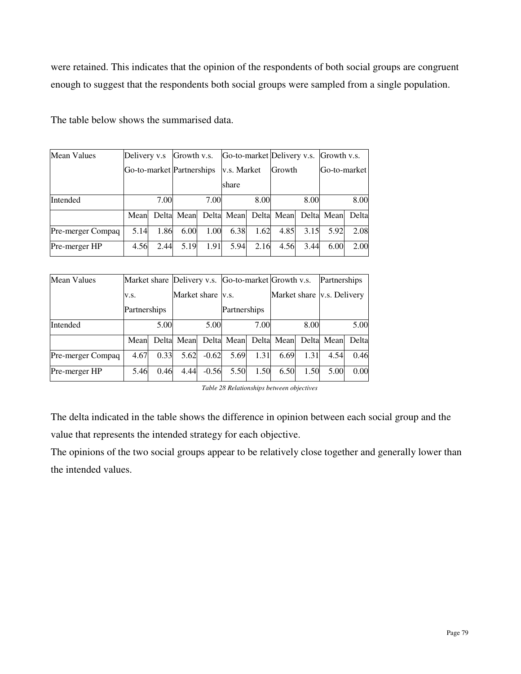were retained. This indicates that the opinion of the respondents of both social groups are congruent enough to suggest that the respondents both social groups were sampled from a single population.

| Mean Values       | Delivery v.s              |      | Growth v.s. |      |             |      | Go-to-market Delivery v.s. Growth v.s.      |      |              |       |
|-------------------|---------------------------|------|-------------|------|-------------|------|---------------------------------------------|------|--------------|-------|
|                   | Go-to-market Partnerships |      |             |      | v.s. Market |      | <b>Growth</b>                               |      | Go-to-market |       |
|                   |                           |      |             |      | share       |      |                                             |      |              |       |
| Intended          |                           | 7.00 |             | 7.00 |             | 8.00 |                                             | 8.00 |              | 8.00  |
|                   | Mean                      |      |             |      |             |      | Delta Mean Delta Mean Delta Mean Delta Mean |      |              | Delta |
| Pre-merger Compaq | 5.14                      | 1.86 | 6.00        | 1.00 | 6.38        | 1.62 | 4.85                                        | 3.15 | 5.92         | 2.08  |
| Pre-merger HP     | 4.56                      | 2.44 | 5.19        | 1.91 | 5.94        | 2.16 | 4.56                                        | 3.44 | 6.00         | 2.00  |

The table below shows the summarised data.

| <b>Mean Values</b> | Market share Delivery v.s. Go-to-market Growth v.s. |      |                          |         |              |      |                       |      | Partnerships               |      |
|--------------------|-----------------------------------------------------|------|--------------------------|---------|--------------|------|-----------------------|------|----------------------------|------|
|                    | V.S.                                                |      | Market share <i>v.s.</i> |         |              |      |                       |      | Market share v.s. Delivery |      |
|                    | Partnerships                                        |      |                          |         | Partnerships |      |                       |      |                            |      |
| Intended           |                                                     | 5.00 |                          | 5.00    |              | 7.00 |                       | 8.00 |                            | 5.00 |
|                    | Mean                                                |      | Delta Mean               |         |              |      | Delta Mean Delta Mean |      | Delta Mean Delta           |      |
| Pre-merger Compaq  | 4.67                                                | 0.33 | 5.62                     | $-0.62$ | 5.69         | 1.31 | 6.69                  | 1.31 | 4.54                       | 0.46 |
| Pre-merger HP      | 5.46                                                | 0.46 | 4.44                     | $-0.56$ | 5.50         | 1.50 | 6.50                  | 1.50 | 5.00                       | 0.00 |

*Table 28 Relationships between objectives* 

The delta indicated in the table shows the difference in opinion between each social group and the value that represents the intended strategy for each objective.

The opinions of the two social groups appear to be relatively close together and generally lower than the intended values.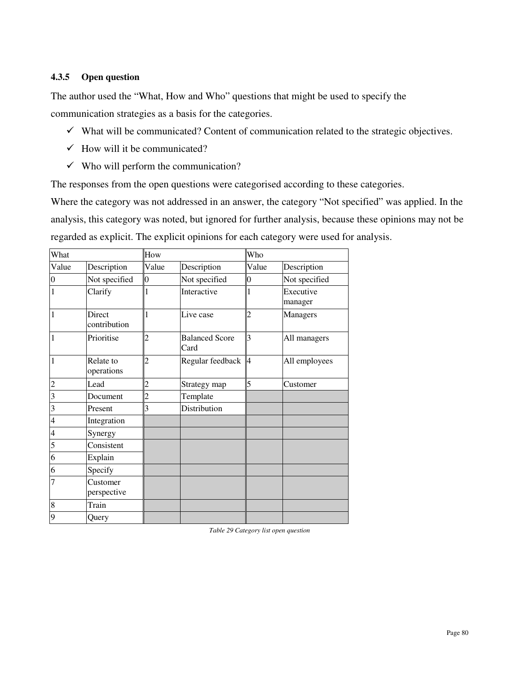#### **4.3.5 Open question**

The author used the "What, How and Who" questions that might be used to specify the communication strategies as a basis for the categories.

- $\checkmark$  What will be communicated? Content of communication related to the strategic objectives.
- $\checkmark$  How will it be communicated?
- $\checkmark$  Who will perform the communication?

The responses from the open questions were categorised according to these categories.

Where the category was not addressed in an answer, the category "Not specified" was applied. In the analysis, this category was noted, but ignored for further analysis, because these opinions may not be regarded as explicit. The explicit opinions for each category were used for analysis.

| What                    |                         | How                      |                               | Who             |                      |
|-------------------------|-------------------------|--------------------------|-------------------------------|-----------------|----------------------|
| Value                   | Description             | Value                    | Description                   | Value           | Description          |
| $\mathbf{0}$            | Not specified           | $\overline{0}$           | Not specified                 | $\vert 0 \vert$ | Not specified        |
| $\vert$ 1               | Clarify                 |                          | Interactive                   |                 | Executive<br>manager |
| $\overline{1}$          | Direct<br>contribution  |                          | Live case                     | $\overline{c}$  | <b>Managers</b>      |
| $\overline{1}$          | Prioritise              |                          | <b>Balanced Score</b><br>Card | $\overline{3}$  | All managers         |
| 1                       | Relate to<br>operations | $\overline{\mathcal{L}}$ | Regular feedback              | 4               | All employees        |
| $\overline{c}$          | Lead                    | 2                        | Strategy map                  | 5               | Customer             |
| $\overline{3}$          | Document                | 2                        | Template                      |                 |                      |
| $\overline{\mathbf{3}}$ | Present                 | 3                        | Distribution                  |                 |                      |
| $\overline{4}$          | Integration             |                          |                               |                 |                      |
| $\overline{4}$          | Synergy                 |                          |                               |                 |                      |
| 5                       | Consistent              |                          |                               |                 |                      |
| 6                       | Explain                 |                          |                               |                 |                      |
| 6                       | Specify                 |                          |                               |                 |                      |
| $\overline{7}$          | Customer<br>perspective |                          |                               |                 |                      |
| 8                       | Train                   |                          |                               |                 |                      |
| 9                       | Query                   |                          |                               |                 |                      |

*Table 29 Category list open question*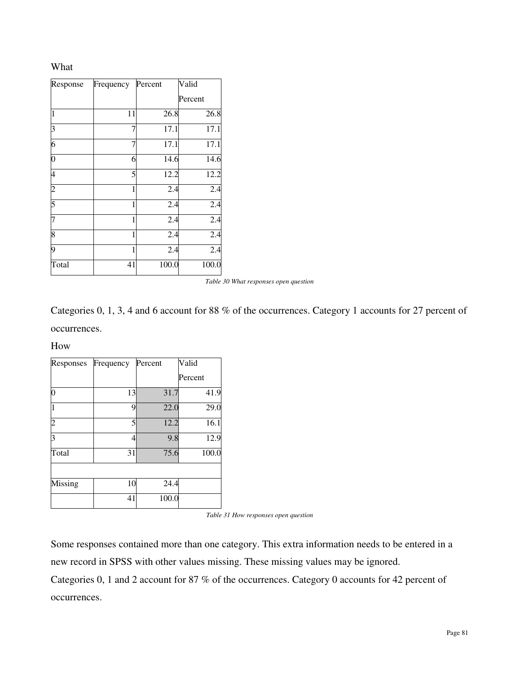### What

| Response | Frequency | Percent | Valid   |
|----------|-----------|---------|---------|
|          |           |         | Percent |
| 1        | 11        | 26.8    | 26.8    |
| 3        | 7         | 17.1    | 17.1    |
| 6        | 7         | 17.1    | 17.1    |
| 0        | 6         | 14.6    | 14.6    |
| 4        | 5         | 12.2    | 12.2    |
|          | 1         | 2.4     | 2.4     |
| 5        | 1         | 2.4     | 2.4     |
|          | 1         | 2.4     | 2.4     |
| 8        | 1         | 2.4     | 2.4     |
| 9        | 1         | 2.4     | 2.4     |
| Total    | 41        | 100.0   | 100.0   |

*Table 30 What responses open question* 

Categories 0, 1, 3, 4 and 6 account for 88 % of the occurrences. Category 1 accounts for 27 percent of occurrences.

How

| Responses | Frequency | Percent | Valid   |
|-----------|-----------|---------|---------|
|           |           |         | Percent |
|           | 13        | 31.7    | 41.9    |
|           | 9         | 22.0    | 29.0    |
|           | 5         | 12.2    | 16.1    |
|           | 4         | 9.8     | 12.9    |
| Total     | 31        | 75.6    | 100.0   |
|           |           |         |         |
| Missing   | 10        | 24.4    |         |
|           | 41        | 100.0   |         |

*Table 31 How responses open question* 

Some responses contained more than one category. This extra information needs to be entered in a new record in SPSS with other values missing. These missing values may be ignored.

Categories 0, 1 and 2 account for 87 % of the occurrences. Category 0 accounts for 42 percent of occurrences.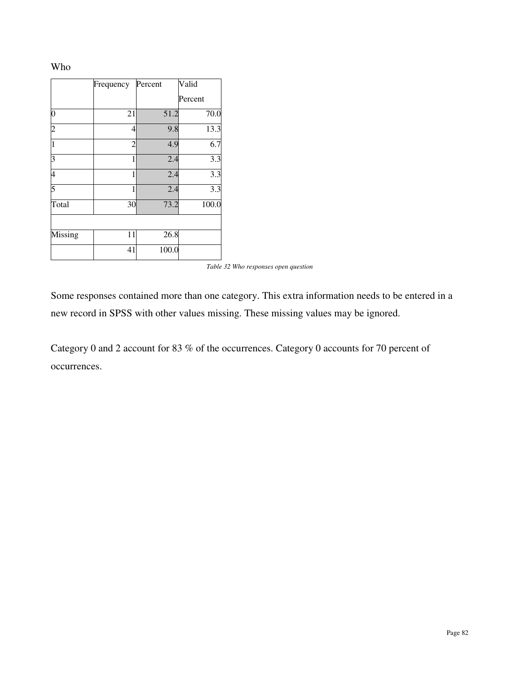#### Who

|         | Frequency      | Percent | Valid   |
|---------|----------------|---------|---------|
|         |                |         | Percent |
| 0       | 21             | 51.2    | 70.0    |
|         | 4              | 9.8     | 13.3    |
|         | $\overline{c}$ | 4.9     | 6.7     |
| κ       | 1              | 2.4     | 3.3     |
| 4       | 1              | 2.4     | 3.3     |
| 5       | 1              | 2.4     | 3.3     |
| Total   | 30             | 73.2    | 100.0   |
|         |                |         |         |
| Missing | 11             | 26.8    |         |
|         | 41             | 100.0   |         |

*Table 32 Who responses open question* 

Some responses contained more than one category. This extra information needs to be entered in a new record in SPSS with other values missing. These missing values may be ignored.

Category 0 and 2 account for 83 % of the occurrences. Category 0 accounts for 70 percent of occurrences.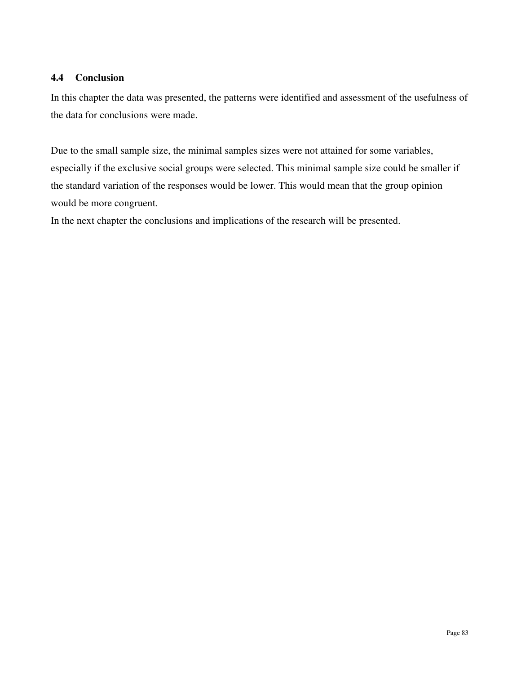# **4.4 Conclusion**

In this chapter the data was presented, the patterns were identified and assessment of the usefulness of the data for conclusions were made.

Due to the small sample size, the minimal samples sizes were not attained for some variables, especially if the exclusive social groups were selected. This minimal sample size could be smaller if the standard variation of the responses would be lower. This would mean that the group opinion would be more congruent.

In the next chapter the conclusions and implications of the research will be presented.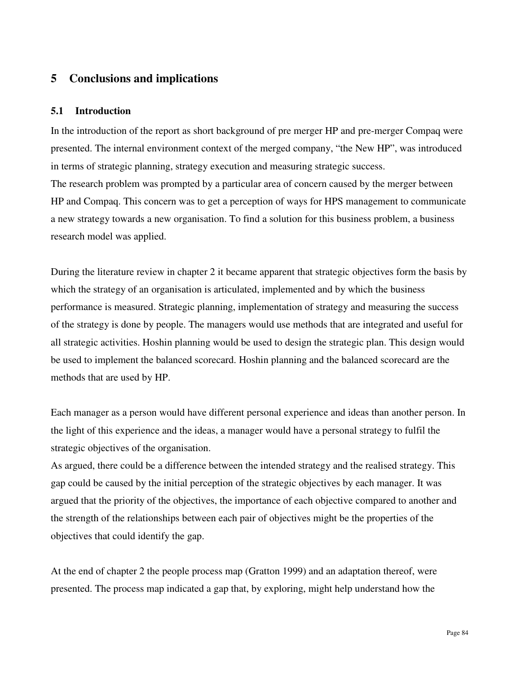# **5 Conclusions and implications**

#### **5.1 Introduction**

In the introduction of the report as short background of pre merger HP and pre-merger Compaq were presented. The internal environment context of the merged company, "the New HP", was introduced in terms of strategic planning, strategy execution and measuring strategic success. The research problem was prompted by a particular area of concern caused by the merger between HP and Compaq. This concern was to get a perception of ways for HPS management to communicate a new strategy towards a new organisation. To find a solution for this business problem, a business research model was applied.

During the literature review in chapter 2 it became apparent that strategic objectives form the basis by which the strategy of an organisation is articulated, implemented and by which the business performance is measured. Strategic planning, implementation of strategy and measuring the success of the strategy is done by people. The managers would use methods that are integrated and useful for all strategic activities. Hoshin planning would be used to design the strategic plan. This design would be used to implement the balanced scorecard. Hoshin planning and the balanced scorecard are the methods that are used by HP.

Each manager as a person would have different personal experience and ideas than another person. In the light of this experience and the ideas, a manager would have a personal strategy to fulfil the strategic objectives of the organisation.

As argued, there could be a difference between the intended strategy and the realised strategy. This gap could be caused by the initial perception of the strategic objectives by each manager. It was argued that the priority of the objectives, the importance of each objective compared to another and the strength of the relationships between each pair of objectives might be the properties of the objectives that could identify the gap.

At the end of chapter 2 the people process map (Gratton 1999) and an adaptation thereof, were presented. The process map indicated a gap that, by exploring, might help understand how the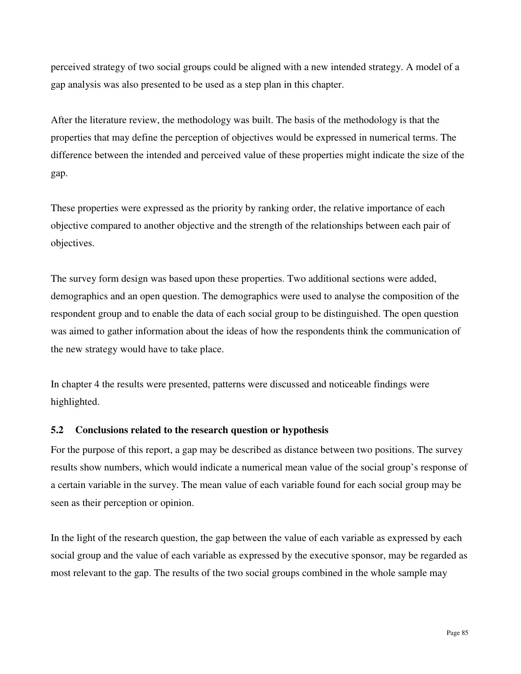perceived strategy of two social groups could be aligned with a new intended strategy. A model of a gap analysis was also presented to be used as a step plan in this chapter.

After the literature review, the methodology was built. The basis of the methodology is that the properties that may define the perception of objectives would be expressed in numerical terms. The difference between the intended and perceived value of these properties might indicate the size of the gap.

These properties were expressed as the priority by ranking order, the relative importance of each objective compared to another objective and the strength of the relationships between each pair of objectives.

The survey form design was based upon these properties. Two additional sections were added, demographics and an open question. The demographics were used to analyse the composition of the respondent group and to enable the data of each social group to be distinguished. The open question was aimed to gather information about the ideas of how the respondents think the communication of the new strategy would have to take place.

In chapter 4 the results were presented, patterns were discussed and noticeable findings were highlighted.

#### **5.2 Conclusions related to the research question or hypothesis**

For the purpose of this report, a gap may be described as distance between two positions. The survey results show numbers, which would indicate a numerical mean value of the social group's response of a certain variable in the survey. The mean value of each variable found for each social group may be seen as their perception or opinion.

In the light of the research question, the gap between the value of each variable as expressed by each social group and the value of each variable as expressed by the executive sponsor, may be regarded as most relevant to the gap. The results of the two social groups combined in the whole sample may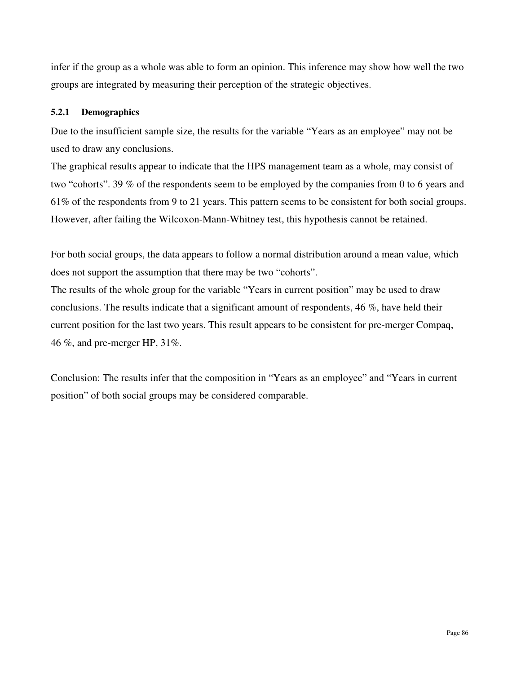infer if the group as a whole was able to form an opinion. This inference may show how well the two groups are integrated by measuring their perception of the strategic objectives.

# **5.2.1 Demographics**

Due to the insufficient sample size, the results for the variable "Years as an employee" may not be used to draw any conclusions.

The graphical results appear to indicate that the HPS management team as a whole, may consist of two "cohorts". 39 % of the respondents seem to be employed by the companies from 0 to 6 years and 61% of the respondents from 9 to 21 years. This pattern seems to be consistent for both social groups. However, after failing the Wilcoxon-Mann-Whitney test, this hypothesis cannot be retained.

For both social groups, the data appears to follow a normal distribution around a mean value, which does not support the assumption that there may be two "cohorts".

The results of the whole group for the variable "Years in current position" may be used to draw conclusions. The results indicate that a significant amount of respondents, 46 %, have held their current position for the last two years. This result appears to be consistent for pre-merger Compaq, 46 %, and pre-merger HP, 31%.

Conclusion: The results infer that the composition in "Years as an employee" and "Years in current position" of both social groups may be considered comparable.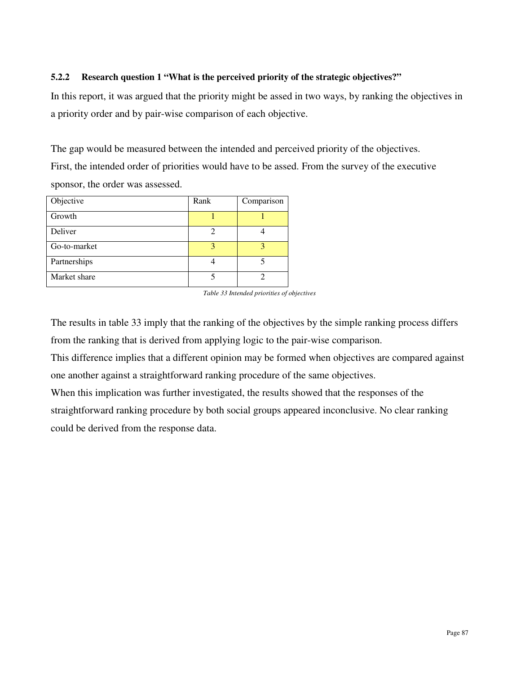## **5.2.2 Research question 1 "What is the perceived priority of the strategic objectives?"**

In this report, it was argued that the priority might be assed in two ways, by ranking the objectives in a priority order and by pair-wise comparison of each objective.

The gap would be measured between the intended and perceived priority of the objectives. First, the intended order of priorities would have to be assed. From the survey of the executive sponsor, the order was assessed.

| Objective    | Rank | Comparison |
|--------------|------|------------|
| Growth       |      |            |
| Deliver      | 2    |            |
| Go-to-market | 3    |            |
| Partnerships |      |            |
| Market share |      |            |

*Table 33 Intended priorities of objectives* 

The results in table 33 imply that the ranking of the objectives by the simple ranking process differs from the ranking that is derived from applying logic to the pair-wise comparison.

This difference implies that a different opinion may be formed when objectives are compared against one another against a straightforward ranking procedure of the same objectives.

When this implication was further investigated, the results showed that the responses of the straightforward ranking procedure by both social groups appeared inconclusive. No clear ranking could be derived from the response data.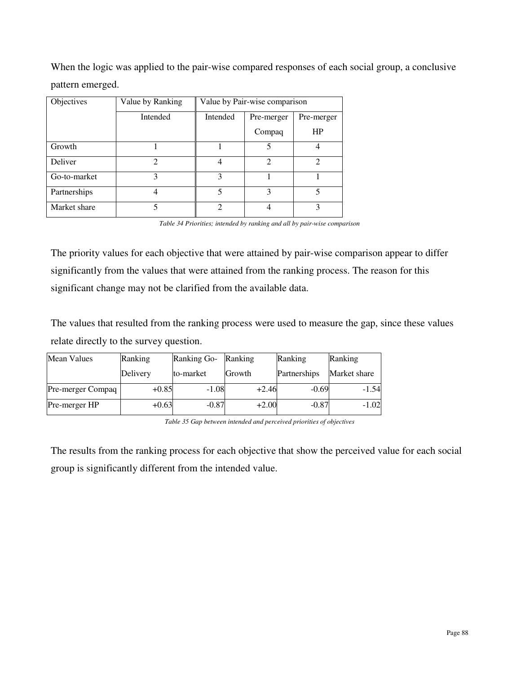When the logic was applied to the pair-wise compared responses of each social group, a conclusive pattern emerged.

| Objectives   | Value by Ranking            | Value by Pair-wise comparison |            |                |
|--------------|-----------------------------|-------------------------------|------------|----------------|
|              | Intended                    | Intended                      | Pre-merger | Pre-merger     |
|              |                             |                               | Compaq     | HP             |
| Growth       |                             |                               | 5          |                |
| Deliver      | $\mathcal{D}_{\mathcal{L}}$ |                               | 2          | $\mathfrak{D}$ |
| Go-to-market | 3                           | 3                             |            |                |
| Partnerships |                             | 5                             | 3          | 5              |
| Market share | 5                           | $\mathfrak{D}$                | 4          | ζ              |

*Table 34 Priorities; intended by ranking and all by pair-wise comparison* 

The priority values for each objective that were attained by pair-wise comparison appear to differ significantly from the values that were attained from the ranking process. The reason for this significant change may not be clarified from the available data.

The values that resulted from the ranking process were used to measure the gap, since these values relate directly to the survey question.

| <b>Mean Values</b>       | Ranking  | Ranking Go-<br>Ranking |               | Ranking      | Ranking      |
|--------------------------|----------|------------------------|---------------|--------------|--------------|
|                          | Delivery | to-market              | <b>Growth</b> | Partnerships | Market share |
| <b>Pre-merger Compaq</b> | $+0.85$  | $-1.08$                | $+2.46$       | $-0.69$      | $-1.54$      |
| Pre-merger HP            | $+0.63$  | $-0.87$                | $+2.00$       | $-0.87$      | $-1.02$      |

*Table 35 Gap between intended and perceived priorities of objectives* 

The results from the ranking process for each objective that show the perceived value for each social group is significantly different from the intended value.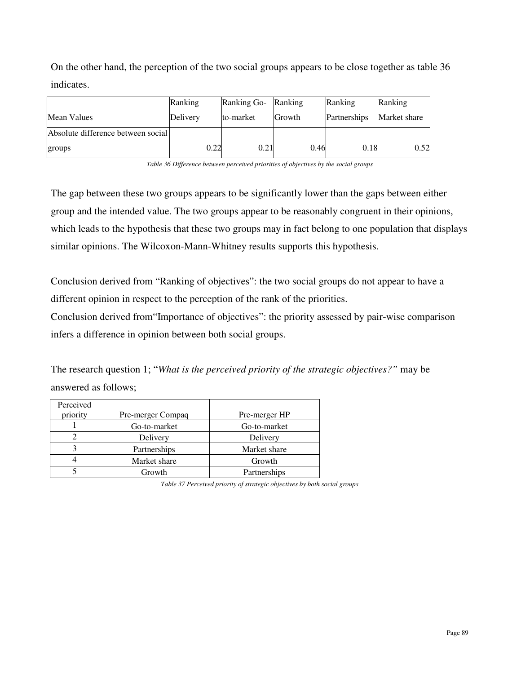On the other hand, the perception of the two social groups appears to be close together as table 36 indicates.

|                                    | Ranking  | Ranking Go- | Ranking       | Ranking      | Ranking      |
|------------------------------------|----------|-------------|---------------|--------------|--------------|
| <b>Mean Values</b>                 | Delivery | to-market   | <b>Growth</b> | Partnerships | Market share |
| Absolute difference between social |          |             |               |              |              |
| groups                             | 0.22     | 0.21        | 0.46          | 0.18         | 0.52         |

*Table 36 Difference between perceived priorities of objectives by the social groups* 

The gap between these two groups appears to be significantly lower than the gaps between either group and the intended value. The two groups appear to be reasonably congruent in their opinions, which leads to the hypothesis that these two groups may in fact belong to one population that displays similar opinions. The Wilcoxon-Mann-Whitney results supports this hypothesis.

Conclusion derived from "Ranking of objectives": the two social groups do not appear to have a different opinion in respect to the perception of the rank of the priorities.

Conclusion derived from"Importance of objectives": the priority assessed by pair-wise comparison infers a difference in opinion between both social groups.

The research question 1; "*What is the perceived priority of the strategic objectives?"* may be answered as follows;

| Perceived<br>priority | Pre-merger Compaq | Pre-merger HP |
|-----------------------|-------------------|---------------|
|                       | Go-to-market      | Go-to-market  |
|                       | Delivery          | Delivery      |
|                       | Partnerships      | Market share  |
|                       | Market share      | Growth        |
|                       | Growth            | Partnerships  |

*Table 37 Perceived priority of strategic objectives by both social groups*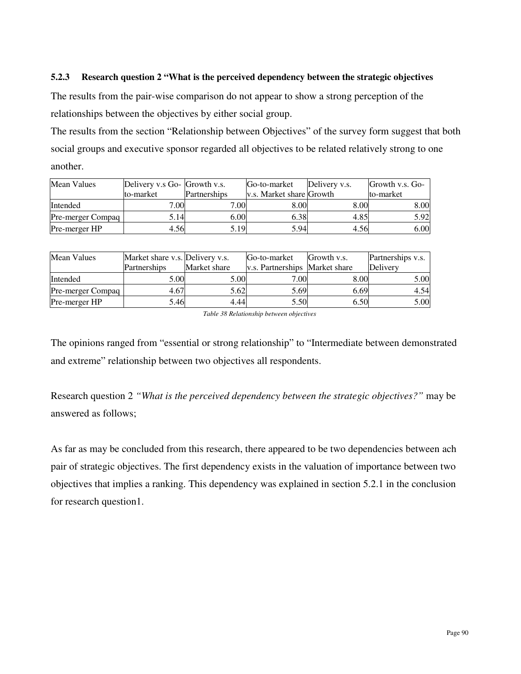#### **5.2.3 Research question 2 "What is the perceived dependency between the strategic objectives**

The results from the pair-wise comparison do not appear to show a strong perception of the relationships between the objectives by either social group.

The results from the section "Relationship between Objectives" of the survey form suggest that both social groups and executive sponsor regarded all objectives to be related relatively strong to one another.

| <b>Mean Values</b> | Delivery v.s Go- Growth v.s. |              | Go-to-market             | Delivery v.s. | Growth v.s. Go- |
|--------------------|------------------------------|--------------|--------------------------|---------------|-----------------|
|                    | to-market                    | Partnerships | v.s. Market share Growth |               | to-market       |
| Intended           | 7.00                         | 7.00         | 8.00                     | 8.00          | 8.00            |
| Pre-merger Compaq  | 5.14                         | 6.00         | 6.38                     | 4.85          | 5.92            |
| Pre-merger HP      | 4.56                         | 5.19         | 5.94                     | 4.56          | 6.00            |

| Mean Values       | Market share v.s. Delivery v.s. |              | Go-to-market                   | Growth v.s. | Partnerships v.s. |
|-------------------|---------------------------------|--------------|--------------------------------|-------------|-------------------|
|                   | Partnerships                    | Market share | v.s. Partnerships Market share |             | Delivery          |
| Intended          | 5.00                            | 5.00         | 7.00                           | 8.00        | 5.00              |
| Pre-merger Compaq | 4.67                            | 5.62         | 5.69                           | 6.69        | 4.54              |
| Pre-merger HP     | 5.46                            | 4.44         | 5.50                           | 6.50        | 5.00              |

*Table 38 Relationship between objectives* 

The opinions ranged from "essential or strong relationship" to "Intermediate between demonstrated and extreme" relationship between two objectives all respondents.

Research question 2 *"What is the perceived dependency between the strategic objectives?"* may be answered as follows;

As far as may be concluded from this research, there appeared to be two dependencies between ach pair of strategic objectives. The first dependency exists in the valuation of importance between two objectives that implies a ranking. This dependency was explained in section 5.2.1 in the conclusion for research question1.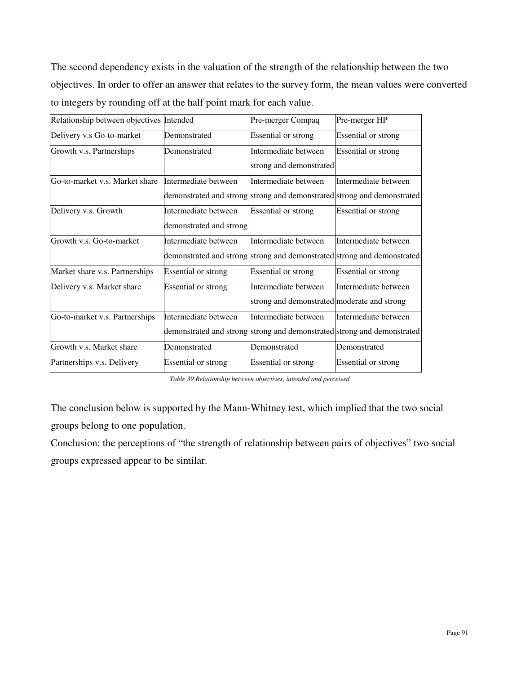The second dependency exists in the valuation of the strength of the relationship between the two objectives. In order to offer an answer that relates to the survey form, the mean values were converted to integers by rounding off at the half point mark for each value.

| Relationship between objectives Intended |                            | Pre-merger Compaq                                                       | Pre-merger HP              |
|------------------------------------------|----------------------------|-------------------------------------------------------------------------|----------------------------|
| Delivery v.s Go-to-market                | Demonstrated               | <b>Essential or strong</b>                                              | <b>Essential or strong</b> |
| Growth v.s. Partnerships                 | Demonstrated               | Intermediate between                                                    | <b>Essential or strong</b> |
|                                          |                            | strong and demonstrated                                                 |                            |
| Go-to-market v.s. Market share           | Intermediate between       | Intermediate between                                                    | Intermediate between       |
|                                          |                            | demonstrated and strong strong and demonstrated strong and demonstrated |                            |
| Delivery v.s. Growth                     | Intermediate between       | <b>Essential or strong</b>                                              | Essential or strong        |
|                                          | demonstrated and strong    |                                                                         |                            |
| Growth v.s. Go-to-market                 | Intermediate between       | Intermediate between                                                    | Intermediate between       |
|                                          |                            | demonstrated and strong strong and demonstrated strong and demonstrated |                            |
| Market share v.s. Partnerships           | <b>Essential or strong</b> | <b>Essential or strong</b>                                              | <b>Essential or strong</b> |
| Delivery v.s. Market share               | <b>Essential or strong</b> | Intermediate between                                                    | Intermediate between       |
|                                          |                            | strong and demonstrated moderate and strong                             |                            |
| Go-to-market v.s. Partnerships           | Intermediate between       | Intermediate between                                                    | Intermediate between       |
|                                          |                            | demonstrated and strong strong and demonstrated strong and demonstrated |                            |
| Growth v.s. Market share                 | Demonstrated               | Demonstrated                                                            | Demonstrated               |
| Partnerships v.s. Delivery               | <b>Essential or strong</b> | <b>Essential or strong</b>                                              | Essential or strong        |

*Table 39 Relationship between objectives, intended and perceived* 

The conclusion below is supported by the Mann-Whitney test, which implied that the two social groups belong to one population.

Conclusion: the perceptions of "the strength of relationship between pairs of objectives" two social groups expressed appear to be similar.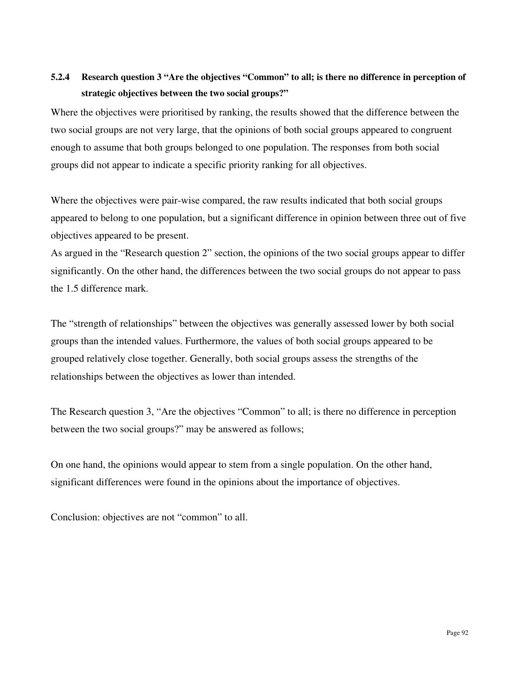# **5.2.4 Research question 3 "Are the objectives "Common" to all; is there no difference in perception of strategic objectives between the two social groups?"**

Where the objectives were prioritised by ranking, the results showed that the difference between the two social groups are not very large, that the opinions of both social groups appeared to congruent enough to assume that both groups belonged to one population. The responses from both social groups did not appear to indicate a specific priority ranking for all objectives.

Where the objectives were pair-wise compared, the raw results indicated that both social groups appeared to belong to one population, but a significant difference in opinion between three out of five objectives appeared to be present.

As argued in the "Research question 2" section, the opinions of the two social groups appear to differ significantly. On the other hand, the differences between the two social groups do not appear to pass the 1.5 difference mark.

The "strength of relationships" between the objectives was generally assessed lower by both social groups than the intended values. Furthermore, the values of both social groups appeared to be grouped relatively close together. Generally, both social groups assess the strengths of the relationships between the objectives as lower than intended.

The Research question 3, "Are the objectives "Common" to all; is there no difference in perception between the two social groups?" may be answered as follows;

On one hand, the opinions would appear to stem from a single population. On the other hand, significant differences were found in the opinions about the importance of objectives.

Conclusion: objectives are not "common" to all.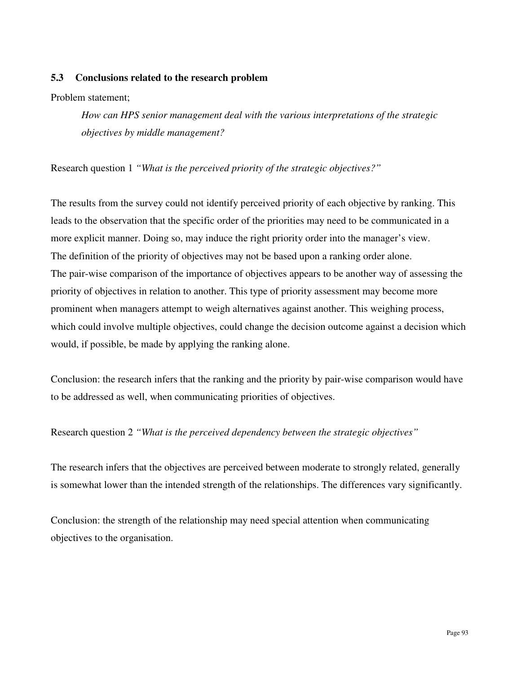#### **5.3 Conclusions related to the research problem**

Problem statement;

*How can HPS senior management deal with the various interpretations of the strategic objectives by middle management?* 

Research question 1 *"What is the perceived priority of the strategic objectives?"*

The results from the survey could not identify perceived priority of each objective by ranking. This leads to the observation that the specific order of the priorities may need to be communicated in a more explicit manner. Doing so, may induce the right priority order into the manager's view. The definition of the priority of objectives may not be based upon a ranking order alone. The pair-wise comparison of the importance of objectives appears to be another way of assessing the priority of objectives in relation to another. This type of priority assessment may become more prominent when managers attempt to weigh alternatives against another. This weighing process, which could involve multiple objectives, could change the decision outcome against a decision which would, if possible, be made by applying the ranking alone.

Conclusion: the research infers that the ranking and the priority by pair-wise comparison would have to be addressed as well, when communicating priorities of objectives.

Research question 2 *"What is the perceived dependency between the strategic objectives"* 

The research infers that the objectives are perceived between moderate to strongly related, generally is somewhat lower than the intended strength of the relationships. The differences vary significantly.

Conclusion: the strength of the relationship may need special attention when communicating objectives to the organisation.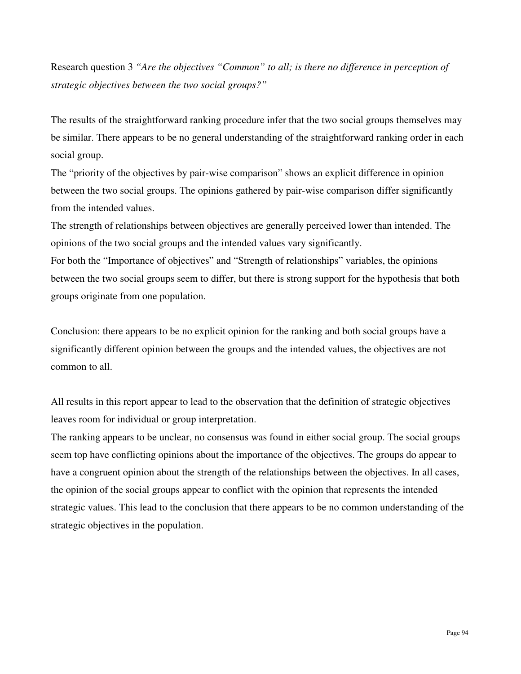Research question 3 *"Are the objectives "Common" to all; is there no difference in perception of strategic objectives between the two social groups?"*

The results of the straightforward ranking procedure infer that the two social groups themselves may be similar. There appears to be no general understanding of the straightforward ranking order in each social group.

The "priority of the objectives by pair-wise comparison" shows an explicit difference in opinion between the two social groups. The opinions gathered by pair-wise comparison differ significantly from the intended values.

The strength of relationships between objectives are generally perceived lower than intended. The opinions of the two social groups and the intended values vary significantly.

For both the "Importance of objectives" and "Strength of relationships" variables, the opinions between the two social groups seem to differ, but there is strong support for the hypothesis that both groups originate from one population.

Conclusion: there appears to be no explicit opinion for the ranking and both social groups have a significantly different opinion between the groups and the intended values, the objectives are not common to all.

All results in this report appear to lead to the observation that the definition of strategic objectives leaves room for individual or group interpretation.

The ranking appears to be unclear, no consensus was found in either social group. The social groups seem top have conflicting opinions about the importance of the objectives. The groups do appear to have a congruent opinion about the strength of the relationships between the objectives. In all cases, the opinion of the social groups appear to conflict with the opinion that represents the intended strategic values. This lead to the conclusion that there appears to be no common understanding of the strategic objectives in the population.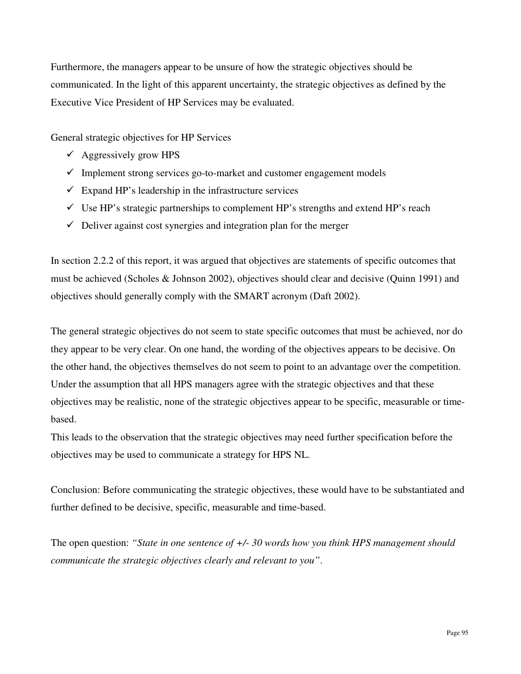Furthermore, the managers appear to be unsure of how the strategic objectives should be communicated. In the light of this apparent uncertainty, the strategic objectives as defined by the Executive Vice President of HP Services may be evaluated.

General strategic objectives for HP Services

- $\checkmark$  Aggressively grow HPS
- $\checkmark$  Implement strong services go-to-market and customer engagement models
- $\checkmark$  Expand HP's leadership in the infrastructure services
- $\checkmark$  Use HP's strategic partnerships to complement HP's strengths and extend HP's reach
- $\checkmark$  Deliver against cost synergies and integration plan for the merger

In section 2.2.2 of this report, it was argued that objectives are statements of specific outcomes that must be achieved (Scholes & Johnson 2002), objectives should clear and decisive (Quinn 1991) and objectives should generally comply with the SMART acronym (Daft 2002).

The general strategic objectives do not seem to state specific outcomes that must be achieved, nor do they appear to be very clear. On one hand, the wording of the objectives appears to be decisive. On the other hand, the objectives themselves do not seem to point to an advantage over the competition. Under the assumption that all HPS managers agree with the strategic objectives and that these objectives may be realistic, none of the strategic objectives appear to be specific, measurable or timebased.

This leads to the observation that the strategic objectives may need further specification before the objectives may be used to communicate a strategy for HPS NL.

Conclusion: Before communicating the strategic objectives, these would have to be substantiated and further defined to be decisive, specific, measurable and time-based.

The open question: *"State in one sentence of +/- 30 words how you think HPS management should communicate the strategic objectives clearly and relevant to you"*.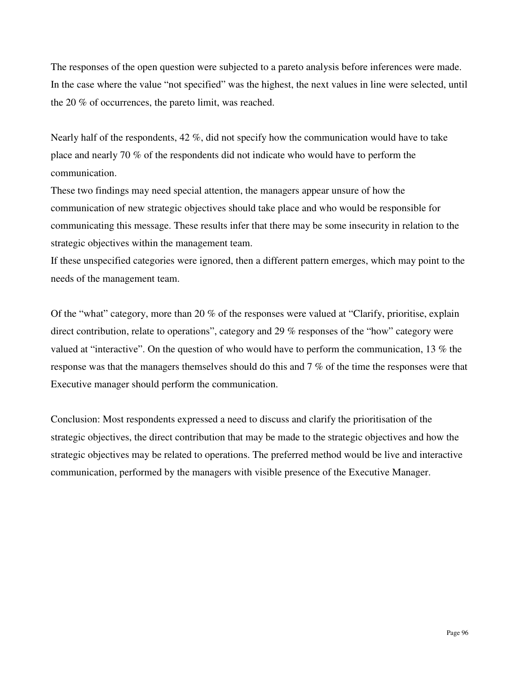The responses of the open question were subjected to a pareto analysis before inferences were made. In the case where the value "not specified" was the highest, the next values in line were selected, until the 20 % of occurrences, the pareto limit, was reached.

Nearly half of the respondents, 42 %, did not specify how the communication would have to take place and nearly 70 % of the respondents did not indicate who would have to perform the communication.

These two findings may need special attention, the managers appear unsure of how the communication of new strategic objectives should take place and who would be responsible for communicating this message. These results infer that there may be some insecurity in relation to the strategic objectives within the management team.

If these unspecified categories were ignored, then a different pattern emerges, which may point to the needs of the management team.

Of the "what" category, more than 20 % of the responses were valued at "Clarify, prioritise, explain direct contribution, relate to operations", category and 29 % responses of the "how" category were valued at "interactive". On the question of who would have to perform the communication, 13 % the response was that the managers themselves should do this and 7 % of the time the responses were that Executive manager should perform the communication.

Conclusion: Most respondents expressed a need to discuss and clarify the prioritisation of the strategic objectives, the direct contribution that may be made to the strategic objectives and how the strategic objectives may be related to operations. The preferred method would be live and interactive communication, performed by the managers with visible presence of the Executive Manager.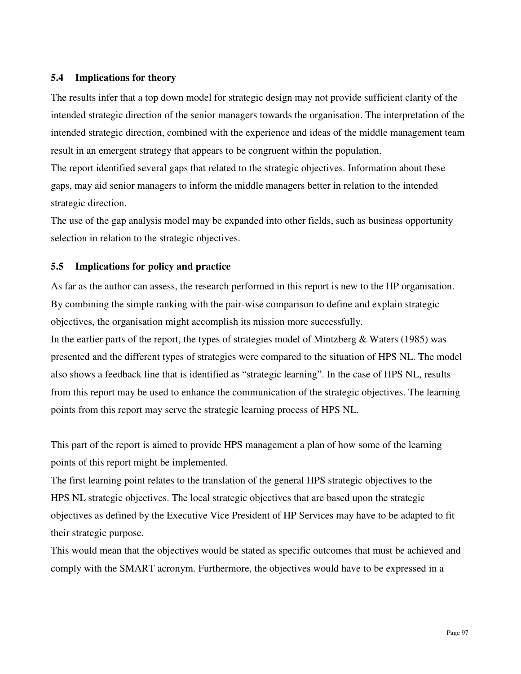#### **5.4 Implications for theory**

The results infer that a top down model for strategic design may not provide sufficient clarity of the intended strategic direction of the senior managers towards the organisation. The interpretation of the intended strategic direction, combined with the experience and ideas of the middle management team result in an emergent strategy that appears to be congruent within the population.

The report identified several gaps that related to the strategic objectives. Information about these gaps, may aid senior managers to inform the middle managers better in relation to the intended strategic direction.

The use of the gap analysis model may be expanded into other fields, such as business opportunity selection in relation to the strategic objectives.

### **5.5 Implications for policy and practice**

As far as the author can assess, the research performed in this report is new to the HP organisation. By combining the simple ranking with the pair-wise comparison to define and explain strategic objectives, the organisation might accomplish its mission more successfully.

In the earlier parts of the report, the types of strategies model of Mintzberg & Waters (1985) was presented and the different types of strategies were compared to the situation of HPS NL. The model also shows a feedback line that is identified as "strategic learning". In the case of HPS NL, results from this report may be used to enhance the communication of the strategic objectives. The learning points from this report may serve the strategic learning process of HPS NL.

This part of the report is aimed to provide HPS management a plan of how some of the learning points of this report might be implemented.

The first learning point relates to the translation of the general HPS strategic objectives to the HPS NL strategic objectives. The local strategic objectives that are based upon the strategic objectives as defined by the Executive Vice President of HP Services may have to be adapted to fit their strategic purpose.

This would mean that the objectives would be stated as specific outcomes that must be achieved and comply with the SMART acronym. Furthermore, the objectives would have to be expressed in a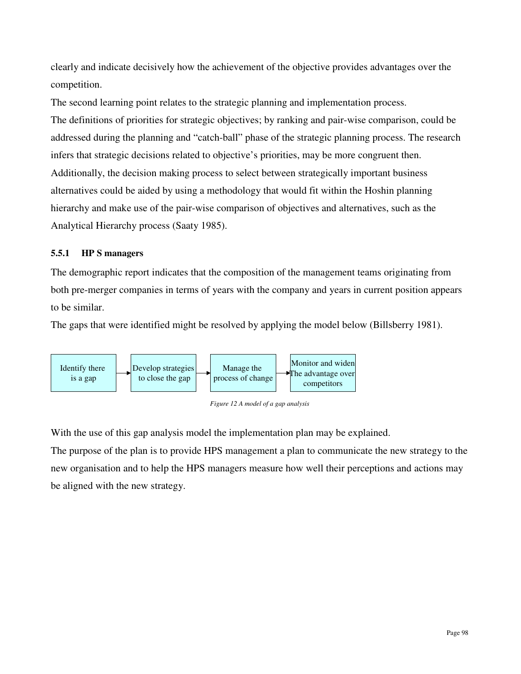clearly and indicate decisively how the achievement of the objective provides advantages over the competition.

The second learning point relates to the strategic planning and implementation process. The definitions of priorities for strategic objectives; by ranking and pair-wise comparison, could be addressed during the planning and "catch-ball" phase of the strategic planning process. The research infers that strategic decisions related to objective's priorities, may be more congruent then. Additionally, the decision making process to select between strategically important business alternatives could be aided by using a methodology that would fit within the Hoshin planning hierarchy and make use of the pair-wise comparison of objectives and alternatives, such as the Analytical Hierarchy process (Saaty 1985).

### **5.5.1 HP S managers**

The demographic report indicates that the composition of the management teams originating from both pre-merger companies in terms of years with the company and years in current position appears to be similar.

The gaps that were identified might be resolved by applying the model below (Billsberry 1981).





With the use of this gap analysis model the implementation plan may be explained.

The purpose of the plan is to provide HPS management a plan to communicate the new strategy to the new organisation and to help the HPS managers measure how well their perceptions and actions may be aligned with the new strategy.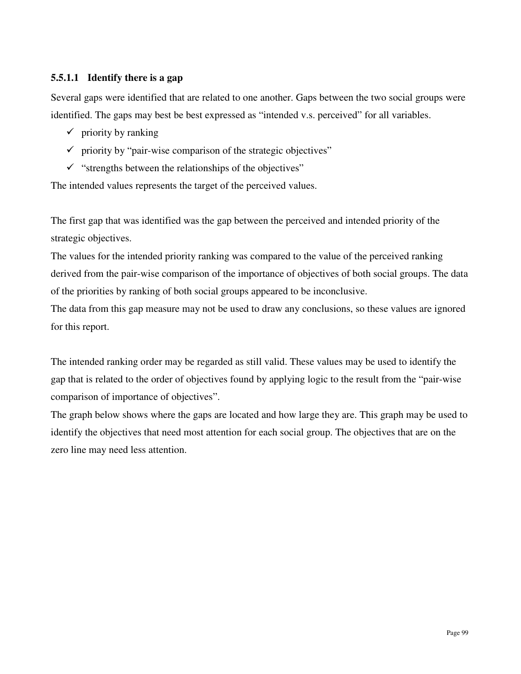## **5.5.1.1 Identify there is a gap**

Several gaps were identified that are related to one another. Gaps between the two social groups were identified. The gaps may best be best expressed as "intended v.s. perceived" for all variables.

- $\checkmark$  priority by ranking
- $\checkmark$  priority by "pair-wise comparison of the strategic objectives"
- $\checkmark$  "strengths between the relationships of the objectives"

The intended values represents the target of the perceived values.

The first gap that was identified was the gap between the perceived and intended priority of the strategic objectives.

The values for the intended priority ranking was compared to the value of the perceived ranking derived from the pair-wise comparison of the importance of objectives of both social groups. The data of the priorities by ranking of both social groups appeared to be inconclusive.

The data from this gap measure may not be used to draw any conclusions, so these values are ignored for this report.

The intended ranking order may be regarded as still valid. These values may be used to identify the gap that is related to the order of objectives found by applying logic to the result from the "pair-wise comparison of importance of objectives".

The graph below shows where the gaps are located and how large they are. This graph may be used to identify the objectives that need most attention for each social group. The objectives that are on the zero line may need less attention.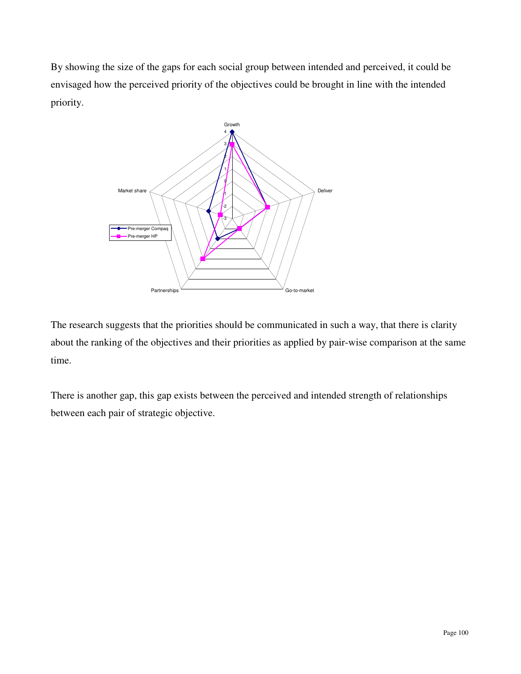By showing the size of the gaps for each social group between intended and perceived, it could be envisaged how the perceived priority of the objectives could be brought in line with the intended priority.



The research suggests that the priorities should be communicated in such a way, that there is clarity about the ranking of the objectives and their priorities as applied by pair-wise comparison at the same time.

There is another gap, this gap exists between the perceived and intended strength of relationships between each pair of strategic objective.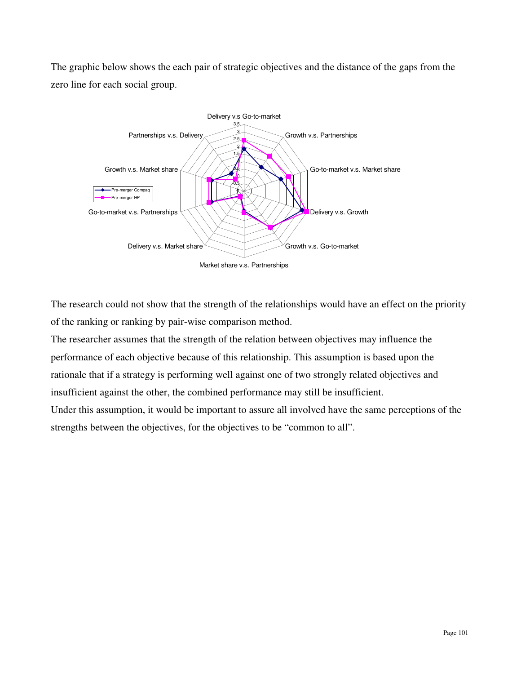The graphic below shows the each pair of strategic objectives and the distance of the gaps from the zero line for each social group.



The research could not show that the strength of the relationships would have an effect on the priority of the ranking or ranking by pair-wise comparison method.

The researcher assumes that the strength of the relation between objectives may influence the performance of each objective because of this relationship. This assumption is based upon the rationale that if a strategy is performing well against one of two strongly related objectives and insufficient against the other, the combined performance may still be insufficient.

Under this assumption, it would be important to assure all involved have the same perceptions of the strengths between the objectives, for the objectives to be "common to all".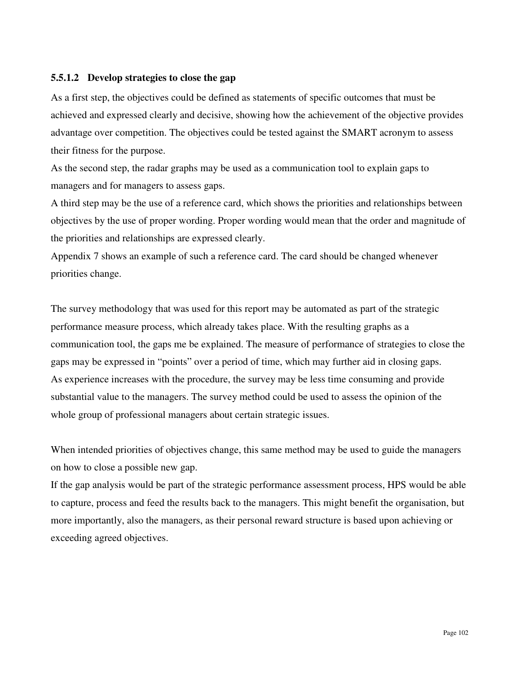#### **5.5.1.2 Develop strategies to close the gap**

As a first step, the objectives could be defined as statements of specific outcomes that must be achieved and expressed clearly and decisive, showing how the achievement of the objective provides advantage over competition. The objectives could be tested against the SMART acronym to assess their fitness for the purpose.

As the second step, the radar graphs may be used as a communication tool to explain gaps to managers and for managers to assess gaps.

A third step may be the use of a reference card, which shows the priorities and relationships between objectives by the use of proper wording. Proper wording would mean that the order and magnitude of the priorities and relationships are expressed clearly.

Appendix 7 shows an example of such a reference card. The card should be changed whenever priorities change.

The survey methodology that was used for this report may be automated as part of the strategic performance measure process, which already takes place. With the resulting graphs as a communication tool, the gaps me be explained. The measure of performance of strategies to close the gaps may be expressed in "points" over a period of time, which may further aid in closing gaps. As experience increases with the procedure, the survey may be less time consuming and provide substantial value to the managers. The survey method could be used to assess the opinion of the whole group of professional managers about certain strategic issues.

When intended priorities of objectives change, this same method may be used to guide the managers on how to close a possible new gap.

If the gap analysis would be part of the strategic performance assessment process, HPS would be able to capture, process and feed the results back to the managers. This might benefit the organisation, but more importantly, also the managers, as their personal reward structure is based upon achieving or exceeding agreed objectives.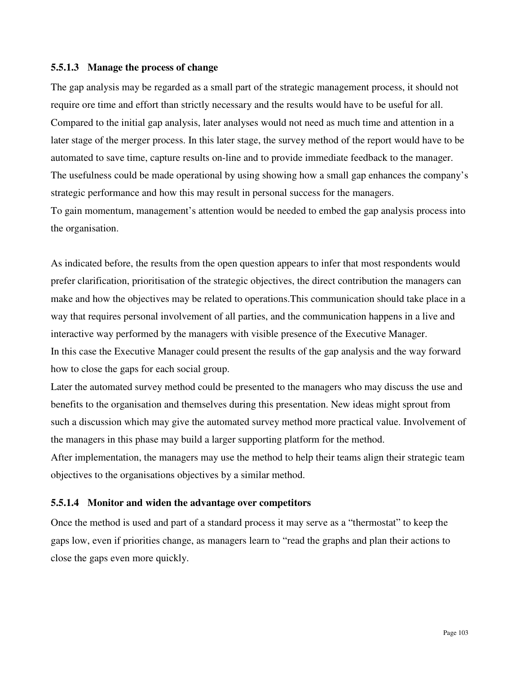#### **5.5.1.3 Manage the process of change**

The gap analysis may be regarded as a small part of the strategic management process, it should not require ore time and effort than strictly necessary and the results would have to be useful for all. Compared to the initial gap analysis, later analyses would not need as much time and attention in a later stage of the merger process. In this later stage, the survey method of the report would have to be automated to save time, capture results on-line and to provide immediate feedback to the manager. The usefulness could be made operational by using showing how a small gap enhances the company's strategic performance and how this may result in personal success for the managers. To gain momentum, management's attention would be needed to embed the gap analysis process into the organisation.

As indicated before, the results from the open question appears to infer that most respondents would prefer clarification, prioritisation of the strategic objectives, the direct contribution the managers can make and how the objectives may be related to operations.This communication should take place in a way that requires personal involvement of all parties, and the communication happens in a live and interactive way performed by the managers with visible presence of the Executive Manager. In this case the Executive Manager could present the results of the gap analysis and the way forward how to close the gaps for each social group.

Later the automated survey method could be presented to the managers who may discuss the use and benefits to the organisation and themselves during this presentation. New ideas might sprout from such a discussion which may give the automated survey method more practical value. Involvement of the managers in this phase may build a larger supporting platform for the method.

After implementation, the managers may use the method to help their teams align their strategic team objectives to the organisations objectives by a similar method.

### **5.5.1.4 Monitor and widen the advantage over competitors**

Once the method is used and part of a standard process it may serve as a "thermostat" to keep the gaps low, even if priorities change, as managers learn to "read the graphs and plan their actions to close the gaps even more quickly.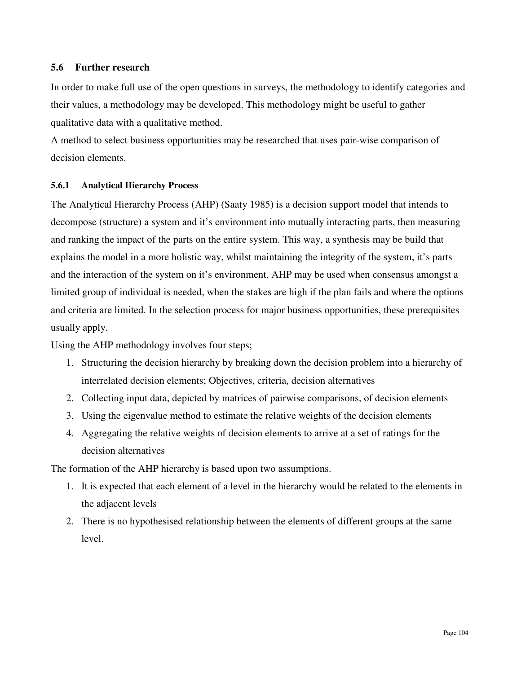### **5.6 Further research**

In order to make full use of the open questions in surveys, the methodology to identify categories and their values, a methodology may be developed. This methodology might be useful to gather qualitative data with a qualitative method.

A method to select business opportunities may be researched that uses pair-wise comparison of decision elements.

## **5.6.1 Analytical Hierarchy Process**

The Analytical Hierarchy Process (AHP) (Saaty 1985) is a decision support model that intends to decompose (structure) a system and it's environment into mutually interacting parts, then measuring and ranking the impact of the parts on the entire system. This way, a synthesis may be build that explains the model in a more holistic way, whilst maintaining the integrity of the system, it's parts and the interaction of the system on it's environment. AHP may be used when consensus amongst a limited group of individual is needed, when the stakes are high if the plan fails and where the options and criteria are limited. In the selection process for major business opportunities, these prerequisites usually apply.

Using the AHP methodology involves four steps;

- 1. Structuring the decision hierarchy by breaking down the decision problem into a hierarchy of interrelated decision elements; Objectives, criteria, decision alternatives
- 2. Collecting input data, depicted by matrices of pairwise comparisons, of decision elements
- 3. Using the eigenvalue method to estimate the relative weights of the decision elements
- 4. Aggregating the relative weights of decision elements to arrive at a set of ratings for the decision alternatives

The formation of the AHP hierarchy is based upon two assumptions.

- 1. It is expected that each element of a level in the hierarchy would be related to the elements in the adjacent levels
- 2. There is no hypothesised relationship between the elements of different groups at the same level.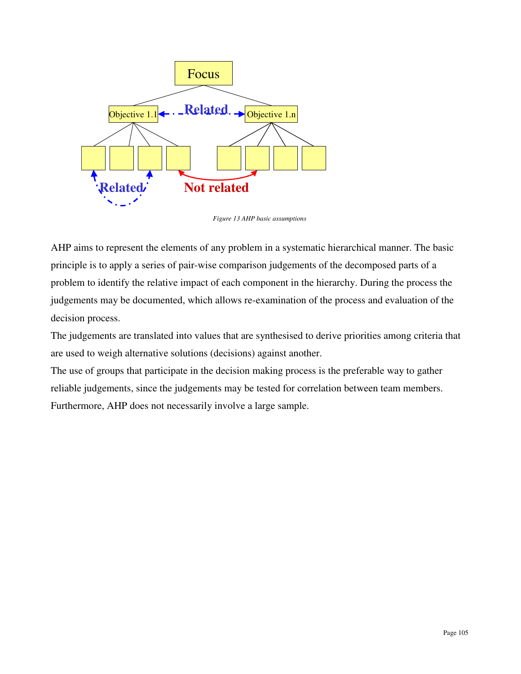

*Figure 13 AHP basic assumptions* 

AHP aims to represent the elements of any problem in a systematic hierarchical manner. The basic principle is to apply a series of pair-wise comparison judgements of the decomposed parts of a problem to identify the relative impact of each component in the hierarchy. During the process the judgements may be documented, which allows re-examination of the process and evaluation of the decision process.

The judgements are translated into values that are synthesised to derive priorities among criteria that are used to weigh alternative solutions (decisions) against another.

The use of groups that participate in the decision making process is the preferable way to gather reliable judgements, since the judgements may be tested for correlation between team members. Furthermore, AHP does not necessarily involve a large sample.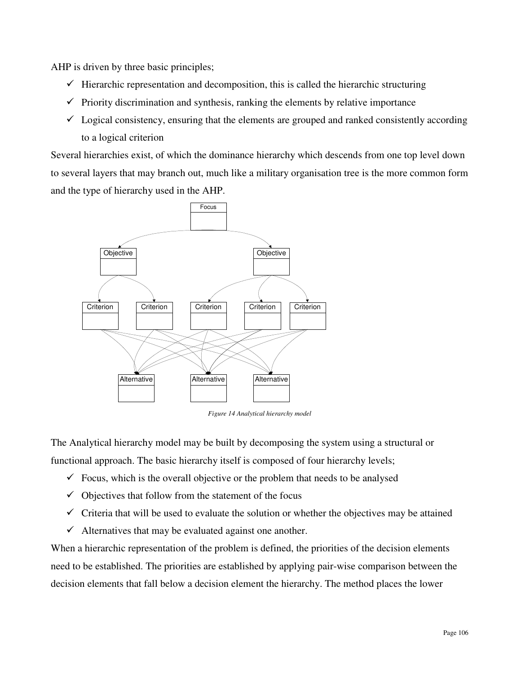AHP is driven by three basic principles;

- $\checkmark$  Hierarchic representation and decomposition, this is called the hierarchic structuring
- $\checkmark$  Priority discrimination and synthesis, ranking the elements by relative importance
- $\checkmark$  Logical consistency, ensuring that the elements are grouped and ranked consistently according to a logical criterion

Several hierarchies exist, of which the dominance hierarchy which descends from one top level down to several layers that may branch out, much like a military organisation tree is the more common form and the type of hierarchy used in the AHP.



*Figure 14 Analytical hierarchy model* 

The Analytical hierarchy model may be built by decomposing the system using a structural or functional approach. The basic hierarchy itself is composed of four hierarchy levels;

- $\checkmark$  Focus, which is the overall objective or the problem that needs to be analysed
- $\checkmark$  Objectives that follow from the statement of the focus
- $\checkmark$  Criteria that will be used to evaluate the solution or whether the objectives may be attained
- $\checkmark$  Alternatives that may be evaluated against one another.

When a hierarchic representation of the problem is defined, the priorities of the decision elements need to be established. The priorities are established by applying pair-wise comparison between the decision elements that fall below a decision element the hierarchy. The method places the lower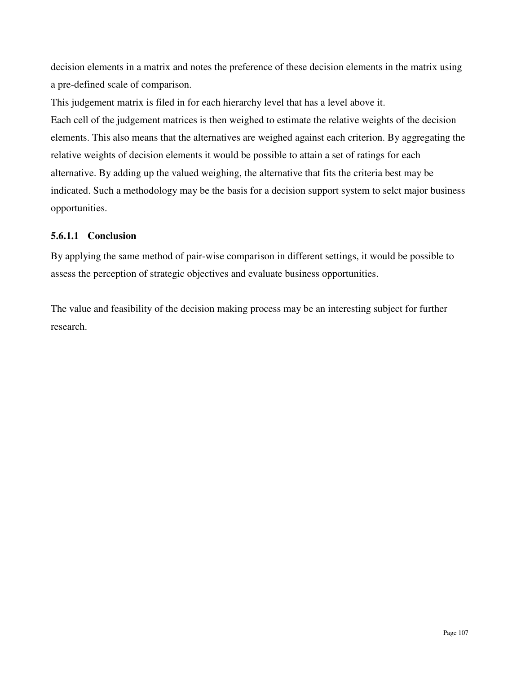decision elements in a matrix and notes the preference of these decision elements in the matrix using a pre-defined scale of comparison.

This judgement matrix is filed in for each hierarchy level that has a level above it. Each cell of the judgement matrices is then weighed to estimate the relative weights of the decision elements. This also means that the alternatives are weighed against each criterion. By aggregating the relative weights of decision elements it would be possible to attain a set of ratings for each alternative. By adding up the valued weighing, the alternative that fits the criteria best may be indicated. Such a methodology may be the basis for a decision support system to selct major business opportunities.

# **5.6.1.1 Conclusion**

By applying the same method of pair-wise comparison in different settings, it would be possible to assess the perception of strategic objectives and evaluate business opportunities.

The value and feasibility of the decision making process may be an interesting subject for further research.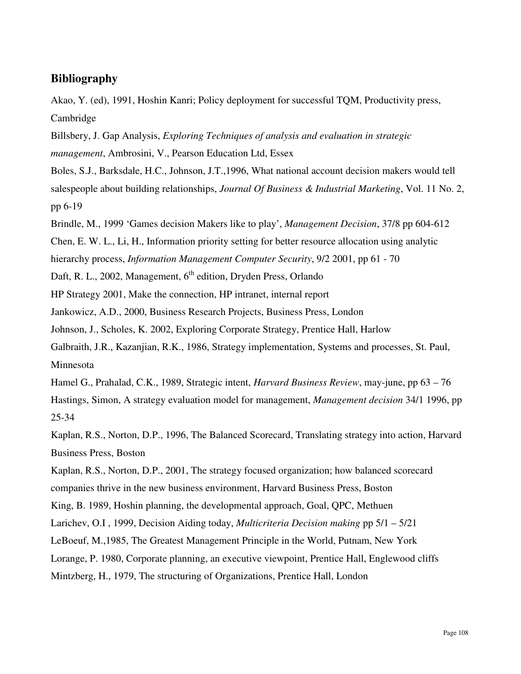# **Bibliography**

Akao, Y. (ed), 1991, Hoshin Kanri; Policy deployment for successful TQM, Productivity press, Cambridge

Billsbery, J. Gap Analysis, *Exploring Techniques of analysis and evaluation in strategic management*, Ambrosini, V., Pearson Education Ltd, Essex

Boles, S.J., Barksdale, H.C., Johnson, J.T.,1996, What national account decision makers would tell salespeople about building relationships, *Journal Of Business & Industrial Marketing*, Vol. 11 No. 2, pp 6-19

Brindle, M., 1999 'Games decision Makers like to play', *Management Decision*, 37/8 pp 604-612

Chen, E. W. L., Li, H., Information priority setting for better resource allocation using analytic

hierarchy process, *Information Management Computer Security*, 9/2 2001, pp 61 - 70

Daft, R. L., 2002, Management, 6<sup>th</sup> edition, Dryden Press, Orlando

HP Strategy 2001, Make the connection, HP intranet, internal report

Jankowicz, A.D., 2000, Business Research Projects, Business Press, London

Johnson, J., Scholes, K. 2002, Exploring Corporate Strategy, Prentice Hall, Harlow

Galbraith, J.R., Kazanjian, R.K., 1986, Strategy implementation, Systems and processes, St. Paul, Minnesota

Hamel G., Prahalad, C.K., 1989, Strategic intent, *Harvard Business Review*, may-june, pp 63 – 76

Hastings, Simon, A strategy evaluation model for management, *Management decision* 34/1 1996, pp 25-34

Kaplan, R.S., Norton, D.P., 1996, The Balanced Scorecard, Translating strategy into action, Harvard Business Press, Boston

Kaplan, R.S., Norton, D.P., 2001, The strategy focused organization; how balanced scorecard companies thrive in the new business environment, Harvard Business Press, Boston

King, B. 1989, Hoshin planning, the developmental approach, Goal, QPC, Methuen

Larichev, O.I , 1999, Decision Aiding today, *Multicriteria Decision making* pp 5/1 – 5/21

LeBoeuf, M.,1985, The Greatest Management Principle in the World, Putnam, New York

Lorange, P. 1980, Corporate planning, an executive viewpoint, Prentice Hall, Englewood cliffs

Mintzberg, H., 1979, The structuring of Organizations, Prentice Hall, London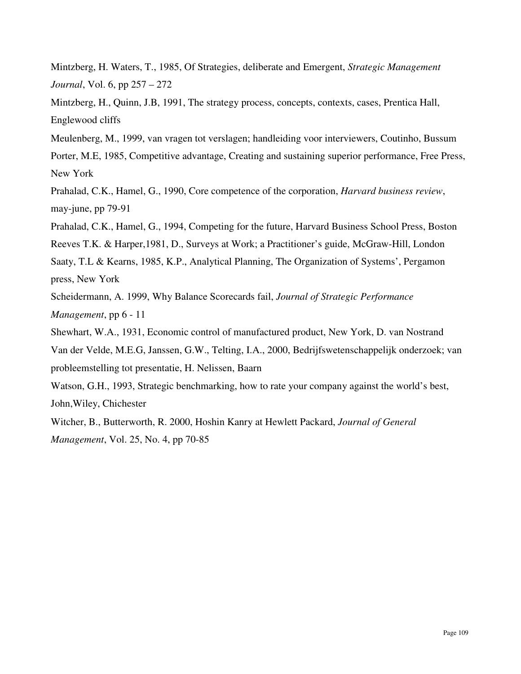Mintzberg, H. Waters, T., 1985, Of Strategies, deliberate and Emergent, *Strategic Management Journal*, Vol. 6, pp 257 – 272

Mintzberg, H., Quinn, J.B, 1991, The strategy process, concepts, contexts, cases, Prentica Hall, Englewood cliffs

Meulenberg, M., 1999, van vragen tot verslagen; handleiding voor interviewers, Coutinho, Bussum

Porter, M.E, 1985, Competitive advantage, Creating and sustaining superior performance, Free Press, New York

Prahalad, C.K., Hamel, G., 1990, Core competence of the corporation, *Harvard business review*, may-june, pp 79-91

Prahalad, C.K., Hamel, G., 1994, Competing for the future, Harvard Business School Press, Boston

Reeves T.K. & Harper,1981, D., Surveys at Work; a Practitioner's guide, McGraw-Hill, London

Saaty, T.L & Kearns, 1985, K.P., Analytical Planning, The Organization of Systems', Pergamon press, New York

Scheidermann, A. 1999, Why Balance Scorecards fail, *Journal of Strategic Performance Management*, pp 6 - 11

Shewhart, W.A., 1931, Economic control of manufactured product, New York, D. van Nostrand

Van der Velde, M.E.G, Janssen, G.W., Telting, I.A., 2000, Bedrijfswetenschappelijk onderzoek; van probleemstelling tot presentatie, H. Nelissen, Baarn

Watson, G.H., 1993, Strategic benchmarking, how to rate your company against the world's best, John,Wiley, Chichester

Witcher, B., Butterworth, R. 2000, Hoshin Kanry at Hewlett Packard, *Journal of General Management*, Vol. 25, No. 4, pp 70-85